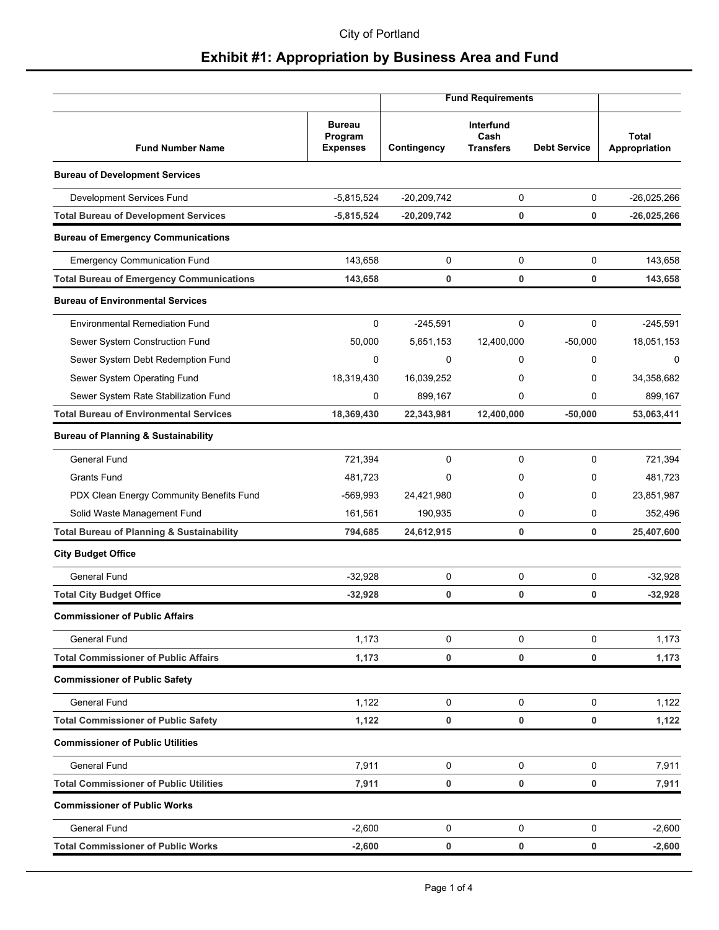|                                                      |                                             |               | <b>Fund Requirements</b>              |                     |                               |
|------------------------------------------------------|---------------------------------------------|---------------|---------------------------------------|---------------------|-------------------------------|
| <b>Fund Number Name</b>                              | <b>Bureau</b><br>Program<br><b>Expenses</b> | Contingency   | Interfund<br>Cash<br><b>Transfers</b> | <b>Debt Service</b> | <b>Total</b><br>Appropriation |
| <b>Bureau of Development Services</b>                |                                             |               |                                       |                     |                               |
| Development Services Fund                            | $-5,815,524$                                | $-20,209,742$ | 0                                     | 0                   | $-26,025,266$                 |
| <b>Total Bureau of Development Services</b>          | $-5,815,524$                                | $-20,209,742$ | 0                                     | 0                   | $-26,025,266$                 |
| <b>Bureau of Emergency Communications</b>            |                                             |               |                                       |                     |                               |
| <b>Emergency Communication Fund</b>                  | 143,658                                     | 0             | 0                                     | 0                   | 143,658                       |
| <b>Total Bureau of Emergency Communications</b>      | 143,658                                     | 0             | 0                                     | 0                   | 143,658                       |
| <b>Bureau of Environmental Services</b>              |                                             |               |                                       |                     |                               |
| Environmental Remediation Fund                       | 0                                           | $-245,591$    | 0                                     | 0                   | $-245.591$                    |
| Sewer System Construction Fund                       | 50,000                                      | 5,651,153     | 12,400,000                            | $-50,000$           | 18,051,153                    |
| Sewer System Debt Redemption Fund                    | 0                                           | 0             | 0                                     | 0                   | $\Omega$                      |
| Sewer System Operating Fund                          | 18,319,430                                  | 16,039,252    | 0                                     | 0                   | 34,358,682                    |
| Sewer System Rate Stabilization Fund                 | 0                                           | 899,167       | 0                                     | 0                   | 899,167                       |
| <b>Total Bureau of Environmental Services</b>        | 18,369,430                                  | 22,343,981    | 12,400,000                            | $-50,000$           | 53,063,411                    |
| <b>Bureau of Planning &amp; Sustainability</b>       |                                             |               |                                       |                     |                               |
| <b>General Fund</b>                                  | 721,394                                     | 0             | 0                                     | 0                   | 721,394                       |
| <b>Grants Fund</b>                                   | 481,723                                     | 0             | 0                                     | 0                   | 481,723                       |
| PDX Clean Energy Community Benefits Fund             | $-569,993$                                  | 24,421,980    | 0                                     | 0                   | 23,851,987                    |
| Solid Waste Management Fund                          | 161,561                                     | 190,935       | 0                                     | 0                   | 352,496                       |
| <b>Total Bureau of Planning &amp; Sustainability</b> | 794,685                                     | 24,612,915    | 0                                     | 0                   | 25,407,600                    |
| <b>City Budget Office</b>                            |                                             |               |                                       |                     |                               |
| <b>General Fund</b>                                  | $-32,928$                                   | 0             | 0                                     | 0                   | $-32,928$                     |
| <b>Total City Budget Office</b>                      | $-32,928$                                   | 0             | 0                                     | 0                   | $-32,928$                     |
| <b>Commissioner of Public Affairs</b>                |                                             |               |                                       |                     |                               |
| <b>General Fund</b>                                  | 1,173                                       | 0             | 0                                     | 0                   | 1,173                         |
| <b>Total Commissioner of Public Affairs</b>          | 1,173                                       | 0             | 0                                     | 0                   | 1,173                         |
| <b>Commissioner of Public Safety</b>                 |                                             |               |                                       |                     |                               |
| General Fund                                         | 1,122                                       | 0             | 0                                     | 0                   | 1,122                         |
| <b>Total Commissioner of Public Safety</b>           | 1,122                                       | 0             | 0                                     | 0                   | 1,122                         |
| <b>Commissioner of Public Utilities</b>              |                                             |               |                                       |                     |                               |
| General Fund                                         | 7,911                                       | 0             | 0                                     | 0                   | 7,911                         |
| <b>Total Commissioner of Public Utilities</b>        | 7,911                                       | 0             | 0                                     | 0                   | 7,911                         |
| <b>Commissioner of Public Works</b>                  |                                             |               |                                       |                     |                               |
| <b>General Fund</b>                                  | $-2,600$                                    | 0             | 0                                     | 0                   | $-2,600$                      |
| <b>Total Commissioner of Public Works</b>            | $-2,600$                                    | 0             | 0                                     | 0                   | $-2,600$                      |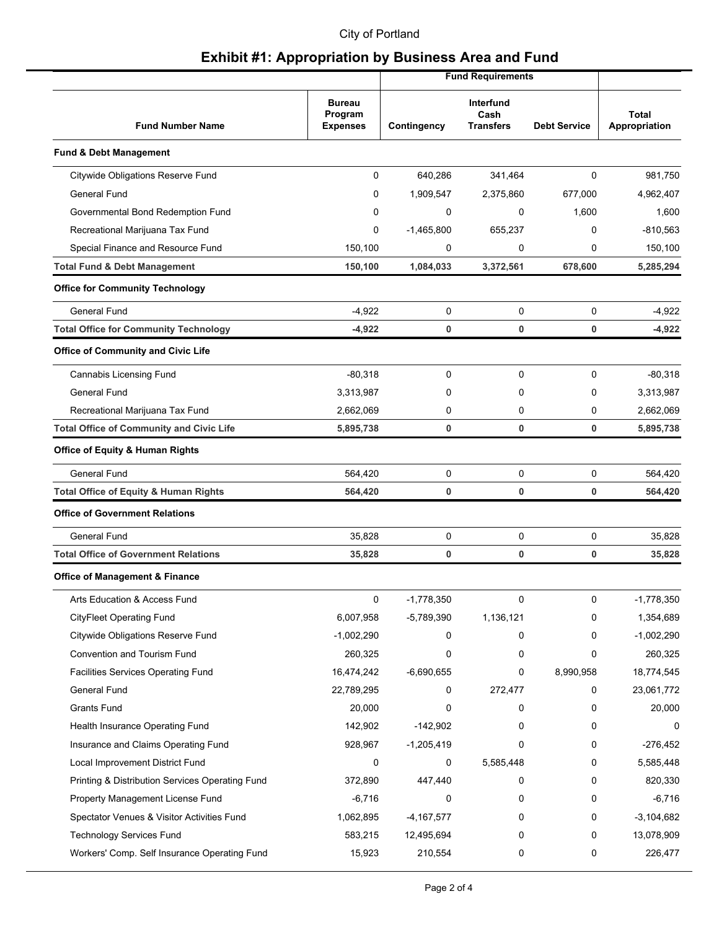#### City of Portland

|                                                  |                                             |              | <b>Fund Requirements</b>              |                     |                               |
|--------------------------------------------------|---------------------------------------------|--------------|---------------------------------------|---------------------|-------------------------------|
| <b>Fund Number Name</b>                          | <b>Bureau</b><br>Program<br><b>Expenses</b> | Contingency  | Interfund<br>Cash<br><b>Transfers</b> | <b>Debt Service</b> | <b>Total</b><br>Appropriation |
| <b>Fund &amp; Debt Management</b>                |                                             |              |                                       |                     |                               |
| Citywide Obligations Reserve Fund                | 0                                           | 640,286      | 341,464                               | 0                   | 981,750                       |
| <b>General Fund</b>                              | 0                                           | 1,909,547    | 2,375,860                             | 677,000             | 4,962,407                     |
| Governmental Bond Redemption Fund                | 0                                           | 0            | $\mathbf 0$                           | 1,600               | 1,600                         |
| Recreational Marijuana Tax Fund                  | 0                                           | $-1,465,800$ | 655,237                               | 0                   | $-810,563$                    |
| Special Finance and Resource Fund                | 150,100                                     | 0            | 0                                     | 0                   | 150,100                       |
| <b>Total Fund &amp; Debt Management</b>          | 150,100                                     | 1,084,033    | 3,372,561                             | 678,600             | 5,285,294                     |
| <b>Office for Community Technology</b>           |                                             |              |                                       |                     |                               |
| General Fund                                     | $-4,922$                                    | 0            | 0                                     | 0                   | $-4.922$                      |
| <b>Total Office for Community Technology</b>     | $-4,922$                                    | 0            | 0                                     | 0                   | $-4,922$                      |
| <b>Office of Community and Civic Life</b>        |                                             |              |                                       |                     |                               |
| Cannabis Licensing Fund                          | $-80,318$                                   | 0            | 0                                     | 0                   | $-80,318$                     |
| General Fund                                     | 3,313,987                                   | 0            | $\Omega$                              | 0                   | 3,313,987                     |
| Recreational Marijuana Tax Fund                  | 2,662,069                                   | 0            | 0                                     | 0                   | 2,662,069                     |
| <b>Total Office of Community and Civic Life</b>  | 5,895,738                                   | 0            | 0                                     | 0                   | 5,895,738                     |
| <b>Office of Equity &amp; Human Rights</b>       |                                             |              |                                       |                     |                               |
| <b>General Fund</b>                              | 564,420                                     | 0            | 0                                     | 0                   | 564,420                       |
| <b>Total Office of Equity &amp; Human Rights</b> | 564,420                                     | 0            | 0                                     | 0                   | 564,420                       |
| <b>Office of Government Relations</b>            |                                             |              |                                       |                     |                               |
| General Fund                                     | 35,828                                      | 0            | 0                                     | 0                   | 35,828                        |
| <b>Total Office of Government Relations</b>      | 35,828                                      | 0            | 0                                     | 0                   | 35,828                        |
| <b>Office of Management &amp; Finance</b>        |                                             |              |                                       |                     |                               |
| Arts Education & Access Fund                     | 0                                           | $-1,778,350$ | 0                                     | 0                   | $-1,778,350$                  |
| <b>CityFleet Operating Fund</b>                  | 6,007,958                                   | $-5,789,390$ | 1,136,121                             | 0                   | 1,354,689                     |
| Citywide Obligations Reserve Fund                | $-1,002,290$                                | 0            | 0                                     | 0                   | $-1,002,290$                  |
| Convention and Tourism Fund                      | 260,325                                     | 0            | 0                                     | 0                   | 260,325                       |
| Facilities Services Operating Fund               | 16,474,242                                  | $-6,690,655$ | 0                                     | 8,990,958           | 18,774,545                    |
| General Fund                                     | 22,789,295                                  | 0            | 272,477                               | 0                   | 23,061,772                    |
| <b>Grants Fund</b>                               | 20,000                                      | 0            | 0                                     | 0                   | 20,000                        |
| Health Insurance Operating Fund                  | 142,902                                     | $-142,902$   | 0                                     | 0                   | 0                             |
| Insurance and Claims Operating Fund              | 928,967                                     | $-1,205,419$ | 0                                     | 0                   | $-276,452$                    |
| Local Improvement District Fund                  | 0                                           | 0            | 5,585,448                             | 0                   | 5,585,448                     |
| Printing & Distribution Services Operating Fund  | 372,890                                     | 447,440      | 0                                     | 0                   | 820,330                       |
| Property Management License Fund                 | $-6,716$                                    | 0            | 0                                     | 0                   | $-6,716$                      |
| Spectator Venues & Visitor Activities Fund       | 1,062,895                                   | $-4,167,577$ | 0                                     | 0                   | $-3,104,682$                  |
| <b>Technology Services Fund</b>                  | 583,215                                     | 12,495,694   | 0                                     | 0                   | 13,078,909                    |
| Workers' Comp. Self Insurance Operating Fund     | 15,923                                      | 210,554      | 0                                     | 0                   | 226,477                       |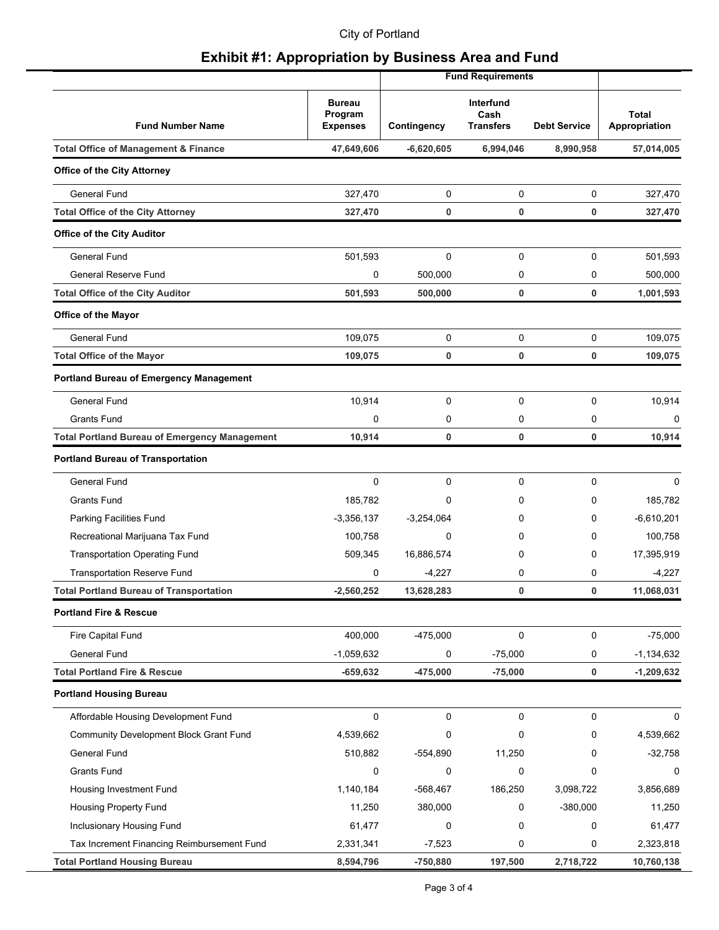#### City of Portland

|                                                      |                                             |              | <b>Fund Requirements</b>              |                     |                               |
|------------------------------------------------------|---------------------------------------------|--------------|---------------------------------------|---------------------|-------------------------------|
| <b>Fund Number Name</b>                              | <b>Bureau</b><br>Program<br><b>Expenses</b> | Contingency  | Interfund<br>Cash<br><b>Transfers</b> | <b>Debt Service</b> | <b>Total</b><br>Appropriation |
| <b>Total Office of Management &amp; Finance</b>      | 47,649,606                                  | $-6,620,605$ | 6,994,046                             | 8,990,958           | 57,014,005                    |
| <b>Office of the City Attorney</b>                   |                                             |              |                                       |                     |                               |
| General Fund                                         | 327,470                                     | 0            | 0                                     | 0                   | 327,470                       |
| <b>Total Office of the City Attorney</b>             | 327,470                                     | 0            | 0                                     | 0                   | 327,470                       |
| <b>Office of the City Auditor</b>                    |                                             |              |                                       |                     |                               |
| <b>General Fund</b>                                  | 501,593                                     | $\mathbf 0$  | $\mathbf 0$                           | 0                   | 501,593                       |
| General Reserve Fund                                 | 0                                           | 500,000      | 0                                     | 0                   | 500,000                       |
| <b>Total Office of the City Auditor</b>              | 501,593                                     | 500,000      | 0                                     | 0                   | 1,001,593                     |
| <b>Office of the Mayor</b>                           |                                             |              |                                       |                     |                               |
| General Fund                                         | 109,075                                     | 0            | 0                                     | 0                   | 109,075                       |
| <b>Total Office of the Mayor</b>                     | 109,075                                     | 0            | 0                                     | 0                   | 109,075                       |
| <b>Portland Bureau of Emergency Management</b>       |                                             |              |                                       |                     |                               |
| <b>General Fund</b>                                  | 10,914                                      | $\mathbf 0$  | 0                                     | 0                   | 10,914                        |
| <b>Grants Fund</b>                                   | 0                                           | 0            | 0                                     | 0                   | 0                             |
| <b>Total Portland Bureau of Emergency Management</b> | 10,914                                      | 0            | 0                                     | 0                   | 10,914                        |
| <b>Portland Bureau of Transportation</b>             |                                             |              |                                       |                     |                               |
| <b>General Fund</b>                                  | $\mathbf 0$                                 | $\mathbf 0$  | 0                                     | 0                   | $\Omega$                      |
| <b>Grants Fund</b>                                   | 185,782                                     | 0            | 0                                     | 0                   | 185,782                       |
| Parking Facilities Fund                              | $-3,356,137$                                | $-3,254,064$ | 0                                     | 0                   | $-6,610,201$                  |
| Recreational Marijuana Tax Fund                      | 100,758                                     | 0            | 0                                     | 0                   | 100,758                       |
| <b>Transportation Operating Fund</b>                 | 509,345                                     | 16,886,574   | 0                                     | 0                   | 17,395,919                    |
| <b>Transportation Reserve Fund</b>                   | 0                                           | $-4,227$     | 0                                     | 0                   | $-4,227$                      |
| <b>Total Portland Bureau of Transportation</b>       | $-2,560,252$                                | 13,628,283   | 0                                     | 0                   | 11,068,031                    |
| <b>Portland Fire &amp; Rescue</b>                    |                                             |              |                                       |                     |                               |
| Fire Capital Fund                                    | 400,000                                     | $-475,000$   | 0                                     | 0                   | $-75,000$                     |
| <b>General Fund</b>                                  | $-1,059,632$                                | 0            | $-75,000$                             | 0                   | $-1,134,632$                  |
| <b>Total Portland Fire &amp; Rescue</b>              | $-659,632$                                  | $-475,000$   | $-75,000$                             | 0                   | $-1,209,632$                  |
| <b>Portland Housing Bureau</b>                       |                                             |              |                                       |                     |                               |
| Affordable Housing Development Fund                  | $\mathbf 0$                                 | $\mathbf 0$  | 0                                     | 0                   | 0                             |
| Community Development Block Grant Fund               | 4,539,662                                   | 0            | 0                                     | 0                   | 4,539,662                     |
| General Fund                                         | 510,882                                     | $-554,890$   | 11,250                                | 0                   | $-32,758$                     |
| Grants Fund                                          | 0                                           | 0            | 0                                     | 0                   | 0                             |
| Housing Investment Fund                              | 1,140,184                                   | $-568,467$   | 186,250                               | 3,098,722           | 3,856,689                     |
| Housing Property Fund                                | 11,250                                      | 380,000      | 0                                     | $-380,000$          | 11,250                        |
| Inclusionary Housing Fund                            | 61,477                                      | 0            | 0                                     | 0                   | 61,477                        |
| Tax Increment Financing Reimbursement Fund           | 2,331,341                                   | $-7,523$     | 0                                     | 0                   | 2,323,818                     |
| <b>Total Portland Housing Bureau</b>                 | 8,594,796                                   | $-750,880$   | 197,500                               | 2,718,722           | 10,760,138                    |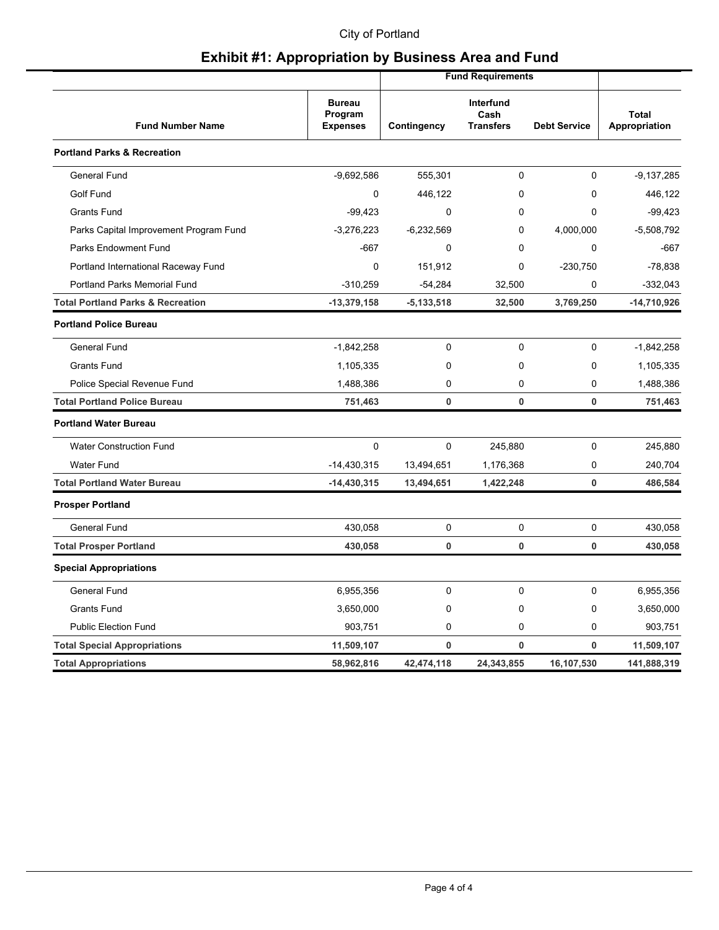#### City of Portland

|                                              |                                             |              | <b>Fund Requirements</b>              |                     |                               |
|----------------------------------------------|---------------------------------------------|--------------|---------------------------------------|---------------------|-------------------------------|
| <b>Fund Number Name</b>                      | <b>Bureau</b><br>Program<br><b>Expenses</b> | Contingency  | Interfund<br>Cash<br><b>Transfers</b> | <b>Debt Service</b> | <b>Total</b><br>Appropriation |
| <b>Portland Parks &amp; Recreation</b>       |                                             |              |                                       |                     |                               |
| <b>General Fund</b>                          | $-9,692,586$                                | 555,301      | $\mathbf 0$                           | 0                   | $-9,137,285$                  |
| Golf Fund                                    | $\mathbf 0$                                 | 446,122      | $\mathbf 0$                           | 0                   | 446,122                       |
| <b>Grants Fund</b>                           | $-99,423$                                   | 0            | 0                                     | $\Omega$            | $-99,423$                     |
| Parks Capital Improvement Program Fund       | $-3,276,223$                                | $-6,232,569$ | $\mathbf 0$                           | 4,000,000           | $-5,508,792$                  |
| <b>Parks Endowment Fund</b>                  | $-667$                                      | 0            | $\mathbf{0}$                          | 0                   | $-667$                        |
| Portland International Raceway Fund          | $\mathbf 0$                                 | 151,912      | $\mathbf{0}$                          | $-230,750$          | $-78,838$                     |
| Portland Parks Memorial Fund                 | $-310,259$                                  | $-54,284$    | 32,500                                | 0                   | $-332,043$                    |
| <b>Total Portland Parks &amp; Recreation</b> | $-13,379,158$                               | $-5,133,518$ | 32,500                                | 3,769,250           | -14,710,926                   |
| <b>Portland Police Bureau</b>                |                                             |              |                                       |                     |                               |
| <b>General Fund</b>                          | $-1,842,258$                                | 0            | $\mathbf 0$                           | 0                   | $-1,842,258$                  |
| <b>Grants Fund</b>                           | 1,105,335                                   | 0            | 0                                     | 0                   | 1,105,335                     |
| Police Special Revenue Fund                  | 1,488,386                                   | 0            | $\mathbf{0}$                          | 0                   | 1,488,386                     |
| <b>Total Portland Police Bureau</b>          | 751,463                                     | $\mathbf 0$  | $\bf{0}$                              | $\mathbf{0}$        | 751,463                       |
| <b>Portland Water Bureau</b>                 |                                             |              |                                       |                     |                               |
| <b>Water Construction Fund</b>               | $\mathbf{0}$                                | $\Omega$     | 245,880                               | 0                   | 245,880                       |
| <b>Water Fund</b>                            | $-14,430,315$                               | 13,494,651   | 1,176,368                             | 0                   | 240,704                       |
| <b>Total Portland Water Bureau</b>           | $-14,430,315$                               | 13,494,651   | 1,422,248                             | 0                   | 486,584                       |
| <b>Prosper Portland</b>                      |                                             |              |                                       |                     |                               |
| <b>General Fund</b>                          | 430,058                                     | 0            | $\mathbf 0$                           | 0                   | 430,058                       |
| <b>Total Prosper Portland</b>                | 430,058                                     | 0            | $\mathbf{0}$                          | 0                   | 430,058                       |
| <b>Special Appropriations</b>                |                                             |              |                                       |                     |                               |
| <b>General Fund</b>                          | 6,955,356                                   | 0            | $\mathbf 0$                           | 0                   | 6,955,356                     |
| <b>Grants Fund</b>                           | 3,650,000                                   | 0            | $\mathbf 0$                           | 0                   | 3,650,000                     |
| <b>Public Election Fund</b>                  | 903,751                                     | 0            | 0                                     | 0                   | 903,751                       |
| <b>Total Special Appropriations</b>          | 11,509,107                                  | 0            | $\bf{0}$                              | $\mathbf{0}$        | 11,509,107                    |
| <b>Total Appropriations</b>                  | 58,962,816                                  | 42,474,118   | 24.343.855                            | 16,107,530          | 141,888,319                   |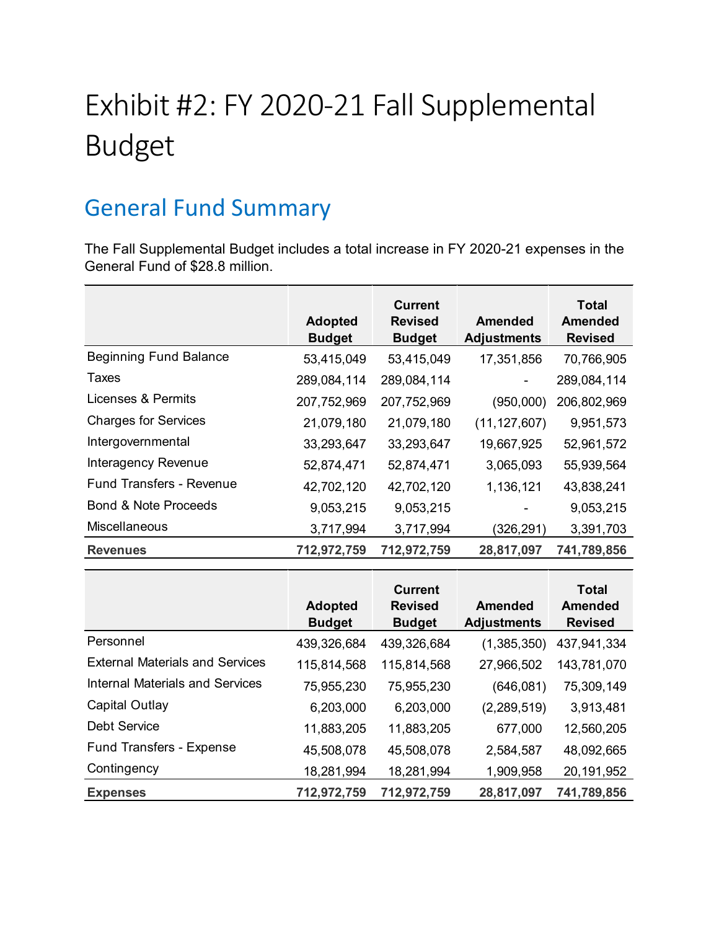# Exhibit #2: FY 2020-21 Fall Supplemental Budget

# General Fund Summary

The Fall Supplemental Budget includes a total increase in FY 2020-21 expenses in the General Fund of \$28.8 million.

|                                 | <b>Adopted</b><br><b>Budget</b> | <b>Current</b><br><b>Revised</b><br><b>Budget</b> | Amended<br><b>Adjustments</b> | <b>Total</b><br><b>Amended</b><br><b>Revised</b> |
|---------------------------------|---------------------------------|---------------------------------------------------|-------------------------------|--------------------------------------------------|
| <b>Beginning Fund Balance</b>   | 53,415,049                      | 53,415,049                                        | 17,351,856                    | 70,766,905                                       |
| Taxes                           | 289,084,114                     | 289,084,114                                       |                               | 289,084,114                                      |
| Licenses & Permits              | 207,752,969                     | 207,752,969                                       | (950,000)                     | 206,802,969                                      |
| <b>Charges for Services</b>     | 21,079,180                      | 21,079,180                                        | (11, 127, 607)                | 9,951,573                                        |
| Intergovernmental               | 33,293,647                      | 33,293,647                                        | 19,667,925                    | 52,961,572                                       |
| Interagency Revenue             | 52,874,471                      | 52,874,471                                        | 3,065,093                     | 55,939,564                                       |
| <b>Fund Transfers - Revenue</b> | 42,702,120                      | 42,702,120                                        | 1,136,121                     | 43,838,241                                       |
| <b>Bond &amp; Note Proceeds</b> | 9,053,215                       | 9,053,215                                         |                               | 9,053,215                                        |
| Miscellaneous                   | 3,717,994                       | 3,717,994                                         | (326, 291)                    | 3,391,703                                        |
| <b>Revenues</b>                 | 712,972,759                     | 712,972,759                                       | 28,817,097                    | 741,789,856                                      |

|                                        | <b>Adopted</b><br><b>Budget</b> | <b>Current</b><br><b>Revised</b><br><b>Budget</b> | <b>Amended</b><br><b>Adjustments</b> | <b>Total</b><br><b>Amended</b><br><b>Revised</b> |
|----------------------------------------|---------------------------------|---------------------------------------------------|--------------------------------------|--------------------------------------------------|
| Personnel                              | 439,326,684                     | 439,326,684                                       | (1,385,350)                          | 437,941,334                                      |
| <b>External Materials and Services</b> | 115,814,568                     | 115,814,568                                       | 27,966,502                           | 143,781,070                                      |
| <b>Internal Materials and Services</b> | 75,955,230                      | 75,955,230                                        | (646, 081)                           | 75,309,149                                       |
| Capital Outlay                         | 6,203,000                       | 6,203,000                                         | (2, 289, 519)                        | 3,913,481                                        |
| <b>Debt Service</b>                    | 11,883,205                      | 11,883,205                                        | 677,000                              | 12,560,205                                       |
| <b>Fund Transfers - Expense</b>        | 45,508,078                      | 45,508,078                                        | 2,584,587                            | 48,092,665                                       |
| Contingency                            | 18,281,994                      | 18,281,994                                        | 1,909,958                            | 20,191,952                                       |
| <b>Expenses</b>                        | 712,972,759                     | 712,972,759                                       | 28,817,097                           | 741,789,856                                      |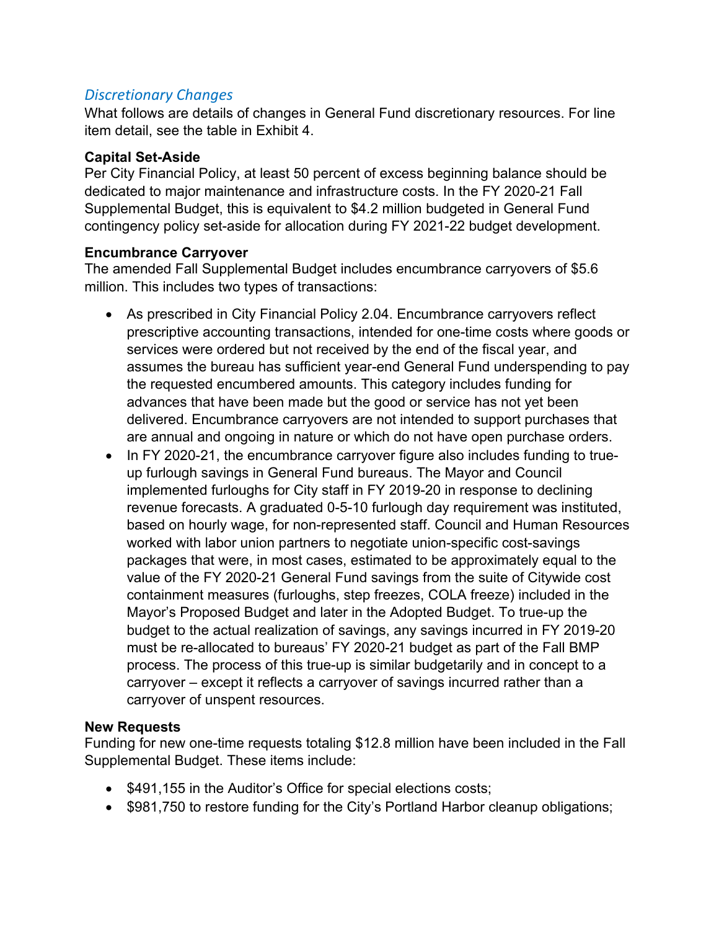#### *Discretionary Changes*

What follows are details of changes in General Fund discretionary resources. For line item detail, see the table in Exhibit 4.

#### **Capital Set-Aside**

Per City Financial Policy, at least 50 percent of excess beginning balance should be dedicated to major maintenance and infrastructure costs. In the FY 2020-21 Fall Supplemental Budget, this is equivalent to \$4.2 million budgeted in General Fund contingency policy set-aside for allocation during FY 2021-22 budget development.

#### **Encumbrance Carryover**

The amended Fall Supplemental Budget includes encumbrance carryovers of \$5.6 million. This includes two types of transactions:

- As prescribed in City Financial Policy 2.04. Encumbrance carryovers reflect prescriptive accounting transactions, intended for one-time costs where goods or services were ordered but not received by the end of the fiscal year, and assumes the bureau has sufficient year-end General Fund underspending to pay the requested encumbered amounts. This category includes funding for advances that have been made but the good or service has not yet been delivered. Encumbrance carryovers are not intended to support purchases that are annual and ongoing in nature or which do not have open purchase orders.
- In FY 2020-21, the encumbrance carryover figure also includes funding to trueup furlough savings in General Fund bureaus. The Mayor and Council implemented furloughs for City staff in FY 2019-20 in response to declining revenue forecasts. A graduated 0-5-10 furlough day requirement was instituted, based on hourly wage, for non-represented staff. Council and Human Resources worked with labor union partners to negotiate union-specific cost-savings packages that were, in most cases, estimated to be approximately equal to the value of the FY 2020-21 General Fund savings from the suite of Citywide cost containment measures (furloughs, step freezes, COLA freeze) included in the Mayor's Proposed Budget and later in the Adopted Budget. To true-up the budget to the actual realization of savings, any savings incurred in FY 2019-20 must be re-allocated to bureaus' FY 2020-21 budget as part of the Fall BMP process. The process of this true-up is similar budgetarily and in concept to a carryover – except it reflects a carryover of savings incurred rather than a carryover of unspent resources.

#### **New Requests**

Funding for new one-time requests totaling \$12.8 million have been included in the Fall Supplemental Budget. These items include:

- \$491,155 in the Auditor's Office for special elections costs;
- \$981,750 to restore funding for the City's Portland Harbor cleanup obligations;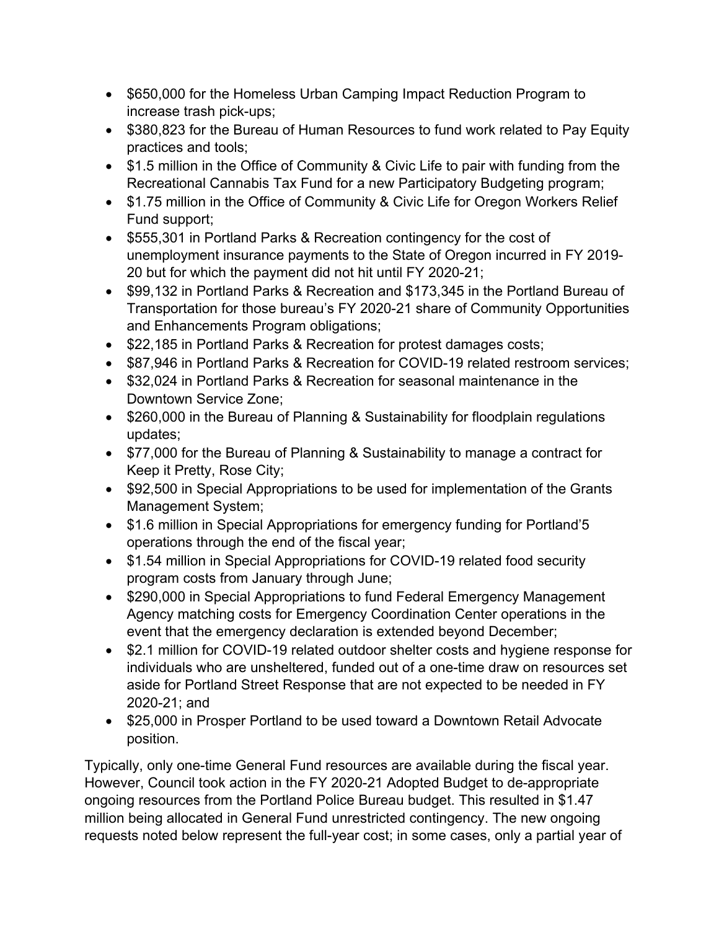- \$650,000 for the Homeless Urban Camping Impact Reduction Program to increase trash pick-ups;
- \$380,823 for the Bureau of Human Resources to fund work related to Pay Equity practices and tools;
- \$1.5 million in the Office of Community & Civic Life to pair with funding from the Recreational Cannabis Tax Fund for a new Participatory Budgeting program;
- \$1.75 million in the Office of Community & Civic Life for Oregon Workers Relief Fund support;
- \$555,301 in Portland Parks & Recreation contingency for the cost of unemployment insurance payments to the State of Oregon incurred in FY 2019- 20 but for which the payment did not hit until FY 2020-21;
- \$99,132 in Portland Parks & Recreation and \$173,345 in the Portland Bureau of Transportation for those bureau's FY 2020-21 share of Community Opportunities and Enhancements Program obligations;
- \$22,185 in Portland Parks & Recreation for protest damages costs;
- \$87,946 in Portland Parks & Recreation for COVID-19 related restroom services;
- \$32,024 in Portland Parks & Recreation for seasonal maintenance in the Downtown Service Zone;
- \$260,000 in the Bureau of Planning & Sustainability for floodplain regulations updates;
- \$77,000 for the Bureau of Planning & Sustainability to manage a contract for Keep it Pretty, Rose City;
- \$92,500 in Special Appropriations to be used for implementation of the Grants Management System;
- \$1.6 million in Special Appropriations for emergency funding for Portland'5 operations through the end of the fiscal year;
- \$1.54 million in Special Appropriations for COVID-19 related food security program costs from January through June;
- \$290,000 in Special Appropriations to fund Federal Emergency Management Agency matching costs for Emergency Coordination Center operations in the event that the emergency declaration is extended beyond December;
- \$2.1 million for COVID-19 related outdoor shelter costs and hygiene response for individuals who are unsheltered, funded out of a one-time draw on resources set aside for Portland Street Response that are not expected to be needed in FY 2020-21; and
- \$25,000 in Prosper Portland to be used toward a Downtown Retail Advocate position.

Typically, only one-time General Fund resources are available during the fiscal year. However, Council took action in the FY 2020-21 Adopted Budget to de-appropriate ongoing resources from the Portland Police Bureau budget. This resulted in \$1.47 million being allocated in General Fund unrestricted contingency. The new ongoing requests noted below represent the full-year cost; in some cases, only a partial year of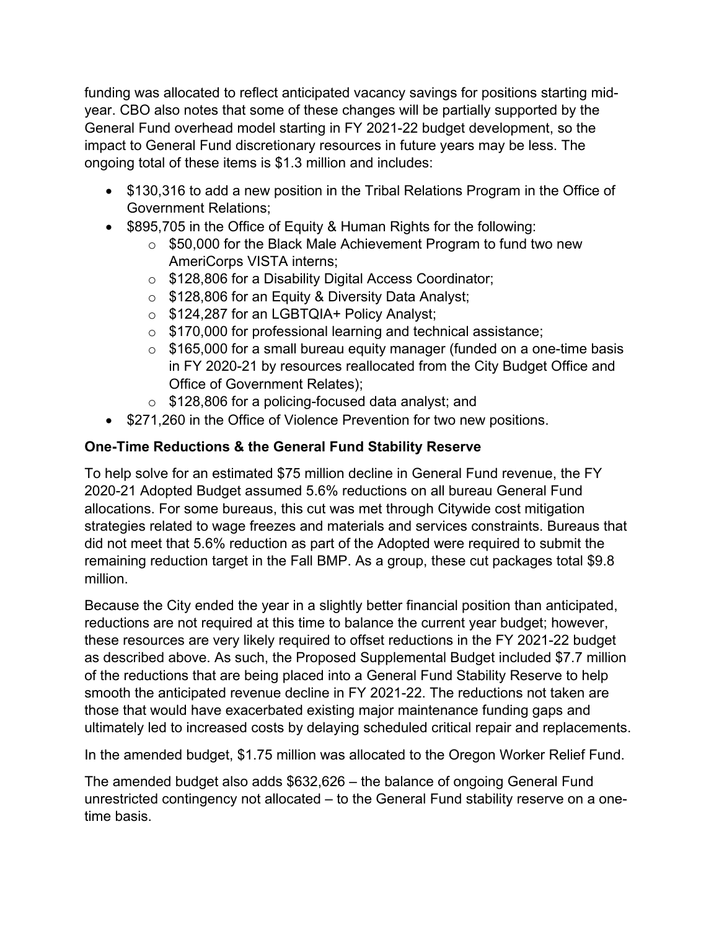funding was allocated to reflect anticipated vacancy savings for positions starting midyear. CBO also notes that some of these changes will be partially supported by the General Fund overhead model starting in FY 2021-22 budget development, so the impact to General Fund discretionary resources in future years may be less. The ongoing total of these items is \$1.3 million and includes:

- \$130,316 to add a new position in the Tribal Relations Program in the Office of Government Relations;
- \$895,705 in the Office of Equity & Human Rights for the following:
	- o \$50,000 for the Black Male Achievement Program to fund two new AmeriCorps VISTA interns;
	- o \$128,806 for a Disability Digital Access Coordinator;
	- o \$128,806 for an Equity & Diversity Data Analyst;
	- o \$124,287 for an LGBTQIA+ Policy Analyst;
	- o \$170,000 for professional learning and technical assistance;
	- $\circ$  \$165,000 for a small bureau equity manager (funded on a one-time basis in FY 2020-21 by resources reallocated from the City Budget Office and Office of Government Relates);
	- o \$128,806 for a policing-focused data analyst; and
- \$271,260 in the Office of Violence Prevention for two new positions.

#### **One-Time Reductions & the General Fund Stability Reserve**

To help solve for an estimated \$75 million decline in General Fund revenue, the FY 2020-21 Adopted Budget assumed 5.6% reductions on all bureau General Fund allocations. For some bureaus, this cut was met through Citywide cost mitigation strategies related to wage freezes and materials and services constraints. Bureaus that did not meet that 5.6% reduction as part of the Adopted were required to submit the remaining reduction target in the Fall BMP. As a group, these cut packages total \$9.8 million.

Because the City ended the year in a slightly better financial position than anticipated, reductions are not required at this time to balance the current year budget; however, these resources are very likely required to offset reductions in the FY 2021-22 budget as described above. As such, the Proposed Supplemental Budget included \$7.7 million of the reductions that are being placed into a General Fund Stability Reserve to help smooth the anticipated revenue decline in FY 2021-22. The reductions not taken are those that would have exacerbated existing major maintenance funding gaps and ultimately led to increased costs by delaying scheduled critical repair and replacements.

In the amended budget, \$1.75 million was allocated to the Oregon Worker Relief Fund.

The amended budget also adds \$632,626 – the balance of ongoing General Fund unrestricted contingency not allocated – to the General Fund stability reserve on a onetime basis.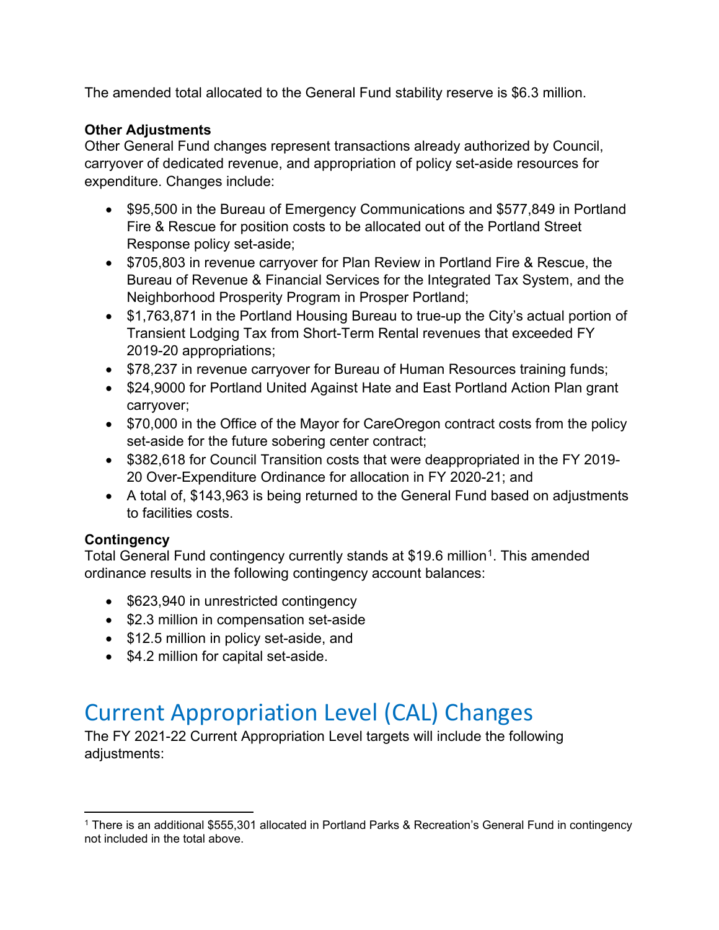The amended total allocated to the General Fund stability reserve is \$6.3 million.

#### **Other Adjustments**

Other General Fund changes represent transactions already authorized by Council, carryover of dedicated revenue, and appropriation of policy set-aside resources for expenditure. Changes include:

- \$95,500 in the Bureau of Emergency Communications and \$577,849 in Portland Fire & Rescue for position costs to be allocated out of the Portland Street Response policy set-aside;
- \$705,803 in revenue carryover for Plan Review in Portland Fire & Rescue, the Bureau of Revenue & Financial Services for the Integrated Tax System, and the Neighborhood Prosperity Program in Prosper Portland;
- \$1,763,871 in the Portland Housing Bureau to true-up the City's actual portion of Transient Lodging Tax from Short-Term Rental revenues that exceeded FY 2019-20 appropriations;
- \$78,237 in revenue carryover for Bureau of Human Resources training funds;
- \$24,9000 for Portland United Against Hate and East Portland Action Plan grant carryover;
- \$70,000 in the Office of the Mayor for CareOregon contract costs from the policy set-aside for the future sobering center contract;
- \$382,618 for Council Transition costs that were deappropriated in the FY 2019-20 Over-Expenditure Ordinance for allocation in FY 2020-21; and
- A total of, \$143,963 is being returned to the General Fund based on adjustments to facilities costs.

#### **Contingency**

Total General Fund contingency currently stands at \$19.6 million<sup>1</sup>. This amended ordinance results in the following contingency account balances:

- \$623,940 in unrestricted contingency
- \$2.3 million in compensation set-aside
- \$12.5 million in policy set-aside, and
- \$4.2 million for capital set-aside.

# Current Appropriation Level (CAL) Changes

The FY 2021-22 Current Appropriation Level targets will include the following adjustments:

<span id="page-8-0"></span><sup>&</sup>lt;sup>1</sup> There is an additional \$555,301 allocated in Portland Parks & Recreation's General Fund in contingency not included in the total above.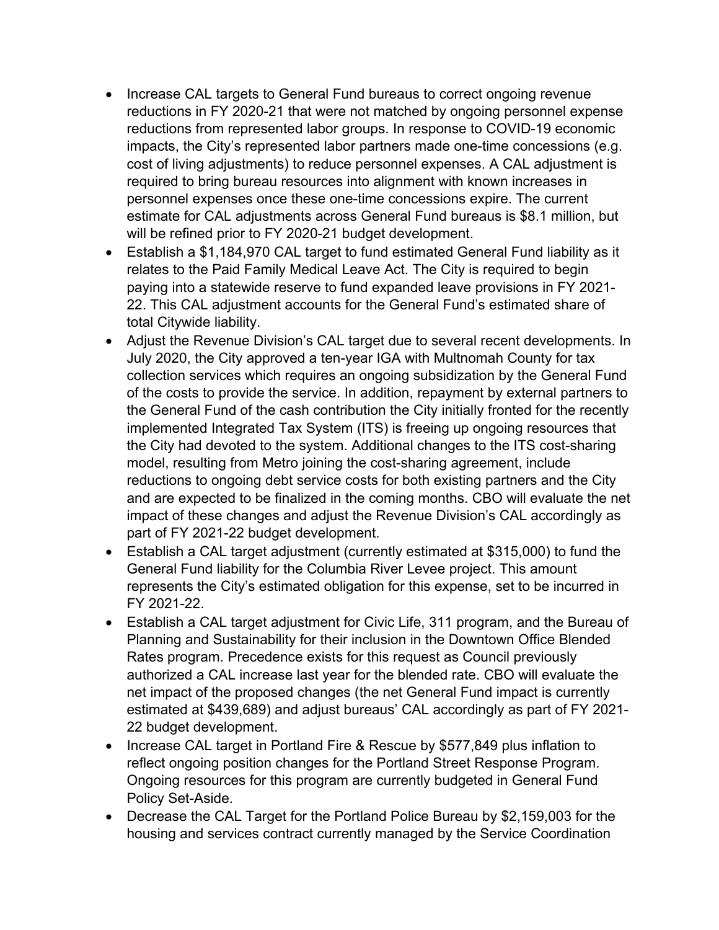- Increase CAL targets to General Fund bureaus to correct ongoing revenue reductions in FY 2020-21 that were not matched by ongoing personnel expense reductions from represented labor groups. In response to COVID-19 economic impacts, the City's represented labor partners made one-time concessions (e.g. cost of living adjustments) to reduce personnel expenses. A CAL adjustment is required to bring bureau resources into alignment with known increases in personnel expenses once these one-time concessions expire. The current estimate for CAL adjustments across General Fund bureaus is \$8.1 million, but will be refined prior to FY 2020-21 budget development.
- Establish a \$1,184,970 CAL target to fund estimated General Fund liability as it relates to the Paid Family Medical Leave Act. The City is required to begin paying into a statewide reserve to fund expanded leave provisions in FY 2021- 22. This CAL adjustment accounts for the General Fund's estimated share of total Citywide liability.
- Adjust the Revenue Division's CAL target due to several recent developments. In July 2020, the City approved a ten-year IGA with Multnomah County for tax collection services which requires an ongoing subsidization by the General Fund of the costs to provide the service. In addition, repayment by external partners to the General Fund of the cash contribution the City initially fronted for the recently implemented Integrated Tax System (ITS) is freeing up ongoing resources that the City had devoted to the system. Additional changes to the ITS cost-sharing model, resulting from Metro joining the cost-sharing agreement, include reductions to ongoing debt service costs for both existing partners and the City and are expected to be finalized in the coming months. CBO will evaluate the net impact of these changes and adjust the Revenue Division's CAL accordingly as part of FY 2021-22 budget development.
- Establish a CAL target adjustment (currently estimated at \$315,000) to fund the General Fund liability for the Columbia River Levee project. This amount represents the City's estimated obligation for this expense, set to be incurred in FY 2021-22.
- Establish a CAL target adjustment for Civic Life, 311 program, and the Bureau of Planning and Sustainability for their inclusion in the Downtown Office Blended Rates program. Precedence exists for this request as Council previously authorized a CAL increase last year for the blended rate. CBO will evaluate the net impact of the proposed changes (the net General Fund impact is currently estimated at \$439,689) and adjust bureaus' CAL accordingly as part of FY 2021- 22 budget development.
- Increase CAL target in Portland Fire & Rescue by \$577,849 plus inflation to reflect ongoing position changes for the Portland Street Response Program. Ongoing resources for this program are currently budgeted in General Fund Policy Set-Aside.
- Decrease the CAL Target for the Portland Police Bureau by \$2,159,003 for the housing and services contract currently managed by the Service Coordination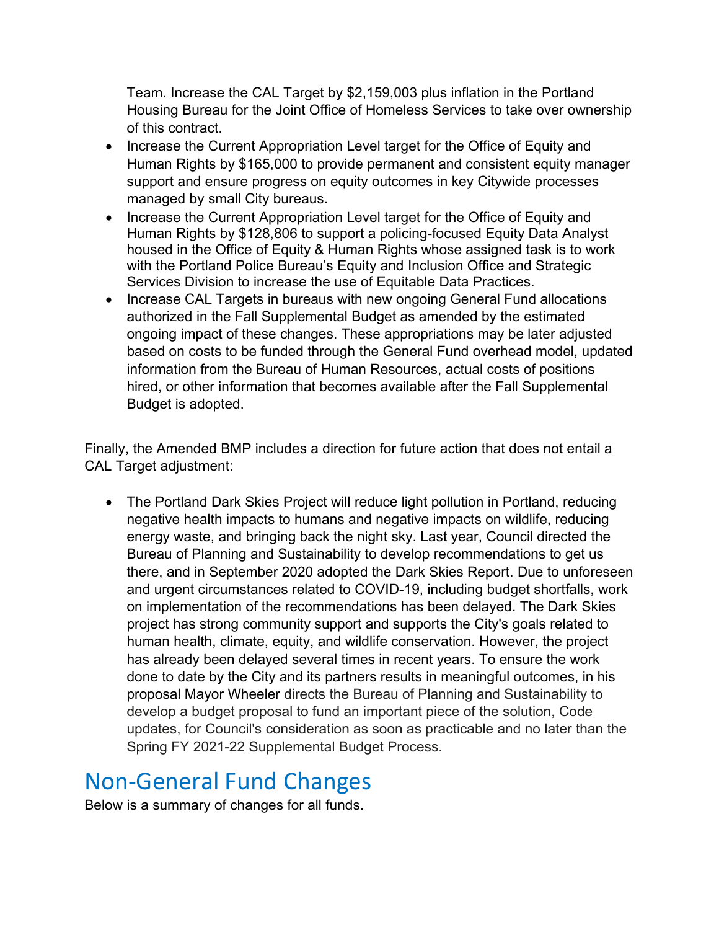Team. Increase the CAL Target by \$2,159,003 plus inflation in the Portland Housing Bureau for the Joint Office of Homeless Services to take over ownership of this contract.

- Increase the Current Appropriation Level target for the Office of Equity and Human Rights by \$165,000 to provide permanent and consistent equity manager support and ensure progress on equity outcomes in key Citywide processes managed by small City bureaus.
- Increase the Current Appropriation Level target for the Office of Equity and Human Rights by \$128,806 to support a policing-focused Equity Data Analyst housed in the Office of Equity & Human Rights whose assigned task is to work with the Portland Police Bureau's Equity and Inclusion Office and Strategic Services Division to increase the use of Equitable Data Practices.
- Increase CAL Targets in bureaus with new ongoing General Fund allocations authorized in the Fall Supplemental Budget as amended by the estimated ongoing impact of these changes. These appropriations may be later adjusted based on costs to be funded through the General Fund overhead model, updated information from the Bureau of Human Resources, actual costs of positions hired, or other information that becomes available after the Fall Supplemental Budget is adopted.

Finally, the Amended BMP includes a direction for future action that does not entail a CAL Target adjustment:

• The Portland Dark Skies Project will reduce light pollution in Portland, reducing negative health impacts to humans and negative impacts on wildlife, reducing energy waste, and bringing back the night sky. Last year, Council directed the Bureau of Planning and Sustainability to develop recommendations to get us there, and in September 2020 adopted the Dark Skies Report. Due to unforeseen and urgent circumstances related to COVID-19, including budget shortfalls, work on implementation of the recommendations has been delayed. The Dark Skies project has strong community support and supports the City's goals related to human health, climate, equity, and wildlife conservation. However, the project has already been delayed several times in recent years. To ensure the work done to date by the City and its partners results in meaningful outcomes, in his proposal Mayor Wheeler directs the Bureau of Planning and Sustainability to develop a budget proposal to fund an important piece of the solution, Code updates, for Council's consideration as soon as practicable and no later than the Spring FY 2021-22 Supplemental Budget Process.

## Non-General Fund Changes

Below is a summary of changes for all funds.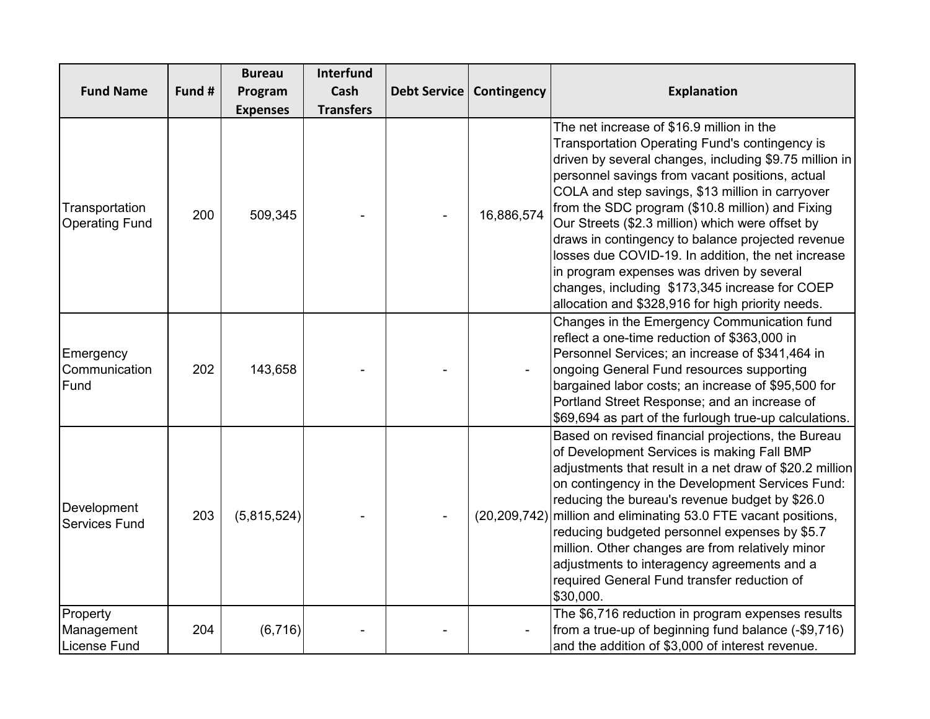|                                               |        | <b>Bureau</b>   | <b>Interfund</b> |              |                |                                                                                                                                                                                                                                                                                                                                                                                                                                                                                                                                                                                                                                     |
|-----------------------------------------------|--------|-----------------|------------------|--------------|----------------|-------------------------------------------------------------------------------------------------------------------------------------------------------------------------------------------------------------------------------------------------------------------------------------------------------------------------------------------------------------------------------------------------------------------------------------------------------------------------------------------------------------------------------------------------------------------------------------------------------------------------------------|
| <b>Fund Name</b>                              | Fund # | Program         | Cash             | Debt Service | Contingency    | <b>Explanation</b>                                                                                                                                                                                                                                                                                                                                                                                                                                                                                                                                                                                                                  |
|                                               |        | <b>Expenses</b> | <b>Transfers</b> |              |                |                                                                                                                                                                                                                                                                                                                                                                                                                                                                                                                                                                                                                                     |
| Transportation<br><b>Operating Fund</b>       | 200    | 509,345         |                  |              | 16,886,574     | The net increase of \$16.9 million in the<br>Transportation Operating Fund's contingency is<br>driven by several changes, including \$9.75 million in<br>personnel savings from vacant positions, actual<br>COLA and step savings, \$13 million in carryover<br>from the SDC program (\$10.8 million) and Fixing<br>Our Streets (\$2.3 million) which were offset by<br>draws in contingency to balance projected revenue<br>losses due COVID-19. In addition, the net increase<br>in program expenses was driven by several<br>changes, including \$173,345 increase for COEP<br>allocation and \$328,916 for high priority needs. |
| Emergency<br>Communication<br>Fund            | 202    | 143,658         |                  |              |                | Changes in the Emergency Communication fund<br>reflect a one-time reduction of \$363,000 in<br>Personnel Services; an increase of \$341,464 in<br>ongoing General Fund resources supporting<br>bargained labor costs; an increase of \$95,500 for<br>Portland Street Response; and an increase of<br>\$69,694 as part of the furlough true-up calculations.                                                                                                                                                                                                                                                                         |
| Development<br><b>Services Fund</b>           | 203    | (5,815,524)     |                  |              | (20, 209, 742) | Based on revised financial projections, the Bureau<br>of Development Services is making Fall BMP<br>adjustments that result in a net draw of \$20.2 million<br>on contingency in the Development Services Fund:<br>reducing the bureau's revenue budget by \$26.0<br>million and eliminating 53.0 FTE vacant positions,<br>reducing budgeted personnel expenses by \$5.7<br>million. Other changes are from relatively minor<br>adjustments to interagency agreements and a<br>required General Fund transfer reduction of<br>\$30,000.                                                                                             |
| Property<br>Management<br><b>License Fund</b> | 204    | (6, 716)        |                  |              |                | The \$6,716 reduction in program expenses results<br>from a true-up of beginning fund balance (-\$9,716)<br>and the addition of \$3,000 of interest revenue.                                                                                                                                                                                                                                                                                                                                                                                                                                                                        |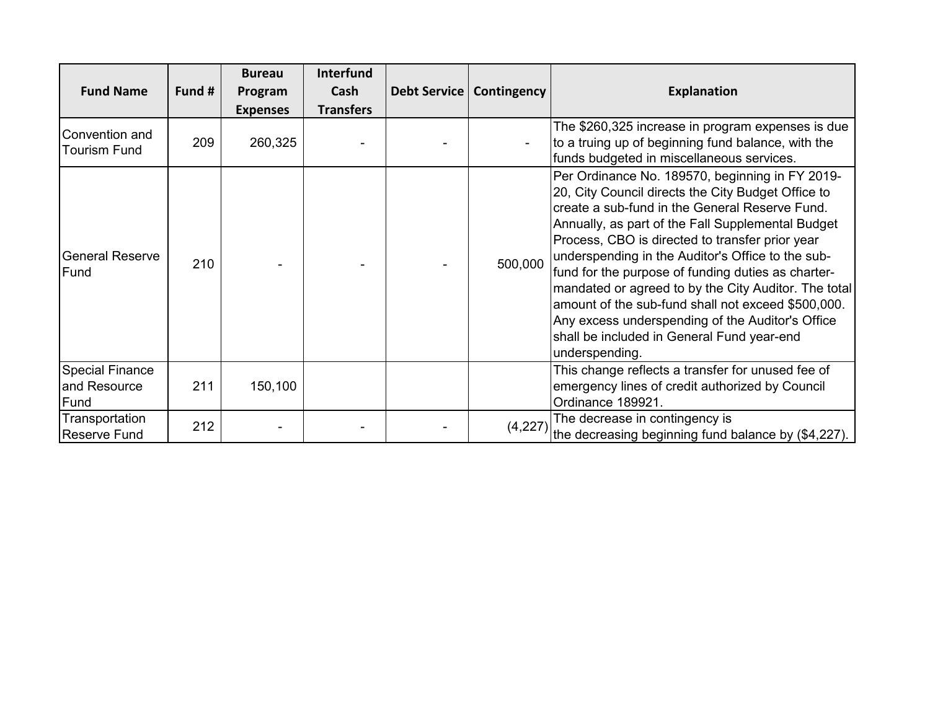|                                                |        | <b>Bureau</b>   | <b>Interfund</b> |                            |                                                                                                                                                                                                                                                                                                                                                                                                                                                                                                                                                                                                              |
|------------------------------------------------|--------|-----------------|------------------|----------------------------|--------------------------------------------------------------------------------------------------------------------------------------------------------------------------------------------------------------------------------------------------------------------------------------------------------------------------------------------------------------------------------------------------------------------------------------------------------------------------------------------------------------------------------------------------------------------------------------------------------------|
| <b>Fund Name</b>                               | Fund # | Program         | Cash             | Debt Service   Contingency | <b>Explanation</b>                                                                                                                                                                                                                                                                                                                                                                                                                                                                                                                                                                                           |
|                                                |        | <b>Expenses</b> | <b>Transfers</b> |                            |                                                                                                                                                                                                                                                                                                                                                                                                                                                                                                                                                                                                              |
| Convention and<br>Tourism Fund                 | 209    | 260,325         |                  |                            | The \$260,325 increase in program expenses is due<br>to a truing up of beginning fund balance, with the<br>funds budgeted in miscellaneous services.                                                                                                                                                                                                                                                                                                                                                                                                                                                         |
| <b>General Reserve</b><br>Fund                 | 210    |                 |                  | 500,000                    | Per Ordinance No. 189570, beginning in FY 2019-<br>20, City Council directs the City Budget Office to<br>create a sub-fund in the General Reserve Fund.<br>Annually, as part of the Fall Supplemental Budget<br>Process, CBO is directed to transfer prior year<br>underspending in the Auditor's Office to the sub-<br>fund for the purpose of funding duties as charter-<br>mandated or agreed to by the City Auditor. The total<br>amount of the sub-fund shall not exceed \$500,000.<br>Any excess underspending of the Auditor's Office<br>shall be included in General Fund year-end<br>underspending. |
| <b>Special Finance</b><br>and Resource<br>Fund | 211    | 150,100         |                  |                            | This change reflects a transfer for unused fee of<br>emergency lines of credit authorized by Council<br>Ordinance 189921.                                                                                                                                                                                                                                                                                                                                                                                                                                                                                    |
| Transportation<br><b>Reserve Fund</b>          | 212    |                 |                  | (4,227)                    | The decrease in contingency is<br>the decreasing beginning fund balance by (\$4,227).                                                                                                                                                                                                                                                                                                                                                                                                                                                                                                                        |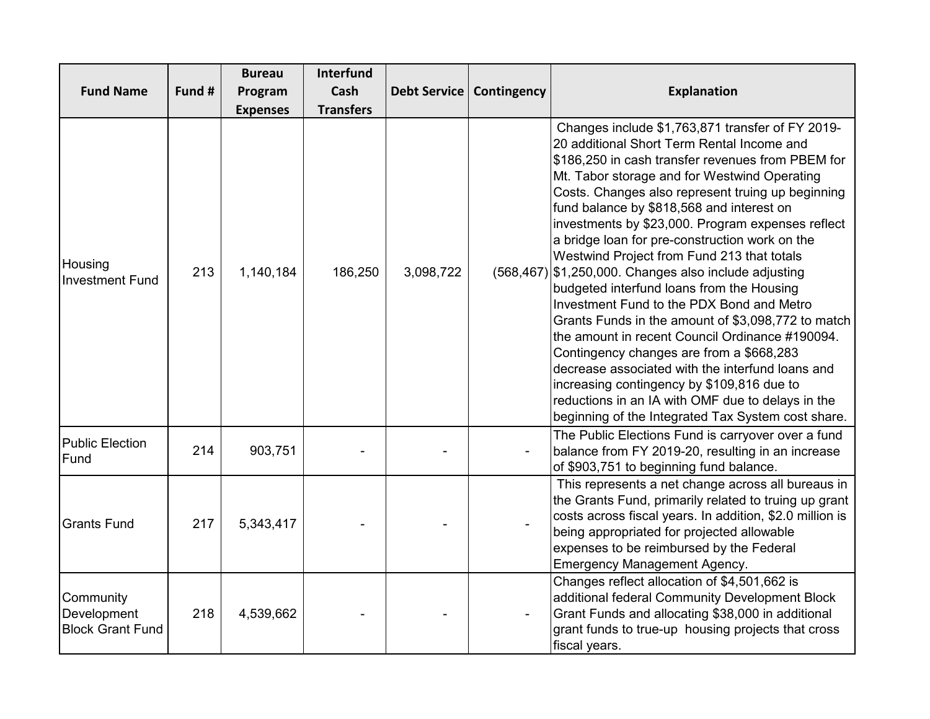|                                                     |        | <b>Bureau</b>   | <b>Interfund</b> |                     |             |                                                                                                                                                                                                                                                                                                                                                                                                                                                                                                                                                                                                                                                                                                                                                                                                                                                                                                                                                                                   |
|-----------------------------------------------------|--------|-----------------|------------------|---------------------|-------------|-----------------------------------------------------------------------------------------------------------------------------------------------------------------------------------------------------------------------------------------------------------------------------------------------------------------------------------------------------------------------------------------------------------------------------------------------------------------------------------------------------------------------------------------------------------------------------------------------------------------------------------------------------------------------------------------------------------------------------------------------------------------------------------------------------------------------------------------------------------------------------------------------------------------------------------------------------------------------------------|
| <b>Fund Name</b>                                    | Fund # | Program         | Cash             | <b>Debt Service</b> | Contingency | <b>Explanation</b>                                                                                                                                                                                                                                                                                                                                                                                                                                                                                                                                                                                                                                                                                                                                                                                                                                                                                                                                                                |
|                                                     |        | <b>Expenses</b> | <b>Transfers</b> |                     |             |                                                                                                                                                                                                                                                                                                                                                                                                                                                                                                                                                                                                                                                                                                                                                                                                                                                                                                                                                                                   |
| Housing<br><b>Investment Fund</b>                   | 213    | 1,140,184       | 186,250          | 3,098,722           |             | Changes include \$1,763,871 transfer of FY 2019-<br>20 additional Short Term Rental Income and<br>\$186,250 in cash transfer revenues from PBEM for<br>Mt. Tabor storage and for Westwind Operating<br>Costs. Changes also represent truing up beginning<br>fund balance by \$818,568 and interest on<br>investments by \$23,000. Program expenses reflect<br>a bridge loan for pre-construction work on the<br>Westwind Project from Fund 213 that totals<br>$(568,467)$ \$1,250,000. Changes also include adjusting<br>budgeted interfund loans from the Housing<br>Investment Fund to the PDX Bond and Metro<br>Grants Funds in the amount of \$3,098,772 to match<br>the amount in recent Council Ordinance #190094.<br>Contingency changes are from a \$668,283<br>decrease associated with the interfund loans and<br>increasing contingency by \$109,816 due to<br>reductions in an IA with OMF due to delays in the<br>beginning of the Integrated Tax System cost share. |
| <b>Public Election</b><br>Fund                      | 214    | 903,751         |                  |                     |             | The Public Elections Fund is carryover over a fund<br>balance from FY 2019-20, resulting in an increase<br>of \$903,751 to beginning fund balance.                                                                                                                                                                                                                                                                                                                                                                                                                                                                                                                                                                                                                                                                                                                                                                                                                                |
| <b>Grants Fund</b>                                  | 217    | 5,343,417       |                  |                     |             | This represents a net change across all bureaus in<br>the Grants Fund, primarily related to truing up grant<br>costs across fiscal years. In addition, \$2.0 million is<br>being appropriated for projected allowable<br>expenses to be reimbursed by the Federal<br><b>Emergency Management Agency.</b>                                                                                                                                                                                                                                                                                                                                                                                                                                                                                                                                                                                                                                                                          |
| Community<br>Development<br><b>Block Grant Fund</b> | 218    | 4,539,662       |                  |                     |             | Changes reflect allocation of \$4,501,662 is<br>additional federal Community Development Block<br>Grant Funds and allocating \$38,000 in additional<br>grant funds to true-up housing projects that cross<br>fiscal years.                                                                                                                                                                                                                                                                                                                                                                                                                                                                                                                                                                                                                                                                                                                                                        |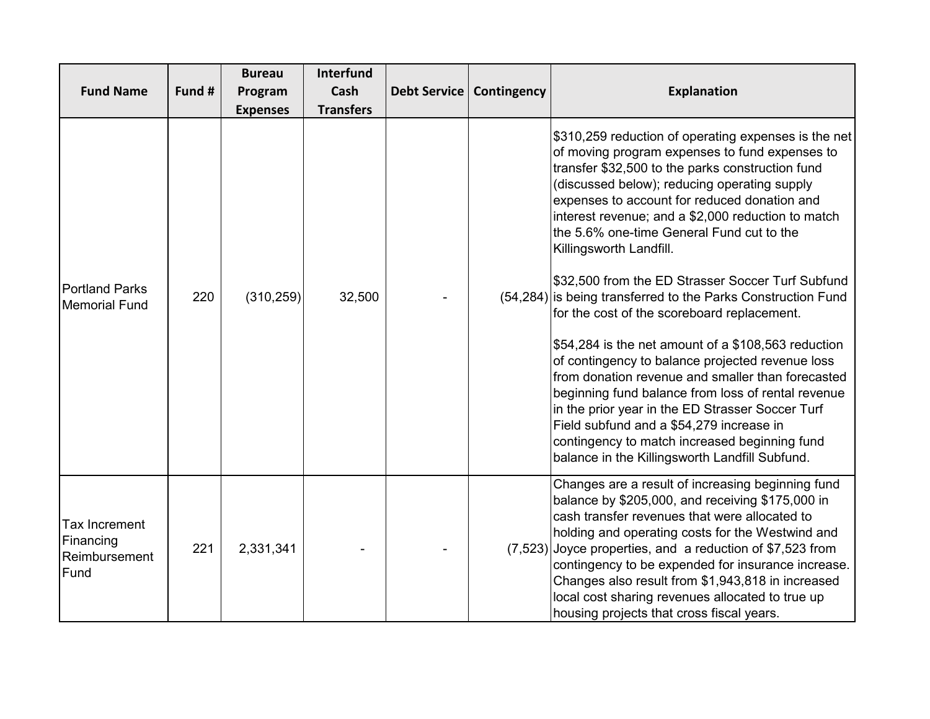|                                                     |        | <b>Bureau</b>              | Interfund                |              |             |                                                                                                                                                                                                                                                                                                                                                                                                                                                                                                                                                                                                                                                                                                                                                                                                                                                                                                                                                                                       |
|-----------------------------------------------------|--------|----------------------------|--------------------------|--------------|-------------|---------------------------------------------------------------------------------------------------------------------------------------------------------------------------------------------------------------------------------------------------------------------------------------------------------------------------------------------------------------------------------------------------------------------------------------------------------------------------------------------------------------------------------------------------------------------------------------------------------------------------------------------------------------------------------------------------------------------------------------------------------------------------------------------------------------------------------------------------------------------------------------------------------------------------------------------------------------------------------------|
| <b>Fund Name</b>                                    | Fund # | Program<br><b>Expenses</b> | Cash<br><b>Transfers</b> | Debt Service | Contingency | <b>Explanation</b>                                                                                                                                                                                                                                                                                                                                                                                                                                                                                                                                                                                                                                                                                                                                                                                                                                                                                                                                                                    |
| <b>Portland Parks</b><br><b>Memorial Fund</b>       | 220    | (310, 259)                 | 32,500                   |              |             | \$310,259 reduction of operating expenses is the net<br>of moving program expenses to fund expenses to<br>transfer \$32,500 to the parks construction fund<br>(discussed below); reducing operating supply<br>expenses to account for reduced donation and<br>interest revenue; and a \$2,000 reduction to match<br>the 5.6% one-time General Fund cut to the<br>Killingsworth Landfill.<br>\$32,500 from the ED Strasser Soccer Turf Subfund<br>(54,284) is being transferred to the Parks Construction Fund<br>for the cost of the scoreboard replacement.<br>\$54,284 is the net amount of a \$108,563 reduction<br>of contingency to balance projected revenue loss<br>from donation revenue and smaller than forecasted<br>beginning fund balance from loss of rental revenue<br>in the prior year in the ED Strasser Soccer Turf<br>Field subfund and a \$54,279 increase in<br>contingency to match increased beginning fund<br>balance in the Killingsworth Landfill Subfund. |
| Tax Increment<br>Financing<br>Reimbursement<br>Fund | 221    | 2,331,341                  |                          |              |             | Changes are a result of increasing beginning fund<br>balance by \$205,000, and receiving \$175,000 in<br>cash transfer revenues that were allocated to<br>holding and operating costs for the Westwind and<br>$(7,523)$ Joyce properties, and a reduction of \$7,523 from<br>contingency to be expended for insurance increase.<br>Changes also result from \$1,943,818 in increased<br>local cost sharing revenues allocated to true up<br>housing projects that cross fiscal years.                                                                                                                                                                                                                                                                                                                                                                                                                                                                                                 |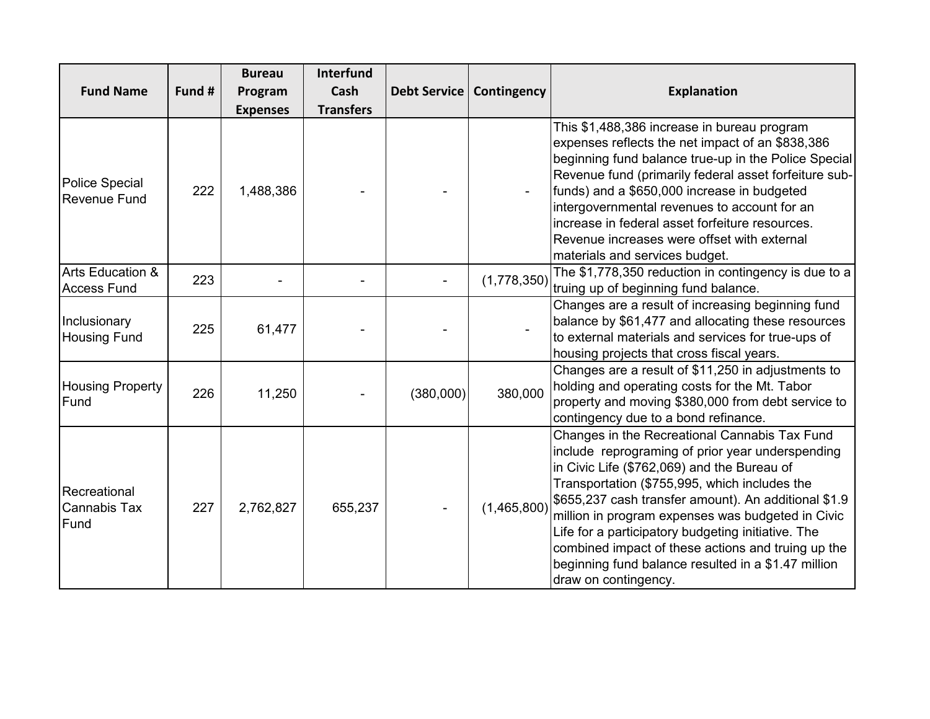| <b>Fund Name</b>                                  | Fund # | <b>Bureau</b><br>Program     | <b>Interfund</b><br>Cash<br><b>Transfers</b> | <b>Debt Service</b> | Contingency | <b>Explanation</b>                                                                                                                                                                                                                                                                                                                                                                                                                                                                                        |
|---------------------------------------------------|--------|------------------------------|----------------------------------------------|---------------------|-------------|-----------------------------------------------------------------------------------------------------------------------------------------------------------------------------------------------------------------------------------------------------------------------------------------------------------------------------------------------------------------------------------------------------------------------------------------------------------------------------------------------------------|
| Police Special<br><b>Revenue Fund</b>             | 222    | <b>Expenses</b><br>1,488,386 |                                              |                     |             | This \$1,488,386 increase in bureau program<br>expenses reflects the net impact of an \$838,386<br>beginning fund balance true-up in the Police Special<br>Revenue fund (primarily federal asset forfeiture sub-<br>funds) and a \$650,000 increase in budgeted<br>intergovernmental revenues to account for an<br>increase in federal asset forfeiture resources.<br>Revenue increases were offset with external<br>materials and services budget.                                                       |
| <b>Arts Education &amp;</b><br><b>Access Fund</b> | 223    |                              |                                              |                     | (1,778,350) | The \$1,778,350 reduction in contingency is due to a<br>truing up of beginning fund balance.                                                                                                                                                                                                                                                                                                                                                                                                              |
| Inclusionary<br><b>Housing Fund</b>               | 225    | 61,477                       |                                              |                     |             | Changes are a result of increasing beginning fund<br>balance by \$61,477 and allocating these resources<br>to external materials and services for true-ups of<br>housing projects that cross fiscal years.                                                                                                                                                                                                                                                                                                |
| <b>Housing Property</b><br>Fund                   | 226    | 11,250                       |                                              | (380,000)           | 380,000     | Changes are a result of \$11,250 in adjustments to<br>holding and operating costs for the Mt. Tabor<br>property and moving \$380,000 from debt service to<br>contingency due to a bond refinance.                                                                                                                                                                                                                                                                                                         |
| Recreational<br>Cannabis Tax<br>Fund              | 227    | 2,762,827                    | 655,237                                      |                     | (1,465,800) | Changes in the Recreational Cannabis Tax Fund<br>include reprograming of prior year underspending<br>in Civic Life (\$762,069) and the Bureau of<br>Transportation (\$755,995, which includes the<br>\$655,237 cash transfer amount). An additional \$1.9<br>million in program expenses was budgeted in Civic<br>Life for a participatory budgeting initiative. The<br>combined impact of these actions and truing up the<br>beginning fund balance resulted in a \$1.47 million<br>draw on contingency. |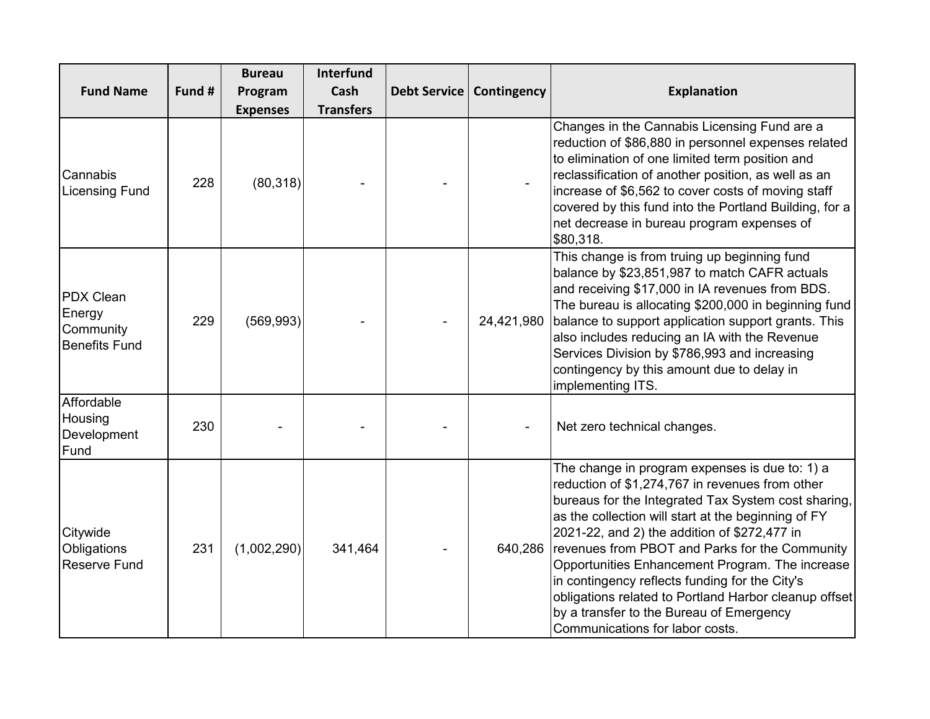|                                                          |        | <b>Bureau</b>   | <b>Interfund</b> |                     |             |                                                                                                                                                                                                                                                                                                                                                                                                                                                                                                                                                                |
|----------------------------------------------------------|--------|-----------------|------------------|---------------------|-------------|----------------------------------------------------------------------------------------------------------------------------------------------------------------------------------------------------------------------------------------------------------------------------------------------------------------------------------------------------------------------------------------------------------------------------------------------------------------------------------------------------------------------------------------------------------------|
| <b>Fund Name</b>                                         | Fund # | Program         | Cash             | <b>Debt Service</b> | Contingency | <b>Explanation</b>                                                                                                                                                                                                                                                                                                                                                                                                                                                                                                                                             |
|                                                          |        | <b>Expenses</b> | <b>Transfers</b> |                     |             |                                                                                                                                                                                                                                                                                                                                                                                                                                                                                                                                                                |
| Cannabis<br><b>Licensing Fund</b>                        | 228    | (80, 318)       |                  |                     |             | Changes in the Cannabis Licensing Fund are a<br>reduction of \$86,880 in personnel expenses related<br>to elimination of one limited term position and<br>reclassification of another position, as well as an<br>increase of \$6,562 to cover costs of moving staff<br>covered by this fund into the Portland Building, for a<br>net decrease in bureau program expenses of<br>\$80,318.                                                                                                                                                                       |
| PDX Clean<br>Energy<br>Community<br><b>Benefits Fund</b> | 229    | (569, 993)      |                  |                     | 24,421,980  | This change is from truing up beginning fund<br>balance by \$23,851,987 to match CAFR actuals<br>and receiving \$17,000 in IA revenues from BDS.<br>The bureau is allocating \$200,000 in beginning fund<br>balance to support application support grants. This<br>also includes reducing an IA with the Revenue<br>Services Division by \$786,993 and increasing<br>contingency by this amount due to delay in<br>implementing ITS.                                                                                                                           |
| Affordable<br>Housing<br>Development<br>Fund             | 230    |                 |                  |                     |             | Net zero technical changes.                                                                                                                                                                                                                                                                                                                                                                                                                                                                                                                                    |
| Citywide<br>Obligations<br><b>Reserve Fund</b>           | 231    | (1,002,290)     | 341,464          |                     | 640,286     | The change in program expenses is due to: 1) a<br>reduction of \$1,274,767 in revenues from other<br>bureaus for the Integrated Tax System cost sharing,<br>as the collection will start at the beginning of FY<br>2021-22, and 2) the addition of \$272,477 in<br>revenues from PBOT and Parks for the Community<br>Opportunities Enhancement Program. The increase<br>in contingency reflects funding for the City's<br>obligations related to Portland Harbor cleanup offset<br>by a transfer to the Bureau of Emergency<br>Communications for labor costs. |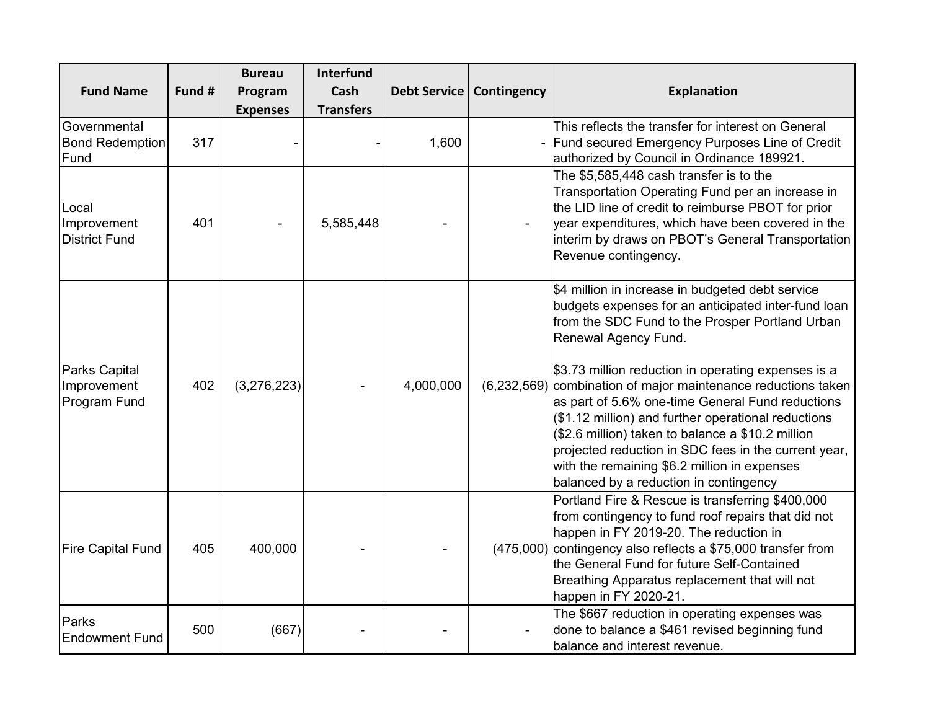|                                                |        | <b>Bureau</b>   | <b>Interfund</b> |           |                            |                                                                                                                                                                                                                                                                                                                                                                                                                                                                                                                                                                                                                              |
|------------------------------------------------|--------|-----------------|------------------|-----------|----------------------------|------------------------------------------------------------------------------------------------------------------------------------------------------------------------------------------------------------------------------------------------------------------------------------------------------------------------------------------------------------------------------------------------------------------------------------------------------------------------------------------------------------------------------------------------------------------------------------------------------------------------------|
| <b>Fund Name</b>                               | Fund # | Program         | Cash             |           | Debt Service   Contingency | <b>Explanation</b>                                                                                                                                                                                                                                                                                                                                                                                                                                                                                                                                                                                                           |
|                                                |        | <b>Expenses</b> | <b>Transfers</b> |           |                            |                                                                                                                                                                                                                                                                                                                                                                                                                                                                                                                                                                                                                              |
| Governmental<br><b>Bond Redemption</b><br>Fund | 317    |                 |                  | 1,600     |                            | This reflects the transfer for interest on General<br>Fund secured Emergency Purposes Line of Credit<br>authorized by Council in Ordinance 189921.                                                                                                                                                                                                                                                                                                                                                                                                                                                                           |
| Local<br>Improvement<br><b>District Fund</b>   | 401    |                 | 5,585,448        |           |                            | The \$5,585,448 cash transfer is to the<br>Transportation Operating Fund per an increase in<br>the LID line of credit to reimburse PBOT for prior<br>year expenditures, which have been covered in the<br>interim by draws on PBOT's General Transportation<br>Revenue contingency.                                                                                                                                                                                                                                                                                                                                          |
| Parks Capital<br>Improvement<br>Program Fund   | 402    | (3,276,223)     |                  | 4,000,000 |                            | \$4 million in increase in budgeted debt service<br>budgets expenses for an anticipated inter-fund loan<br>from the SDC Fund to the Prosper Portland Urban<br>Renewal Agency Fund.<br>\$3.73 million reduction in operating expenses is a<br>(6,232,569) combination of major maintenance reductions taken<br>as part of 5.6% one-time General Fund reductions<br>(\$1.12 million) and further operational reductions<br>(\$2.6 million) taken to balance a \$10.2 million<br>projected reduction in SDC fees in the current year,<br>with the remaining \$6.2 million in expenses<br>balanced by a reduction in contingency |
| <b>Fire Capital Fund</b>                       | 405    | 400,000         |                  |           | (475,000)                  | Portland Fire & Rescue is transferring \$400,000<br>from contingency to fund roof repairs that did not<br>happen in FY 2019-20. The reduction in<br>contingency also reflects a \$75,000 transfer from<br>the General Fund for future Self-Contained<br>Breathing Apparatus replacement that will not<br>happen in FY 2020-21.                                                                                                                                                                                                                                                                                               |
| Parks<br><b>Endowment Fund</b>                 | 500    | (667)           |                  |           |                            | The \$667 reduction in operating expenses was<br>done to balance a \$461 revised beginning fund<br>balance and interest revenue.                                                                                                                                                                                                                                                                                                                                                                                                                                                                                             |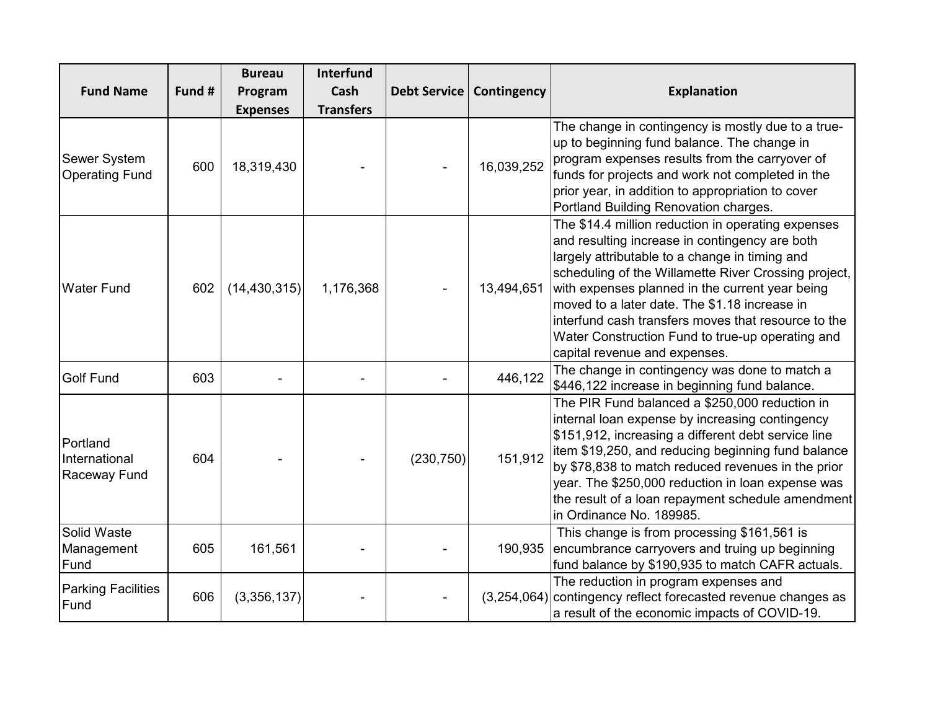|                                           |        | <b>Bureau</b>   | <b>Interfund</b> |                     |             |                                                                                                                                                                                                                                                                                                                                                                                                                                                                |
|-------------------------------------------|--------|-----------------|------------------|---------------------|-------------|----------------------------------------------------------------------------------------------------------------------------------------------------------------------------------------------------------------------------------------------------------------------------------------------------------------------------------------------------------------------------------------------------------------------------------------------------------------|
| <b>Fund Name</b>                          | Fund # | Program         | Cash             | <b>Debt Service</b> | Contingency | <b>Explanation</b>                                                                                                                                                                                                                                                                                                                                                                                                                                             |
|                                           |        | <b>Expenses</b> | <b>Transfers</b> |                     |             |                                                                                                                                                                                                                                                                                                                                                                                                                                                                |
| Sewer System<br><b>Operating Fund</b>     | 600    | 18,319,430      |                  |                     | 16,039,252  | The change in contingency is mostly due to a true-<br>up to beginning fund balance. The change in<br>program expenses results from the carryover of<br>funds for projects and work not completed in the<br>prior year, in addition to appropriation to cover<br>Portland Building Renovation charges.                                                                                                                                                          |
| <b>Water Fund</b>                         | 602    | (14, 430, 315)  | 1,176,368        |                     | 13,494,651  | The \$14.4 million reduction in operating expenses<br>and resulting increase in contingency are both<br>largely attributable to a change in timing and<br>scheduling of the Willamette River Crossing project,<br>with expenses planned in the current year being<br>moved to a later date. The \$1.18 increase in<br>interfund cash transfers moves that resource to the<br>Water Construction Fund to true-up operating and<br>capital revenue and expenses. |
| <b>Golf Fund</b>                          | 603    |                 |                  |                     | 446,122     | The change in contingency was done to match a<br>\$446,122 increase in beginning fund balance.                                                                                                                                                                                                                                                                                                                                                                 |
| Portland<br>International<br>Raceway Fund | 604    |                 |                  | (230, 750)          | 151,912     | The PIR Fund balanced a \$250,000 reduction in<br>internal loan expense by increasing contingency<br>\$151,912, increasing a different debt service line<br>item \$19,250, and reducing beginning fund balance<br>by \$78,838 to match reduced revenues in the prior<br>year. The \$250,000 reduction in loan expense was<br>the result of a loan repayment schedule amendment<br>in Ordinance No. 189985.                                                     |
| Solid Waste<br>Management<br>Fund         | 605    | 161,561         |                  |                     | 190,935     | This change is from processing \$161,561 is<br>encumbrance carryovers and truing up beginning<br>fund balance by \$190,935 to match CAFR actuals.                                                                                                                                                                                                                                                                                                              |
| <b>Parking Facilities</b><br>Fund         | 606    | (3,356,137)     |                  |                     |             | The reduction in program expenses and<br>$(3,254,064)$ contingency reflect forecasted revenue changes as<br>a result of the economic impacts of COVID-19.                                                                                                                                                                                                                                                                                                      |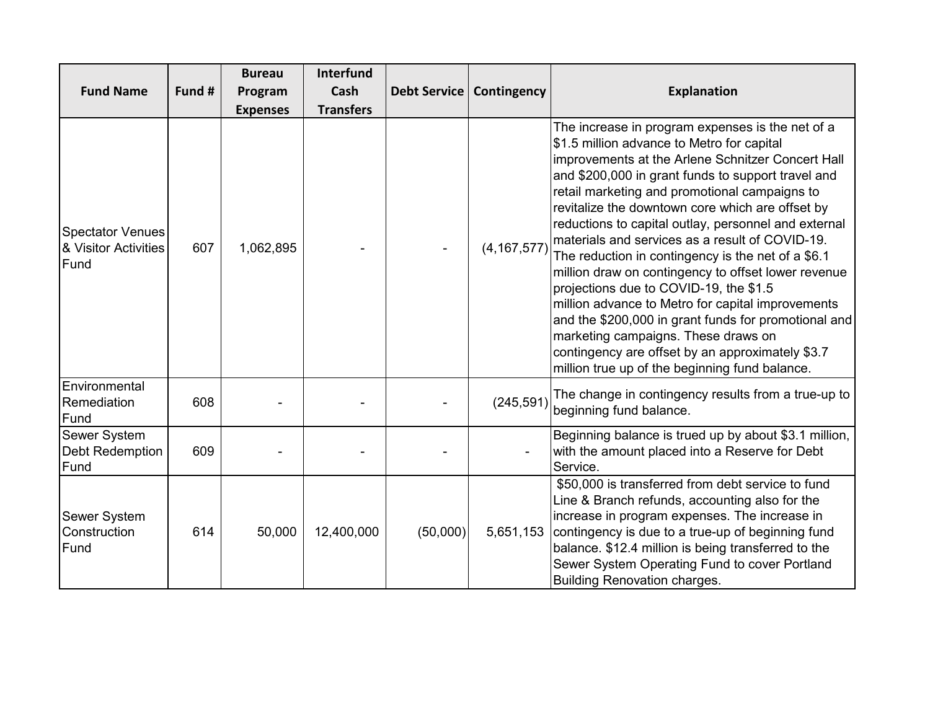| <b>Fund Name</b>                                        | Fund # | <b>Bureau</b><br>Program<br><b>Expenses</b> | <b>Interfund</b><br>Cash<br><b>Transfers</b> | <b>Debt Service</b> | Contingency   | <b>Explanation</b>                                                                                                                                                                                                                                                                                                                                                                                                                                                                                                                                                                                                                                                                                                                                                                                                                         |
|---------------------------------------------------------|--------|---------------------------------------------|----------------------------------------------|---------------------|---------------|--------------------------------------------------------------------------------------------------------------------------------------------------------------------------------------------------------------------------------------------------------------------------------------------------------------------------------------------------------------------------------------------------------------------------------------------------------------------------------------------------------------------------------------------------------------------------------------------------------------------------------------------------------------------------------------------------------------------------------------------------------------------------------------------------------------------------------------------|
| <b>Spectator Venues</b><br>& Visitor Activities<br>Fund | 607    | 1,062,895                                   |                                              |                     | (4, 167, 577) | The increase in program expenses is the net of a<br>\$1.5 million advance to Metro for capital<br>improvements at the Arlene Schnitzer Concert Hall<br>and \$200,000 in grant funds to support travel and<br>retail marketing and promotional campaigns to<br>revitalize the downtown core which are offset by<br>reductions to capital outlay, personnel and external<br>materials and services as a result of COVID-19.<br>The reduction in contingency is the net of a \$6.1<br>million draw on contingency to offset lower revenue<br>projections due to COVID-19, the \$1.5<br>million advance to Metro for capital improvements<br>and the \$200,000 in grant funds for promotional and<br>marketing campaigns. These draws on<br>contingency are offset by an approximately \$3.7<br>million true up of the beginning fund balance. |
| Environmental<br>Remediation<br>Fund                    | 608    |                                             |                                              |                     | (245, 591)    | The change in contingency results from a true-up to<br>beginning fund balance.                                                                                                                                                                                                                                                                                                                                                                                                                                                                                                                                                                                                                                                                                                                                                             |
| <b>Sewer System</b><br><b>Debt Redemption</b><br>Fund   | 609    |                                             |                                              |                     |               | Beginning balance is trued up by about \$3.1 million,<br>with the amount placed into a Reserve for Debt<br>Service.                                                                                                                                                                                                                                                                                                                                                                                                                                                                                                                                                                                                                                                                                                                        |
| <b>Sewer System</b><br>Construction<br>Fund             | 614    | 50,000                                      | 12,400,000                                   | (50,000)            | 5,651,153     | \$50,000 is transferred from debt service to fund<br>Line & Branch refunds, accounting also for the<br>increase in program expenses. The increase in<br>contingency is due to a true-up of beginning fund<br>balance. \$12.4 million is being transferred to the<br>Sewer System Operating Fund to cover Portland<br><b>Building Renovation charges.</b>                                                                                                                                                                                                                                                                                                                                                                                                                                                                                   |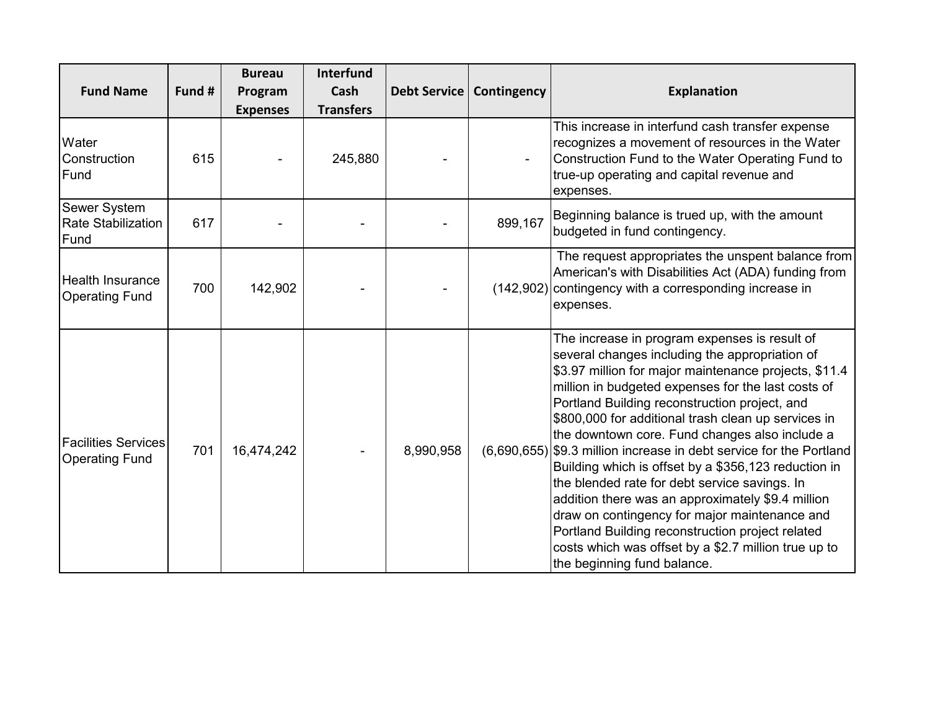|                                                     |        | <b>Bureau</b>   | <b>Interfund</b> |                     |             |                                                                                                                                                                                                                                                                                                                                                                                                                                                                                                                                                                                                                                                                                                                                                                                               |
|-----------------------------------------------------|--------|-----------------|------------------|---------------------|-------------|-----------------------------------------------------------------------------------------------------------------------------------------------------------------------------------------------------------------------------------------------------------------------------------------------------------------------------------------------------------------------------------------------------------------------------------------------------------------------------------------------------------------------------------------------------------------------------------------------------------------------------------------------------------------------------------------------------------------------------------------------------------------------------------------------|
| <b>Fund Name</b>                                    | Fund # | Program         | Cash             | <b>Debt Service</b> | Contingency | <b>Explanation</b>                                                                                                                                                                                                                                                                                                                                                                                                                                                                                                                                                                                                                                                                                                                                                                            |
|                                                     |        | <b>Expenses</b> | <b>Transfers</b> |                     |             |                                                                                                                                                                                                                                                                                                                                                                                                                                                                                                                                                                                                                                                                                                                                                                                               |
| Water<br>Construction<br>Fund                       | 615    |                 | 245,880          |                     |             | This increase in interfund cash transfer expense<br>recognizes a movement of resources in the Water<br>Construction Fund to the Water Operating Fund to<br>true-up operating and capital revenue and<br>expenses.                                                                                                                                                                                                                                                                                                                                                                                                                                                                                                                                                                             |
| Sewer System<br><b>Rate Stabilization</b><br>Fund   | 617    |                 |                  |                     | 899,167     | Beginning balance is trued up, with the amount<br>budgeted in fund contingency.                                                                                                                                                                                                                                                                                                                                                                                                                                                                                                                                                                                                                                                                                                               |
| <b>Health Insurance</b><br><b>Operating Fund</b>    | 700    | 142,902         |                  |                     | (142,902)   | The request appropriates the unspent balance from<br>American's with Disabilities Act (ADA) funding from<br>contingency with a corresponding increase in<br>expenses.                                                                                                                                                                                                                                                                                                                                                                                                                                                                                                                                                                                                                         |
| <b>Facilities Services</b><br><b>Operating Fund</b> | 701    | 16,474,242      |                  | 8,990,958           | (6,690,655) | The increase in program expenses is result of<br>several changes including the appropriation of<br>\$3.97 million for major maintenance projects, \$11.4<br>million in budgeted expenses for the last costs of<br>Portland Building reconstruction project, and<br>\$800,000 for additional trash clean up services in<br>the downtown core. Fund changes also include a<br>\$9.3 million increase in debt service for the Portland<br>Building which is offset by a \$356,123 reduction in<br>the blended rate for debt service savings. In<br>addition there was an approximately \$9.4 million<br>draw on contingency for major maintenance and<br>Portland Building reconstruction project related<br>costs which was offset by a \$2.7 million true up to<br>the beginning fund balance. |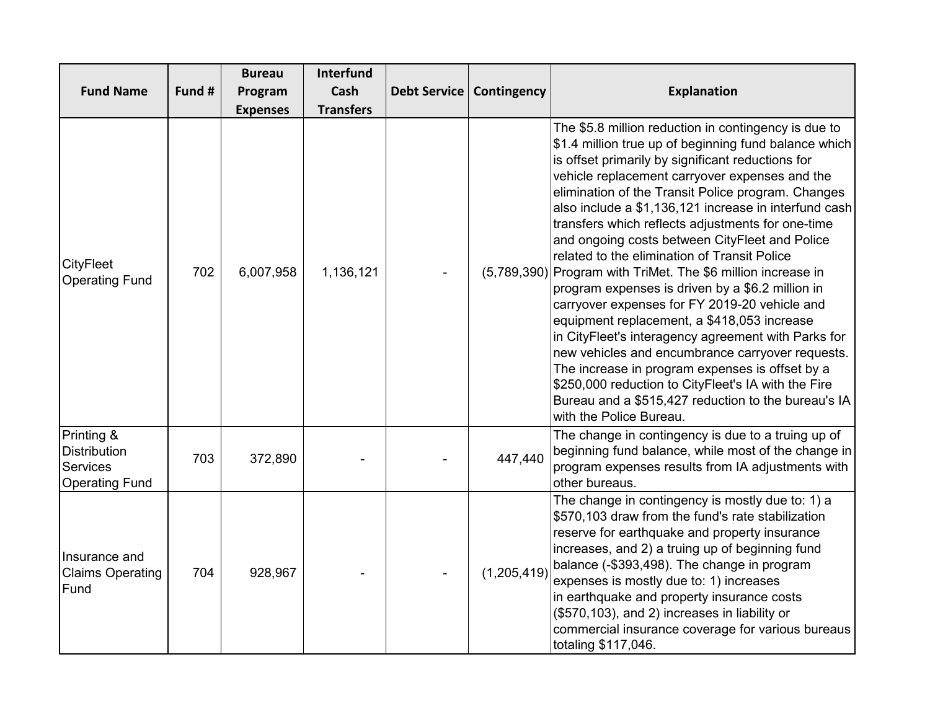|                                                                               |        | <b>Bureau</b>   | <b>Interfund</b> |              |             |                                                                                                                                                                                                                                                                                                                                                                                                                                                                                                                                                                                                                                                                                                                                                                                                                                                                                                                                                                                                                       |
|-------------------------------------------------------------------------------|--------|-----------------|------------------|--------------|-------------|-----------------------------------------------------------------------------------------------------------------------------------------------------------------------------------------------------------------------------------------------------------------------------------------------------------------------------------------------------------------------------------------------------------------------------------------------------------------------------------------------------------------------------------------------------------------------------------------------------------------------------------------------------------------------------------------------------------------------------------------------------------------------------------------------------------------------------------------------------------------------------------------------------------------------------------------------------------------------------------------------------------------------|
| <b>Fund Name</b>                                                              | Fund # | Program         | Cash             | Debt Service | Contingency | <b>Explanation</b>                                                                                                                                                                                                                                                                                                                                                                                                                                                                                                                                                                                                                                                                                                                                                                                                                                                                                                                                                                                                    |
|                                                                               |        | <b>Expenses</b> | <b>Transfers</b> |              |             |                                                                                                                                                                                                                                                                                                                                                                                                                                                                                                                                                                                                                                                                                                                                                                                                                                                                                                                                                                                                                       |
| <b>CityFleet</b><br><b>Operating Fund</b>                                     | 702    | 6,007,958       | 1,136,121        |              |             | The \$5.8 million reduction in contingency is due to<br>\$1.4 million true up of beginning fund balance which<br>is offset primarily by significant reductions for<br>vehicle replacement carryover expenses and the<br>elimination of the Transit Police program. Changes<br>also include a \$1,136,121 increase in interfund cash<br>transfers which reflects adjustments for one-time<br>and ongoing costs between CityFleet and Police<br>related to the elimination of Transit Police<br>(5,789,390) Program with TriMet. The \$6 million increase in<br>program expenses is driven by a \$6.2 million in<br>carryover expenses for FY 2019-20 vehicle and<br>equipment replacement, a \$418,053 increase<br>in CityFleet's interagency agreement with Parks for<br>new vehicles and encumbrance carryover requests.<br>The increase in program expenses is offset by a<br>\$250,000 reduction to CityFleet's IA with the Fire<br>Bureau and a \$515,427 reduction to the bureau's IA<br>with the Police Bureau. |
| Printing &<br><b>Distribution</b><br><b>Services</b><br><b>Operating Fund</b> | 703    | 372,890         |                  |              | 447,440     | The change in contingency is due to a truing up of<br>beginning fund balance, while most of the change in<br>program expenses results from IA adjustments with<br>other bureaus.                                                                                                                                                                                                                                                                                                                                                                                                                                                                                                                                                                                                                                                                                                                                                                                                                                      |
| Insurance and<br><b>Claims Operating</b><br>Fund                              | 704    | 928,967         |                  |              | (1,205,419) | The change in contingency is mostly due to: 1) a<br>\$570,103 draw from the fund's rate stabilization<br>reserve for earthquake and property insurance<br>increases, and 2) a truing up of beginning fund<br>balance (-\$393,498). The change in program<br>expenses is mostly due to: 1) increases<br>in earthquake and property insurance costs<br>(\$570,103), and 2) increases in liability or<br>commercial insurance coverage for various bureaus<br>totaling \$117,046.                                                                                                                                                                                                                                                                                                                                                                                                                                                                                                                                        |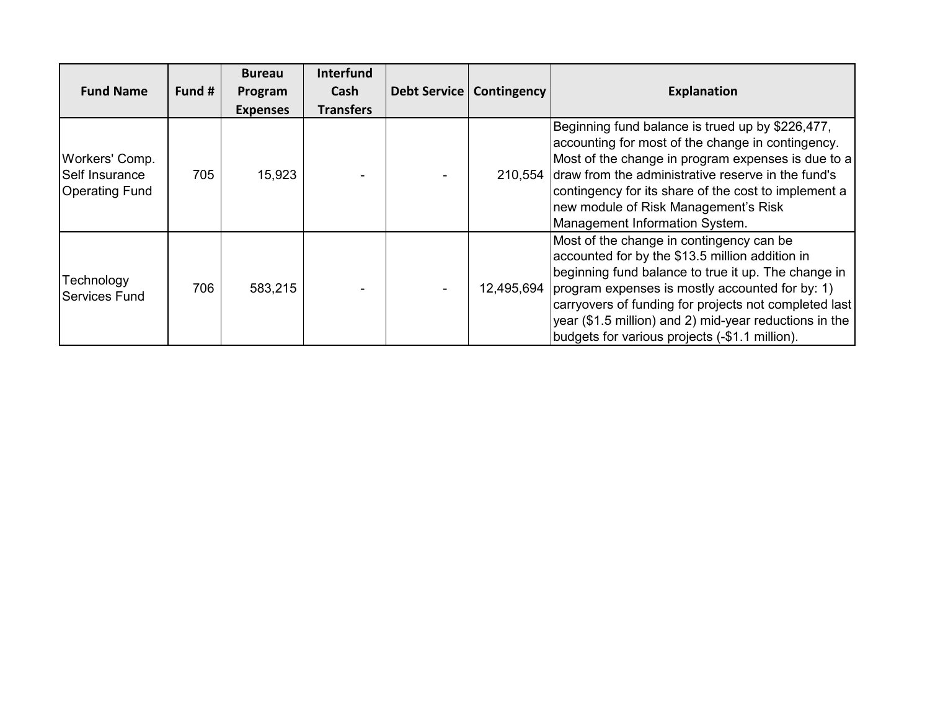|                                                           |        | <b>Bureau</b>   | <b>Interfund</b> |                            |                                                                                                                                                                                                                                                                                                                                                                                       |
|-----------------------------------------------------------|--------|-----------------|------------------|----------------------------|---------------------------------------------------------------------------------------------------------------------------------------------------------------------------------------------------------------------------------------------------------------------------------------------------------------------------------------------------------------------------------------|
| <b>Fund Name</b>                                          | Fund # | Program         | Cash             | Debt Service   Contingency | <b>Explanation</b>                                                                                                                                                                                                                                                                                                                                                                    |
|                                                           |        | <b>Expenses</b> | <b>Transfers</b> |                            |                                                                                                                                                                                                                                                                                                                                                                                       |
| Workers' Comp.<br>Self Insurance<br><b>Operating Fund</b> | 705    | 15,923          |                  |                            | Beginning fund balance is trued up by \$226,477,<br>accounting for most of the change in contingency.<br>Most of the change in program expenses is due to a<br>210,554 draw from the administrative reserve in the fund's<br>contingency for its share of the cost to implement a<br>new module of Risk Management's Risk<br>Management Information System.                           |
| Technology<br><b>Services Fund</b>                        | 706    | 583,215         |                  |                            | Most of the change in contingency can be<br>accounted for by the \$13.5 million addition in<br>beginning fund balance to true it up. The change in<br>12,495,694 program expenses is mostly accounted for by: 1)<br>carryovers of funding for projects not completed last<br>year (\$1.5 million) and 2) mid-year reductions in the<br>budgets for various projects (-\$1.1 million). |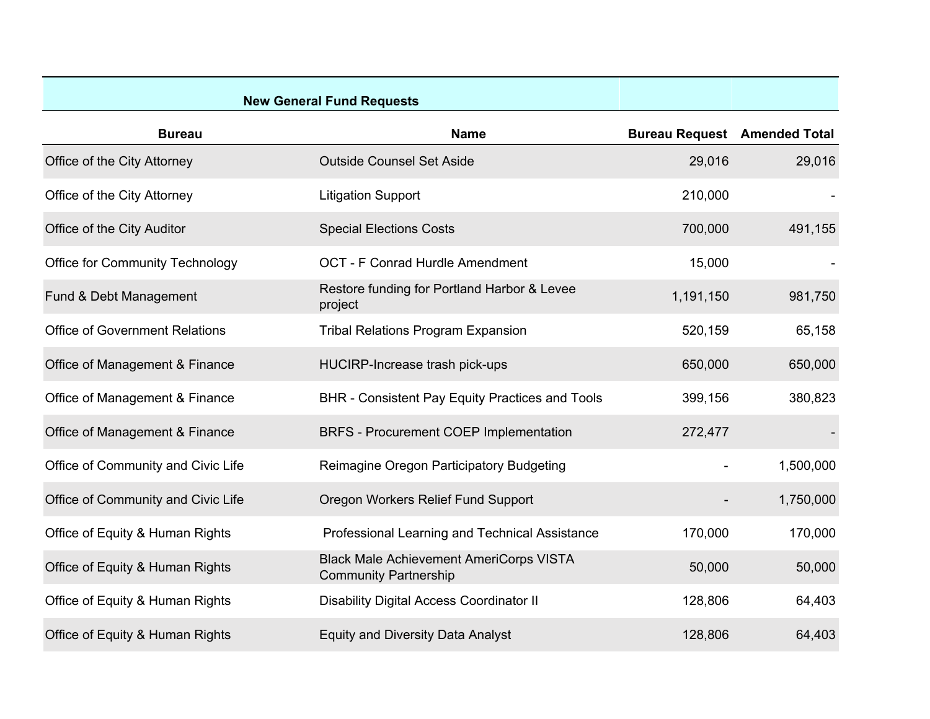| <b>New General Fund Requests</b>       |                                                                                |                                     |           |
|----------------------------------------|--------------------------------------------------------------------------------|-------------------------------------|-----------|
| <b>Bureau</b>                          | <b>Name</b>                                                                    | <b>Bureau Request</b> Amended Total |           |
| Office of the City Attorney            | <b>Outside Counsel Set Aside</b>                                               | 29,016                              | 29,016    |
| Office of the City Attorney            | <b>Litigation Support</b>                                                      | 210,000                             |           |
| Office of the City Auditor             | <b>Special Elections Costs</b>                                                 | 700,000                             | 491,155   |
| <b>Office for Community Technology</b> | <b>OCT - F Conrad Hurdle Amendment</b>                                         | 15,000                              |           |
| Fund & Debt Management                 | Restore funding for Portland Harbor & Levee<br>project                         | 1,191,150                           | 981,750   |
| <b>Office of Government Relations</b>  | <b>Tribal Relations Program Expansion</b>                                      | 520,159                             | 65,158    |
| Office of Management & Finance         | HUCIRP-Increase trash pick-ups                                                 | 650,000                             | 650,000   |
| Office of Management & Finance         | <b>BHR - Consistent Pay Equity Practices and Tools</b>                         | 399,156                             | 380,823   |
| Office of Management & Finance         | <b>BRFS - Procurement COEP Implementation</b>                                  | 272,477                             |           |
| Office of Community and Civic Life     | Reimagine Oregon Participatory Budgeting                                       |                                     | 1,500,000 |
| Office of Community and Civic Life     | Oregon Workers Relief Fund Support                                             |                                     | 1,750,000 |
| Office of Equity & Human Rights        | Professional Learning and Technical Assistance                                 | 170,000                             | 170,000   |
| Office of Equity & Human Rights        | <b>Black Male Achievement AmeriCorps VISTA</b><br><b>Community Partnership</b> | 50,000                              | 50,000    |
| Office of Equity & Human Rights        | <b>Disability Digital Access Coordinator II</b>                                | 128,806                             | 64,403    |
| Office of Equity & Human Rights        | <b>Equity and Diversity Data Analyst</b>                                       | 128,806                             | 64,403    |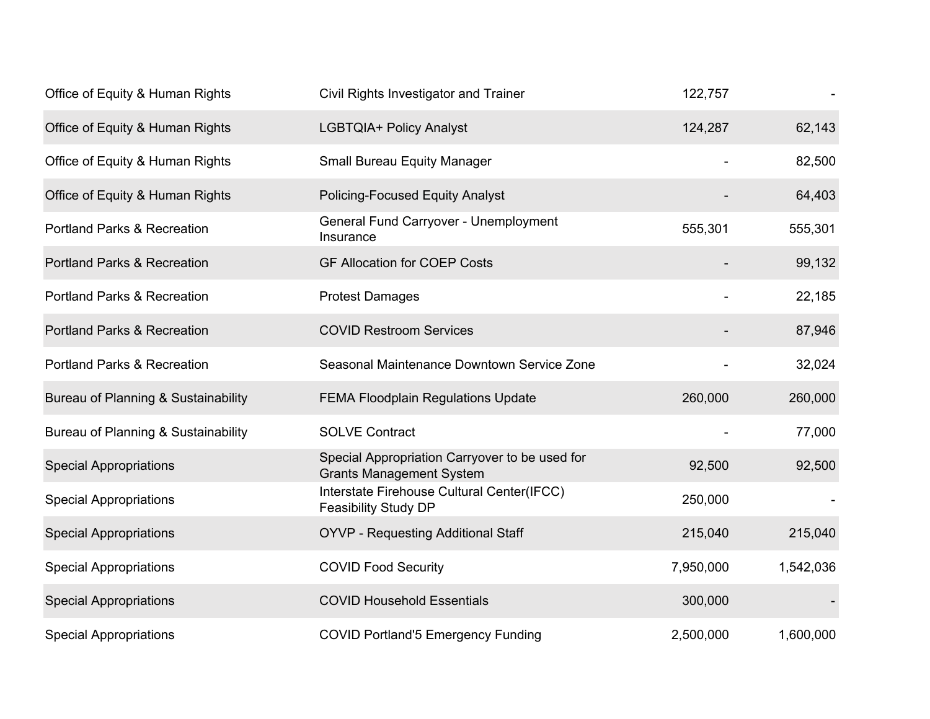| Office of Equity & Human Rights        | Civil Rights Investigator and Trainer                                             | 122,757   |           |
|----------------------------------------|-----------------------------------------------------------------------------------|-----------|-----------|
| Office of Equity & Human Rights        | LGBTQIA+ Policy Analyst                                                           | 124,287   | 62,143    |
| Office of Equity & Human Rights        | <b>Small Bureau Equity Manager</b>                                                |           | 82,500    |
| Office of Equity & Human Rights        | <b>Policing-Focused Equity Analyst</b>                                            |           | 64,403    |
| <b>Portland Parks &amp; Recreation</b> | General Fund Carryover - Unemployment<br>Insurance                                | 555,301   | 555,301   |
| <b>Portland Parks &amp; Recreation</b> | <b>GF Allocation for COEP Costs</b>                                               |           | 99,132    |
| <b>Portland Parks &amp; Recreation</b> | <b>Protest Damages</b>                                                            |           | 22,185    |
| <b>Portland Parks &amp; Recreation</b> | <b>COVID Restroom Services</b>                                                    |           | 87,946    |
| <b>Portland Parks &amp; Recreation</b> | Seasonal Maintenance Downtown Service Zone                                        |           | 32,024    |
| Bureau of Planning & Sustainability    | <b>FEMA Floodplain Regulations Update</b>                                         | 260,000   | 260,000   |
| Bureau of Planning & Sustainability    | <b>SOLVE Contract</b>                                                             |           | 77,000    |
| <b>Special Appropriations</b>          | Special Appropriation Carryover to be used for<br><b>Grants Management System</b> | 92,500    | 92,500    |
| <b>Special Appropriations</b>          | Interstate Firehouse Cultural Center(IFCC)<br><b>Feasibility Study DP</b>         | 250,000   |           |
| <b>Special Appropriations</b>          | <b>OYVP - Requesting Additional Staff</b>                                         | 215,040   | 215,040   |
| <b>Special Appropriations</b>          | <b>COVID Food Security</b>                                                        | 7,950,000 | 1,542,036 |
| <b>Special Appropriations</b>          | <b>COVID Household Essentials</b>                                                 | 300,000   |           |
| <b>Special Appropriations</b>          | <b>COVID Portland'5 Emergency Funding</b>                                         | 2,500,000 | 1,600,000 |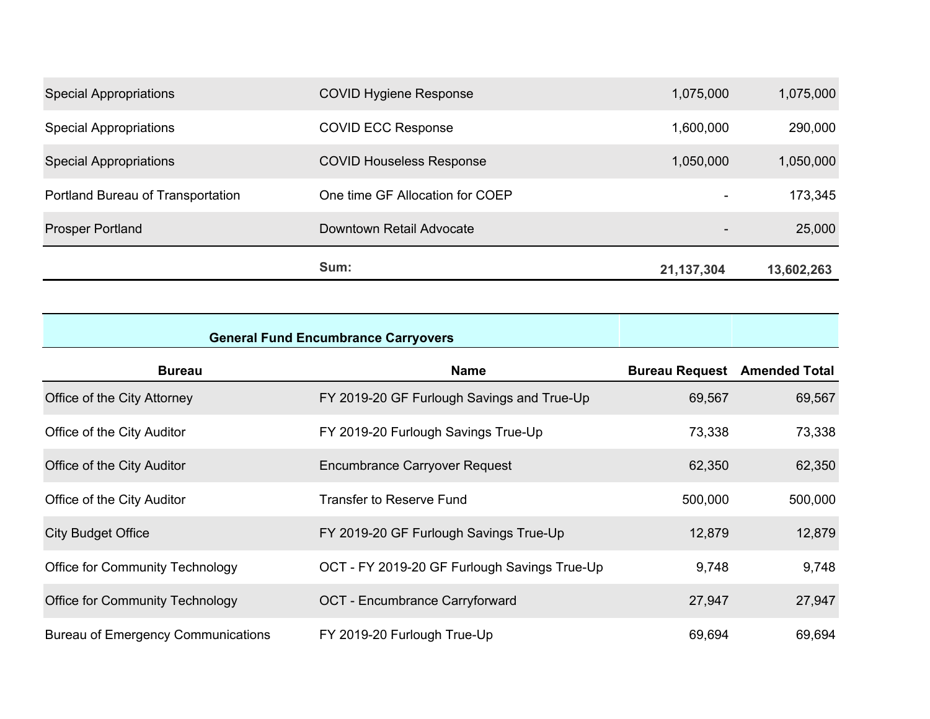|                                   | Sum:                            | 21,137,304               | 13,602,263 |
|-----------------------------------|---------------------------------|--------------------------|------------|
| <b>Prosper Portland</b>           | Downtown Retail Advocate        | $\overline{\phantom{a}}$ | 25,000     |
| Portland Bureau of Transportation | One time GF Allocation for COEP | $\overline{\phantom{a}}$ | 173,345    |
| <b>Special Appropriations</b>     | <b>COVID Houseless Response</b> | 1,050,000                | 1,050,000  |
| <b>Special Appropriations</b>     | <b>COVID ECC Response</b>       | 1,600,000                | 290,000    |
| <b>Special Appropriations</b>     | <b>COVID Hygiene Response</b>   | 1,075,000                | 1,075,000  |

| <b>General Fund Encumbrance Carryovers</b> |                                              |                                     |         |
|--------------------------------------------|----------------------------------------------|-------------------------------------|---------|
| <b>Bureau</b>                              | <b>Name</b>                                  | <b>Bureau Request</b> Amended Total |         |
| Office of the City Attorney                | FY 2019-20 GF Furlough Savings and True-Up   | 69,567                              | 69,567  |
| Office of the City Auditor                 | FY 2019-20 Furlough Savings True-Up          | 73,338                              | 73,338  |
| Office of the City Auditor                 | <b>Encumbrance Carryover Request</b>         | 62,350                              | 62,350  |
| Office of the City Auditor                 | <b>Transfer to Reserve Fund</b>              | 500,000                             | 500,000 |
| <b>City Budget Office</b>                  | FY 2019-20 GF Furlough Savings True-Up       | 12,879                              | 12,879  |
| <b>Office for Community Technology</b>     | OCT - FY 2019-20 GF Furlough Savings True-Up | 9,748                               | 9,748   |
| <b>Office for Community Technology</b>     | <b>OCT</b> - Encumbrance Carryforward        | 27,947                              | 27,947  |
| <b>Bureau of Emergency Communications</b>  | FY 2019-20 Furlough True-Up                  | 69,694                              | 69,694  |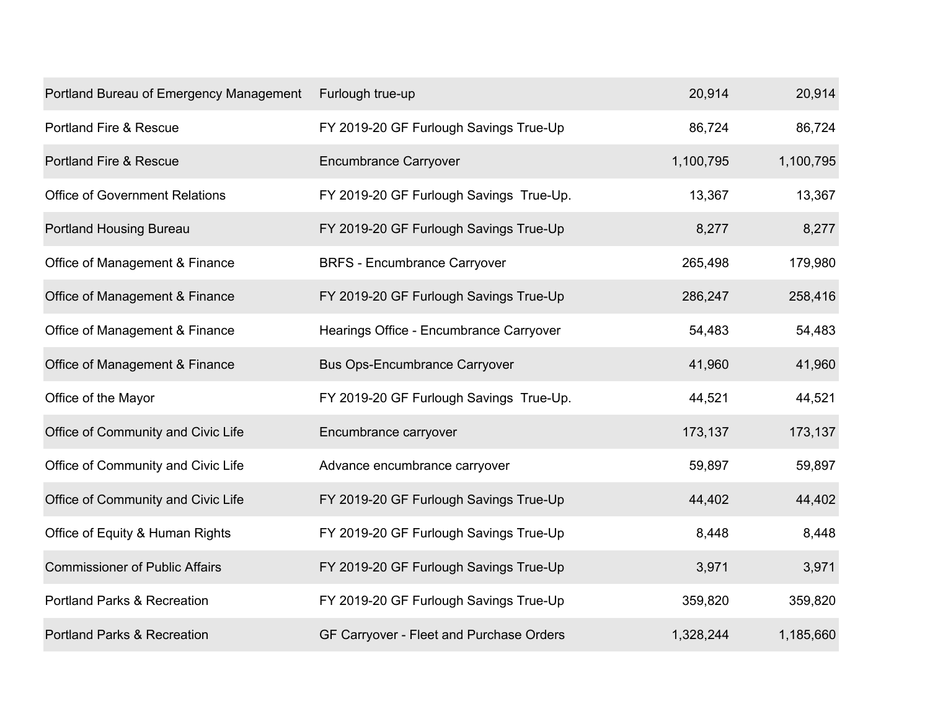| Portland Bureau of Emergency Management | Furlough true-up                         | 20,914    | 20,914    |
|-----------------------------------------|------------------------------------------|-----------|-----------|
| <b>Portland Fire &amp; Rescue</b>       | FY 2019-20 GF Furlough Savings True-Up   | 86,724    | 86,724    |
| <b>Portland Fire &amp; Rescue</b>       | <b>Encumbrance Carryover</b>             | 1,100,795 | 1,100,795 |
| <b>Office of Government Relations</b>   | FY 2019-20 GF Furlough Savings True-Up.  | 13,367    | 13,367    |
| <b>Portland Housing Bureau</b>          | FY 2019-20 GF Furlough Savings True-Up   | 8,277     | 8,277     |
| Office of Management & Finance          | <b>BRFS - Encumbrance Carryover</b>      | 265,498   | 179,980   |
| Office of Management & Finance          | FY 2019-20 GF Furlough Savings True-Up   | 286,247   | 258,416   |
| Office of Management & Finance          | Hearings Office - Encumbrance Carryover  | 54,483    | 54,483    |
| Office of Management & Finance          | <b>Bus Ops-Encumbrance Carryover</b>     | 41,960    | 41,960    |
| Office of the Mayor                     | FY 2019-20 GF Furlough Savings True-Up.  | 44,521    | 44,521    |
| Office of Community and Civic Life      | Encumbrance carryover                    | 173,137   | 173,137   |
| Office of Community and Civic Life      | Advance encumbrance carryover            | 59,897    | 59,897    |
| Office of Community and Civic Life      | FY 2019-20 GF Furlough Savings True-Up   | 44,402    | 44,402    |
| Office of Equity & Human Rights         | FY 2019-20 GF Furlough Savings True-Up   | 8,448     | 8,448     |
| <b>Commissioner of Public Affairs</b>   | FY 2019-20 GF Furlough Savings True-Up   | 3,971     | 3,971     |
| <b>Portland Parks &amp; Recreation</b>  | FY 2019-20 GF Furlough Savings True-Up   | 359,820   | 359,820   |
| <b>Portland Parks &amp; Recreation</b>  | GF Carryover - Fleet and Purchase Orders | 1,328,244 | 1,185,660 |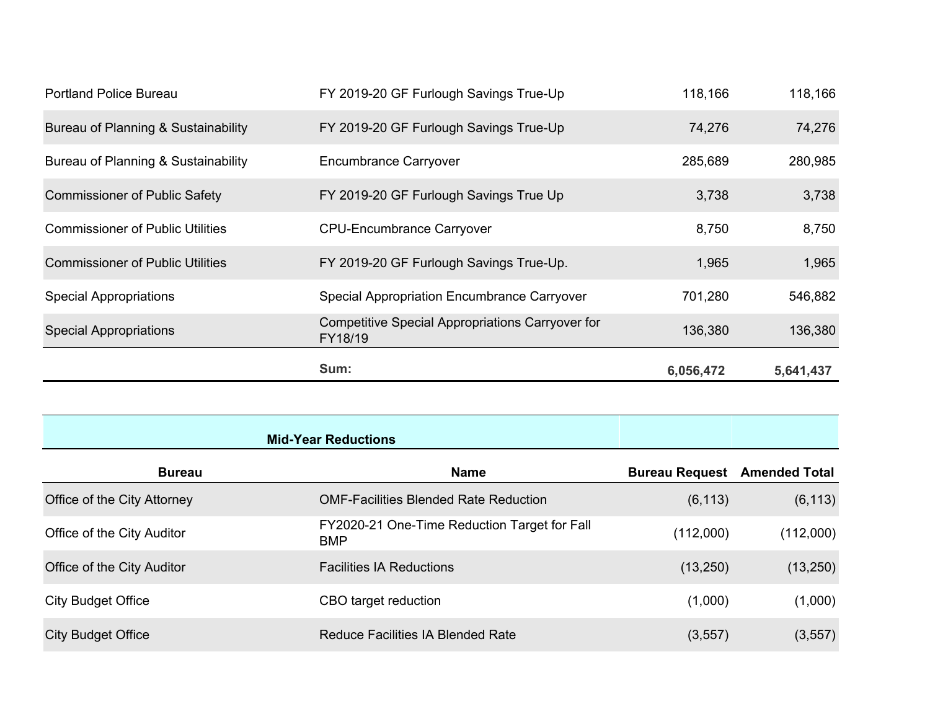|                                         | Sum:                                                        | 6,056,472 | 5,641,437 |
|-----------------------------------------|-------------------------------------------------------------|-----------|-----------|
| <b>Special Appropriations</b>           | Competitive Special Appropriations Carryover for<br>FY18/19 | 136,380   | 136,380   |
| <b>Special Appropriations</b>           | <b>Special Appropriation Encumbrance Carryover</b>          | 701,280   | 546,882   |
| <b>Commissioner of Public Utilities</b> | FY 2019-20 GF Furlough Savings True-Up.                     | 1,965     | 1,965     |
| <b>Commissioner of Public Utilities</b> | <b>CPU-Encumbrance Carryover</b>                            | 8,750     | 8,750     |
| <b>Commissioner of Public Safety</b>    | FY 2019-20 GF Furlough Savings True Up                      | 3,738     | 3,738     |
| Bureau of Planning & Sustainability     | <b>Encumbrance Carryover</b>                                | 285,689   | 280,985   |
| Bureau of Planning & Sustainability     | FY 2019-20 GF Furlough Savings True-Up                      | 74,276    | 74,276    |
| <b>Portland Police Bureau</b>           | FY 2019-20 GF Furlough Savings True-Up                      | 118,166   | 118,166   |

|                             | <b>Mid-Year Reductions</b>                                 |                                     |           |
|-----------------------------|------------------------------------------------------------|-------------------------------------|-----------|
| <b>Bureau</b>               | <b>Name</b>                                                | <b>Bureau Request</b> Amended Total |           |
| Office of the City Attorney | <b>OMF-Facilities Blended Rate Reduction</b>               | (6, 113)                            | (6, 113)  |
| Office of the City Auditor  | FY2020-21 One-Time Reduction Target for Fall<br><b>BMP</b> | (112,000)                           | (112,000) |
| Office of the City Auditor  | <b>Facilities IA Reductions</b>                            | (13,250)                            | (13,250)  |
| <b>City Budget Office</b>   | CBO target reduction                                       | (1,000)                             | (1,000)   |
| <b>City Budget Office</b>   | <b>Reduce Facilities IA Blended Rate</b>                   | (3, 557)                            | (3, 557)  |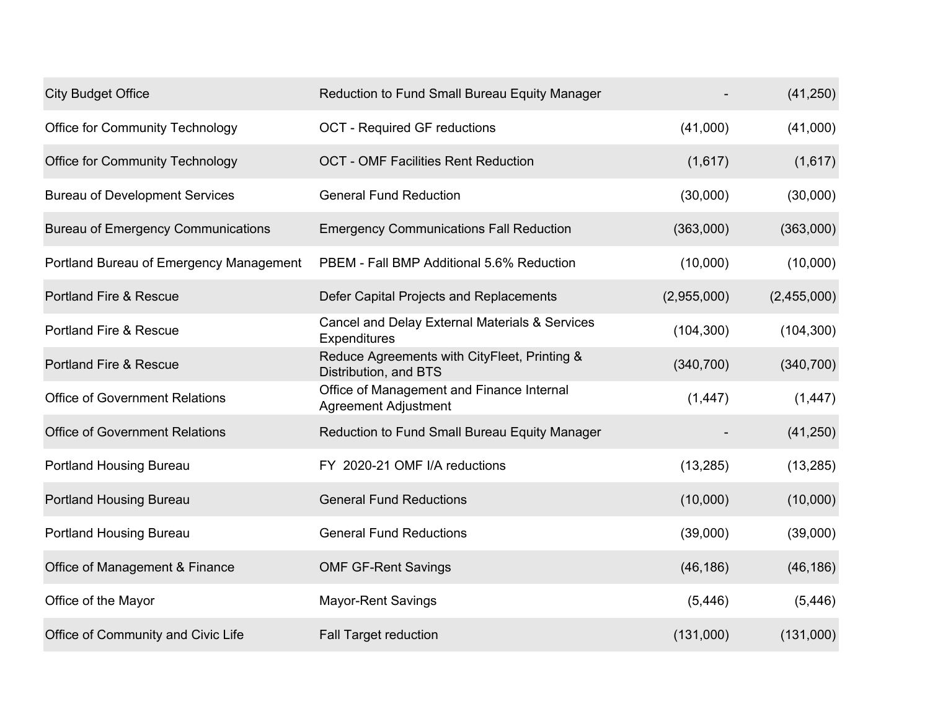| <b>City Budget Office</b>                 | Reduction to Fund Small Bureau Equity Manager                            |             | (41,250)    |
|-------------------------------------------|--------------------------------------------------------------------------|-------------|-------------|
| <b>Office for Community Technology</b>    | <b>OCT - Required GF reductions</b>                                      | (41,000)    | (41,000)    |
| <b>Office for Community Technology</b>    | <b>OCT - OMF Facilities Rent Reduction</b>                               | (1,617)     | (1,617)     |
| <b>Bureau of Development Services</b>     | <b>General Fund Reduction</b>                                            | (30,000)    | (30,000)    |
| <b>Bureau of Emergency Communications</b> | <b>Emergency Communications Fall Reduction</b>                           | (363,000)   | (363,000)   |
| Portland Bureau of Emergency Management   | PBEM - Fall BMP Additional 5.6% Reduction                                | (10,000)    | (10,000)    |
| <b>Portland Fire &amp; Rescue</b>         | Defer Capital Projects and Replacements                                  | (2,955,000) | (2,455,000) |
| <b>Portland Fire &amp; Rescue</b>         | Cancel and Delay External Materials & Services<br>Expenditures           | (104, 300)  | (104, 300)  |
| <b>Portland Fire &amp; Rescue</b>         | Reduce Agreements with CityFleet, Printing &<br>Distribution, and BTS    | (340, 700)  | (340, 700)  |
| <b>Office of Government Relations</b>     | Office of Management and Finance Internal<br><b>Agreement Adjustment</b> | (1, 447)    | (1, 447)    |
| <b>Office of Government Relations</b>     | Reduction to Fund Small Bureau Equity Manager                            |             | (41, 250)   |
| <b>Portland Housing Bureau</b>            | FY 2020-21 OMF I/A reductions                                            | (13, 285)   | (13, 285)   |
| <b>Portland Housing Bureau</b>            | <b>General Fund Reductions</b>                                           | (10,000)    | (10,000)    |
| <b>Portland Housing Bureau</b>            | <b>General Fund Reductions</b>                                           | (39,000)    | (39,000)    |
| Office of Management & Finance            | <b>OMF GF-Rent Savings</b>                                               | (46, 186)   | (46, 186)   |
| Office of the Mayor                       | <b>Mayor-Rent Savings</b>                                                | (5, 446)    | (5, 446)    |
| Office of Community and Civic Life        | <b>Fall Target reduction</b>                                             | (131,000)   | (131,000)   |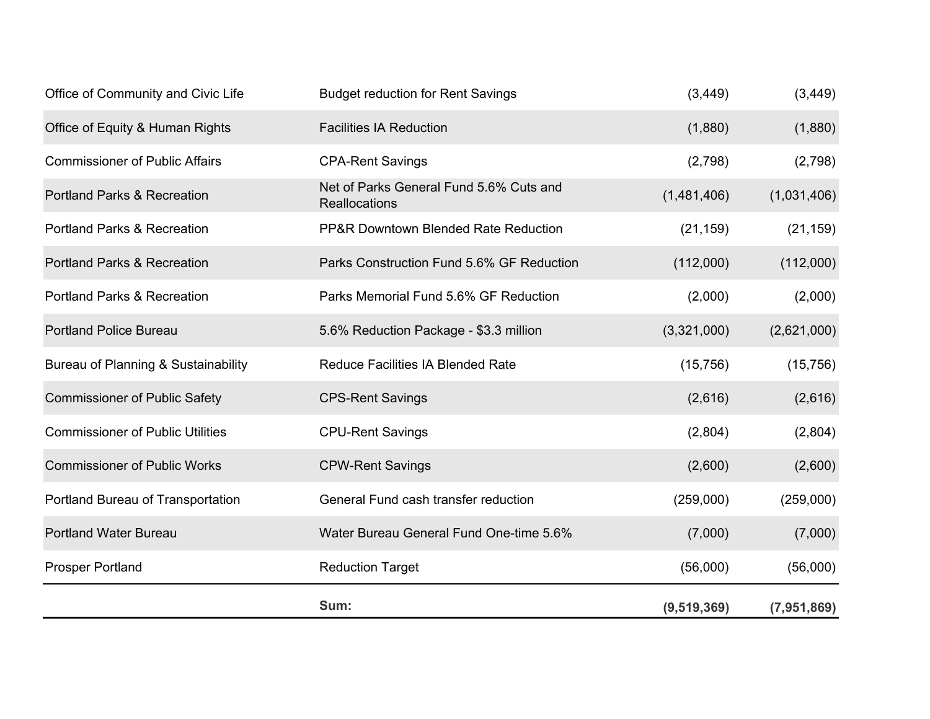|                                         | Sum:                                                            | (9,519,369) | (7,951,869) |
|-----------------------------------------|-----------------------------------------------------------------|-------------|-------------|
| <b>Prosper Portland</b>                 | <b>Reduction Target</b>                                         | (56,000)    | (56,000)    |
| <b>Portland Water Bureau</b>            | Water Bureau General Fund One-time 5.6%                         | (7,000)     | (7,000)     |
| Portland Bureau of Transportation       | General Fund cash transfer reduction                            | (259,000)   | (259,000)   |
| <b>Commissioner of Public Works</b>     | <b>CPW-Rent Savings</b>                                         | (2,600)     | (2,600)     |
| <b>Commissioner of Public Utilities</b> | <b>CPU-Rent Savings</b>                                         | (2,804)     | (2,804)     |
| <b>Commissioner of Public Safety</b>    | <b>CPS-Rent Savings</b>                                         | (2,616)     | (2,616)     |
| Bureau of Planning & Sustainability     | <b>Reduce Facilities IA Blended Rate</b>                        | (15, 756)   | (15, 756)   |
| <b>Portland Police Bureau</b>           | 5.6% Reduction Package - \$3.3 million                          | (3,321,000) | (2,621,000) |
| <b>Portland Parks &amp; Recreation</b>  | Parks Memorial Fund 5.6% GF Reduction                           | (2,000)     | (2,000)     |
| <b>Portland Parks &amp; Recreation</b>  | Parks Construction Fund 5.6% GF Reduction                       | (112,000)   | (112,000)   |
| <b>Portland Parks &amp; Recreation</b>  | <b>PP&amp;R Downtown Blended Rate Reduction</b>                 | (21, 159)   | (21, 159)   |
| <b>Portland Parks &amp; Recreation</b>  | Net of Parks General Fund 5.6% Cuts and<br><b>Reallocations</b> | (1,481,406) | (1,031,406) |
| <b>Commissioner of Public Affairs</b>   | <b>CPA-Rent Savings</b>                                         | (2,798)     | (2,798)     |
| Office of Equity & Human Rights         | <b>Facilities IA Reduction</b>                                  | (1,880)     | (1,880)     |
| Office of Community and Civic Life      | <b>Budget reduction for Rent Savings</b>                        | (3, 449)    | (3, 449)    |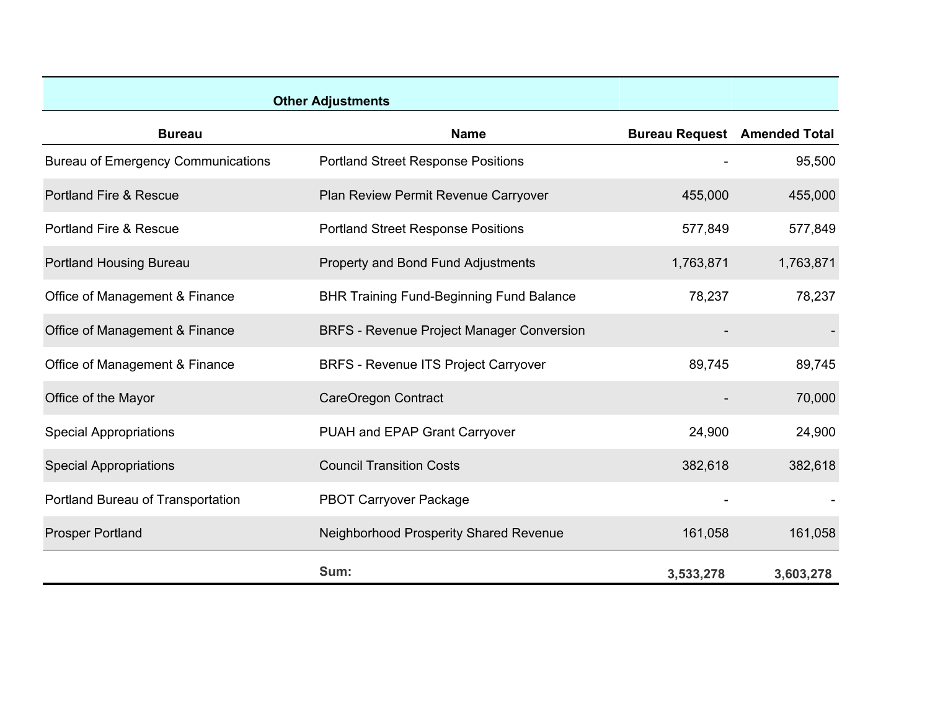|                                           | <b>Other Adjustments</b>                         |                                     |           |
|-------------------------------------------|--------------------------------------------------|-------------------------------------|-----------|
| <b>Bureau</b>                             | <b>Name</b>                                      | <b>Bureau Request</b> Amended Total |           |
| <b>Bureau of Emergency Communications</b> | <b>Portland Street Response Positions</b>        |                                     | 95,500    |
| <b>Portland Fire &amp; Rescue</b>         | Plan Review Permit Revenue Carryover             | 455,000                             | 455,000   |
| <b>Portland Fire &amp; Rescue</b>         | <b>Portland Street Response Positions</b>        | 577,849                             | 577,849   |
| <b>Portland Housing Bureau</b>            | <b>Property and Bond Fund Adjustments</b>        | 1,763,871                           | 1,763,871 |
| Office of Management & Finance            | <b>BHR Training Fund-Beginning Fund Balance</b>  | 78,237                              | 78,237    |
| Office of Management & Finance            | <b>BRFS - Revenue Project Manager Conversion</b> |                                     |           |
| Office of Management & Finance            | <b>BRFS - Revenue ITS Project Carryover</b>      | 89,745                              | 89,745    |
| Office of the Mayor                       | <b>CareOregon Contract</b>                       |                                     | 70,000    |
| <b>Special Appropriations</b>             | PUAH and EPAP Grant Carryover                    | 24,900                              | 24,900    |
| <b>Special Appropriations</b>             | <b>Council Transition Costs</b>                  | 382,618                             | 382,618   |
| Portland Bureau of Transportation         | <b>PBOT Carryover Package</b>                    |                                     |           |
| <b>Prosper Portland</b>                   | Neighborhood Prosperity Shared Revenue           | 161,058                             | 161,058   |
|                                           | Sum:                                             | 3,533,278                           | 3,603,278 |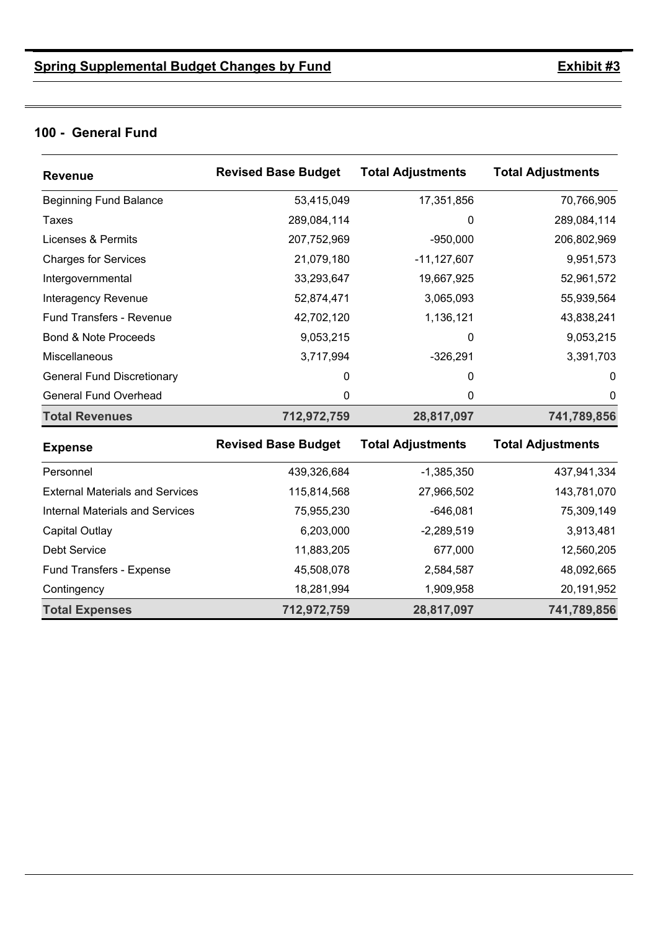#### **100 - General Fund**

| <b>Revenue</b>                         | <b>Revised Base Budget</b> | <b>Total Adjustments</b> | <b>Total Adjustments</b> |
|----------------------------------------|----------------------------|--------------------------|--------------------------|
| <b>Beginning Fund Balance</b>          | 53,415,049                 | 17,351,856               | 70,766,905               |
| <b>Taxes</b>                           | 289,084,114                | 0                        | 289,084,114              |
| Licenses & Permits                     | 207,752,969                | $-950,000$               | 206,802,969              |
| <b>Charges for Services</b>            | 21,079,180                 | $-11, 127, 607$          | 9,951,573                |
| Intergovernmental                      | 33,293,647                 | 19,667,925               | 52,961,572               |
| <b>Interagency Revenue</b>             | 52,874,471                 | 3,065,093                | 55,939,564               |
| <b>Fund Transfers - Revenue</b>        | 42,702,120                 | 1,136,121                | 43,838,241               |
| <b>Bond &amp; Note Proceeds</b>        | 9,053,215                  | 0                        | 9,053,215                |
| Miscellaneous                          | 3,717,994                  | $-326,291$               | 3,391,703                |
| <b>General Fund Discretionary</b>      | 0                          | 0                        | $\Omega$                 |
| General Fund Overhead                  | 0                          | 0                        | 0                        |
| <b>Total Revenues</b>                  | 712,972,759                | 28,817,097               | 741,789,856              |
| <b>Expense</b>                         | <b>Revised Base Budget</b> | <b>Total Adjustments</b> | <b>Total Adjustments</b> |
| Personnel                              | 439,326,684                | $-1,385,350$             | 437,941,334              |
| <b>External Materials and Services</b> | 115,814,568                | 27,966,502               | 143,781,070              |
| <b>Internal Materials and Services</b> | 75,955,230                 | $-646,081$               | 75,309,149               |
| <b>Capital Outlay</b>                  | 6,203,000                  | $-2,289,519$             | 3,913,481                |
| <b>Debt Service</b>                    | 11,883,205                 | 677,000                  | 12,560,205               |
| Fund Transfers - Expense               | 45,508,078                 | 2,584,587                | 48,092,665               |
| Contingency                            | 18,281,994                 | 1,909,958                | 20,191,952               |
| <b>Total Expenses</b>                  | 712,972,759                | 28,817,097               | 741,789,856              |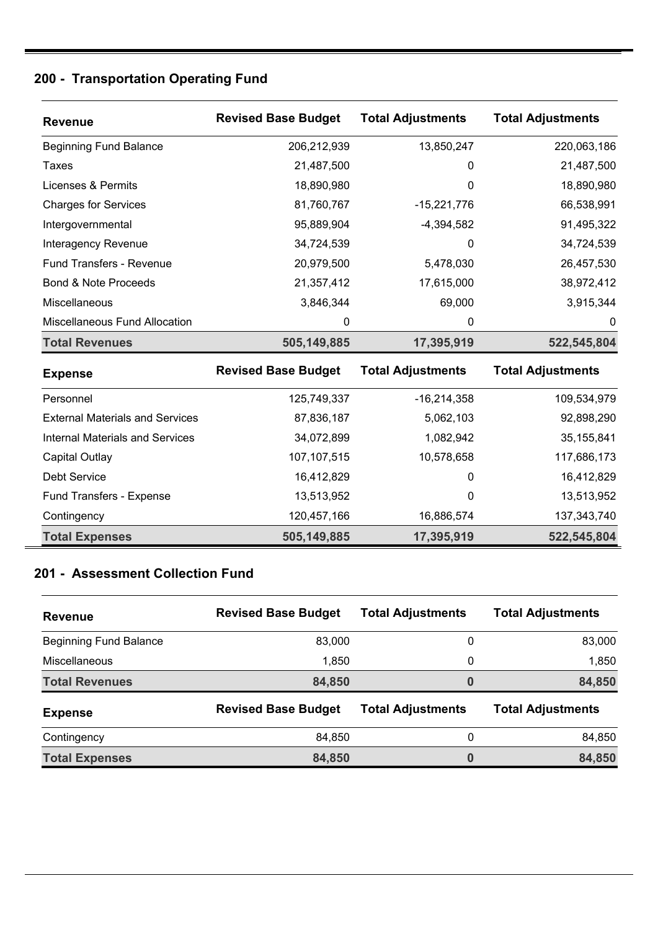#### **200 - Transportation Operating Fund**

| <b>Revenue</b>                  | <b>Revised Base Budget</b> | <b>Total Adjustments</b> | <b>Total Adjustments</b> |
|---------------------------------|----------------------------|--------------------------|--------------------------|
| <b>Beginning Fund Balance</b>   | 206,212,939                | 13,850,247               | 220,063,186              |
| Taxes                           | 21,487,500                 | 0                        | 21,487,500               |
| Licenses & Permits              | 18,890,980                 | 0                        | 18,890,980               |
| <b>Charges for Services</b>     | 81,760,767                 | -15,221,776              | 66,538,991               |
| Intergovernmental               | 95,889,904                 | $-4,394,582$             | 91,495,322               |
| Interagency Revenue             | 34,724,539                 | 0                        | 34,724,539               |
| <b>Fund Transfers - Revenue</b> | 20,979,500                 | 5,478,030                | 26,457,530               |
| Bond & Note Proceeds            | 21,357,412                 | 17,615,000               | 38,972,412               |
| Miscellaneous                   | 3,846,344                  | 69,000                   | 3,915,344                |
| Miscellaneous Fund Allocation   | 0                          | 0                        | 0                        |
| <b>Total Revenues</b>           | 505,149,885                | 17,395,919               | 522,545,804              |

| <b>Expense</b>                         | <b>Revised Base Budget</b> | <b>Total Adjustments</b> | <b>Total Adjustments</b> |
|----------------------------------------|----------------------------|--------------------------|--------------------------|
| Personnel                              | 125,749,337                | -16.214.358              | 109,534,979              |
| <b>External Materials and Services</b> | 87,836,187                 | 5,062,103                | 92,898,290               |
| Internal Materials and Services        | 34,072,899                 | 1,082,942                | 35, 155, 841             |
| Capital Outlay                         | 107, 107, 515              | 10,578,658               | 117,686,173              |
| Debt Service                           | 16,412,829                 | 0                        | 16,412,829               |
| Fund Transfers - Expense               | 13,513,952                 | 0                        | 13,513,952               |
| Contingency                            | 120,457,166                | 16,886,574               | 137,343,740              |
| <b>Total Expenses</b>                  | 505,149,885                | 17,395,919               | 522,545,804              |

#### **201 - Assessment Collection Fund**

| <b>Revenue</b>                | <b>Revised Base Budget</b> | <b>Total Adjustments</b> | <b>Total Adjustments</b> |
|-------------------------------|----------------------------|--------------------------|--------------------------|
| <b>Beginning Fund Balance</b> | 83,000                     | 0                        | 83,000                   |
| Miscellaneous                 | 1,850                      | $\mathbf 0$              | 1,850                    |
| <b>Total Revenues</b>         | 84,850                     | 0                        | 84,850                   |
| <b>Expense</b>                | <b>Revised Base Budget</b> | <b>Total Adjustments</b> | <b>Total Adjustments</b> |
| Contingency                   | 84,850                     | 0                        | 84,850                   |
| <b>Total Expenses</b>         | 84,850                     | 0                        | 84,850                   |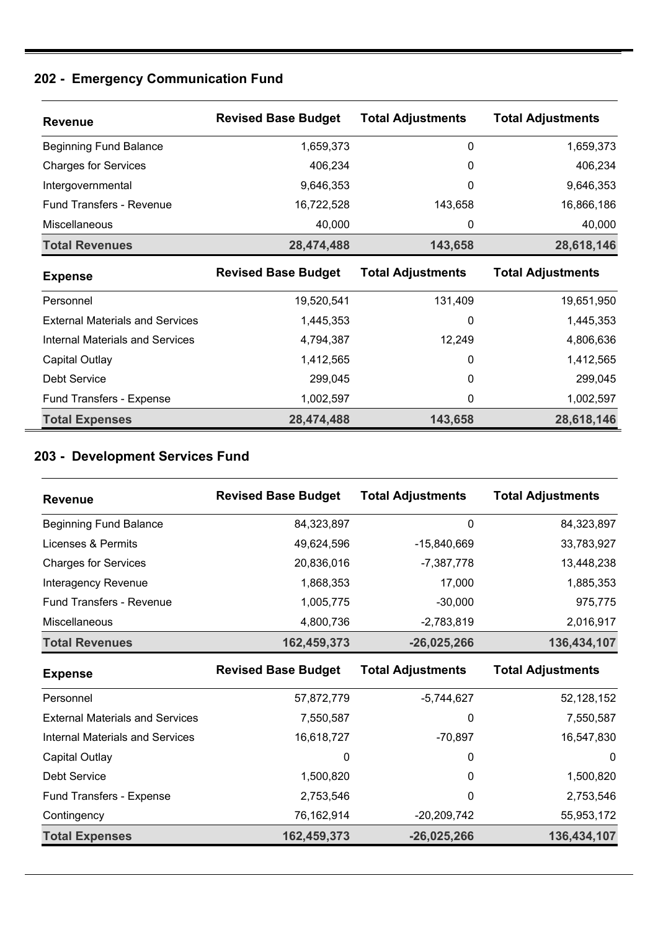### **202 - Emergency Communication Fund**

| <b>Revenue</b>                         | <b>Revised Base Budget</b> | <b>Total Adjustments</b> | <b>Total Adjustments</b> |
|----------------------------------------|----------------------------|--------------------------|--------------------------|
| <b>Beginning Fund Balance</b>          | 1,659,373                  | 0                        | 1,659,373                |
| <b>Charges for Services</b>            | 406,234                    | 0                        | 406,234                  |
| Intergovernmental                      | 9,646,353                  | 0                        | 9,646,353                |
| <b>Fund Transfers - Revenue</b>        | 16,722,528                 | 143,658                  | 16,866,186               |
| <b>Miscellaneous</b>                   | 40,000                     | 0                        | 40,000                   |
| <b>Total Revenues</b>                  | 28,474,488                 | 143,658                  | 28,618,146               |
| <b>Expense</b>                         | <b>Revised Base Budget</b> | <b>Total Adjustments</b> | <b>Total Adjustments</b> |
| Personnel                              | 19,520,541                 | 131,409                  | 19,651,950               |
| <b>External Materials and Services</b> | 1,445,353                  | 0                        | 1,445,353                |
| <b>Internal Materials and Services</b> | 4,794,387                  | 12,249                   | 4,806,636                |
| Capital Outlay                         | 1,412,565                  | 0                        | 1,412,565                |
| Debt Service                           | 299,045                    | 0                        | 299,045                  |
| <b>Fund Transfers - Expense</b>        | 1,002,597                  | 0                        | 1,002,597                |
| <b>Total Expenses</b>                  |                            |                          |                          |

### **203 - Development Services Fund**

| <b>Revenue</b>                | <b>Revised Base Budget</b> | <b>Total Adjustments</b> | <b>Total Adjustments</b> |
|-------------------------------|----------------------------|--------------------------|--------------------------|
| <b>Beginning Fund Balance</b> | 84,323,897                 | 0                        | 84,323,897               |
| Licenses & Permits            | 49,624,596                 | -15,840,669              | 33,783,927               |
| <b>Charges for Services</b>   | 20,836,016                 | -7,387,778               | 13,448,238               |
| Interagency Revenue           | 1,868,353                  | 17,000                   | 1,885,353                |
| Fund Transfers - Revenue      | 1,005,775                  | $-30.000$                | 975,775                  |
| <b>Miscellaneous</b>          | 4,800,736                  | $-2,783,819$             | 2,016,917                |
| <b>Total Revenues</b>         | 162,459,373                | $-26,025,266$            | 136,434,107              |

| <b>Expense</b>                         | <b>Revised Base Budget</b> | <b>Total Adjustments</b> | <b>Total Adjustments</b> |
|----------------------------------------|----------------------------|--------------------------|--------------------------|
| Personnel                              | 57,872,779                 | $-5,744,627$             | 52, 128, 152             |
| <b>External Materials and Services</b> | 7,550,587                  | 0                        | 7,550,587                |
| <b>Internal Materials and Services</b> | 16,618,727                 | -70,897                  | 16,547,830               |
| Capital Outlay                         | 0                          | 0                        | 0                        |
| Debt Service                           | 1,500,820                  | 0                        | 1,500,820                |
| Fund Transfers - Expense               | 2,753,546                  | 0                        | 2,753,546                |
| Contingency                            | 76,162,914                 | $-20,209,742$            | 55,953,172               |
| <b>Total Expenses</b>                  | 162,459,373                | $-26,025,266$            | 136,434,107              |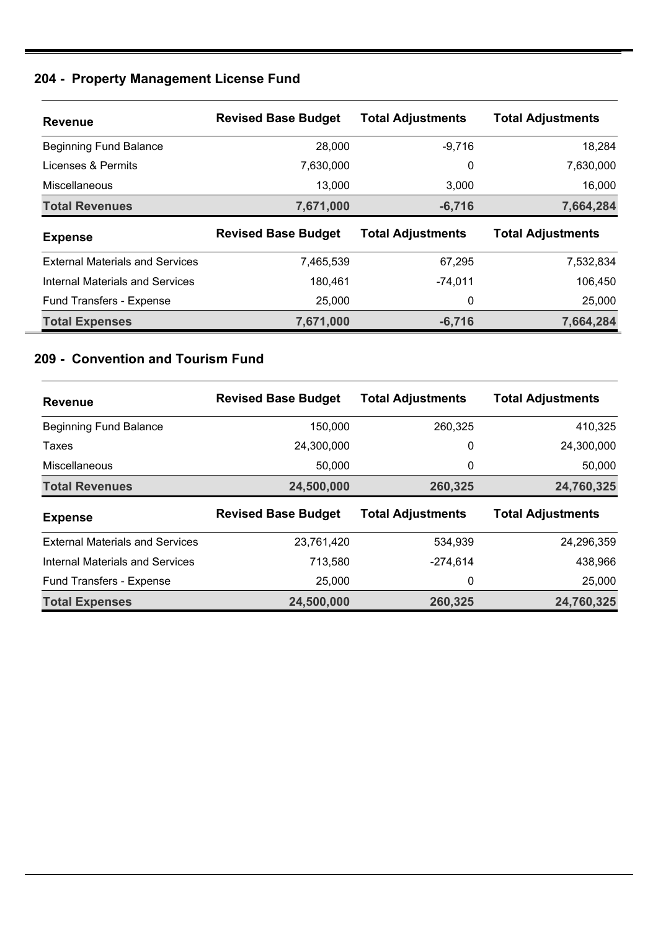#### **204 - Property Management License Fund**

| <b>Revenue</b>                         | <b>Revised Base Budget</b> | <b>Total Adjustments</b> | <b>Total Adjustments</b> |
|----------------------------------------|----------------------------|--------------------------|--------------------------|
| <b>Beginning Fund Balance</b>          | 28,000                     | $-9,716$                 | 18,284                   |
| Licenses & Permits                     | 7,630,000                  | 0                        | 7,630,000                |
| <b>Miscellaneous</b>                   | 13.000                     | 3,000                    | 16,000                   |
| <b>Total Revenues</b>                  | 7,671,000                  | $-6,716$                 | 7,664,284                |
|                                        |                            |                          |                          |
| <b>Expense</b>                         | <b>Revised Base Budget</b> | <b>Total Adjustments</b> | <b>Total Adjustments</b> |
| <b>External Materials and Services</b> | 7,465,539                  | 67,295                   | 7,532,834                |
| Internal Materials and Services        | 180,461                    | $-74,011$                | 106,450                  |
| Fund Transfers - Expense               | 25,000                     | 0                        | 25,000                   |

#### **209 - Convention and Tourism Fund**

| <b>Revenue</b>                         | <b>Revised Base Budget</b> | <b>Total Adjustments</b> | <b>Total Adjustments</b> |
|----------------------------------------|----------------------------|--------------------------|--------------------------|
| <b>Beginning Fund Balance</b>          | 150,000                    | 260,325                  | 410,325                  |
| Taxes                                  | 24,300,000                 | 0                        | 24,300,000               |
| Miscellaneous                          | 50,000                     | 0                        | 50,000                   |
| <b>Total Revenues</b>                  | 24,500,000                 | 260,325                  | 24,760,325               |
|                                        |                            |                          |                          |
| <b>Expense</b>                         | <b>Revised Base Budget</b> | <b>Total Adjustments</b> | <b>Total Adjustments</b> |
| <b>External Materials and Services</b> | 23,761,420                 | 534,939                  | 24,296,359               |
| Internal Materials and Services        | 713,580                    | $-274,614$               | 438,966                  |
| <b>Fund Transfers - Expense</b>        | 25,000                     | 0                        | 25,000                   |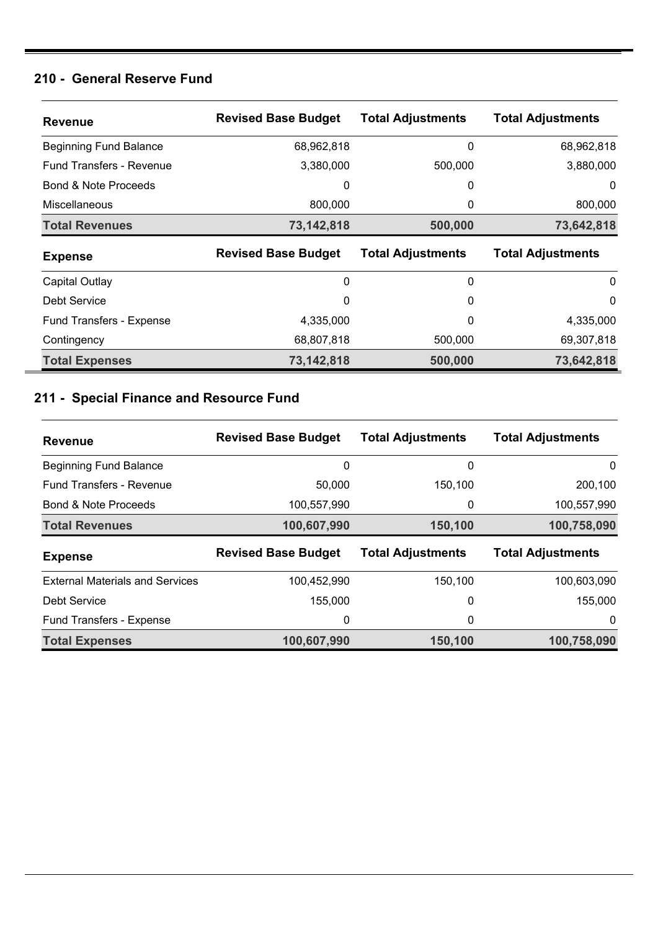#### **210 - General Reserve Fund**

| <b>Revenue</b>                  | <b>Revised Base Budget</b> | <b>Total Adjustments</b> | <b>Total Adjustments</b> |
|---------------------------------|----------------------------|--------------------------|--------------------------|
| <b>Beginning Fund Balance</b>   | 68,962,818                 | 0                        | 68,962,818               |
| <b>Fund Transfers - Revenue</b> | 3,380,000                  | 500,000                  | 3,880,000                |
| <b>Bond &amp; Note Proceeds</b> | 0                          | 0                        | 0                        |
| <b>Miscellaneous</b>            | 800,000                    | 0                        | 800,000                  |
| <b>Total Revenues</b>           | 73,142,818                 | 500,000                  | 73,642,818               |
| <b>Expense</b>                  | <b>Revised Base Budget</b> | <b>Total Adjustments</b> | <b>Total Adjustments</b> |
| Capital Outlay                  | 0                          | 0                        | $\mathbf{0}$             |
| Debt Service                    | 0                          | 0                        | 0                        |
| <b>Fund Transfers - Expense</b> | 4,335,000                  | 0                        | 4,335,000                |
| Contingency                     | 68,807,818                 | 500,000                  | 69,307,818               |
|                                 |                            |                          |                          |

### **211 - Special Finance and Resource Fund**

| <b>Revenue</b>                         | <b>Revised Base Budget</b> | <b>Total Adjustments</b> | <b>Total Adjustments</b> |
|----------------------------------------|----------------------------|--------------------------|--------------------------|
| <b>Beginning Fund Balance</b>          | 0                          | 0                        | 0                        |
| <b>Fund Transfers - Revenue</b>        | 50,000                     | 150,100                  | 200,100                  |
| Bond & Note Proceeds                   | 100,557,990                | 0                        | 100,557,990              |
| <b>Total Revenues</b>                  | 100,607,990                | 150,100                  | 100,758,090              |
|                                        |                            |                          |                          |
| <b>Expense</b>                         | <b>Revised Base Budget</b> | <b>Total Adjustments</b> | <b>Total Adjustments</b> |
| <b>External Materials and Services</b> | 100,452,990                | 150,100                  | 100,603,090              |
| Debt Service                           | 155,000                    | 0                        | 155,000                  |
| Fund Transfers - Expense               | 0                          | 0                        | 0                        |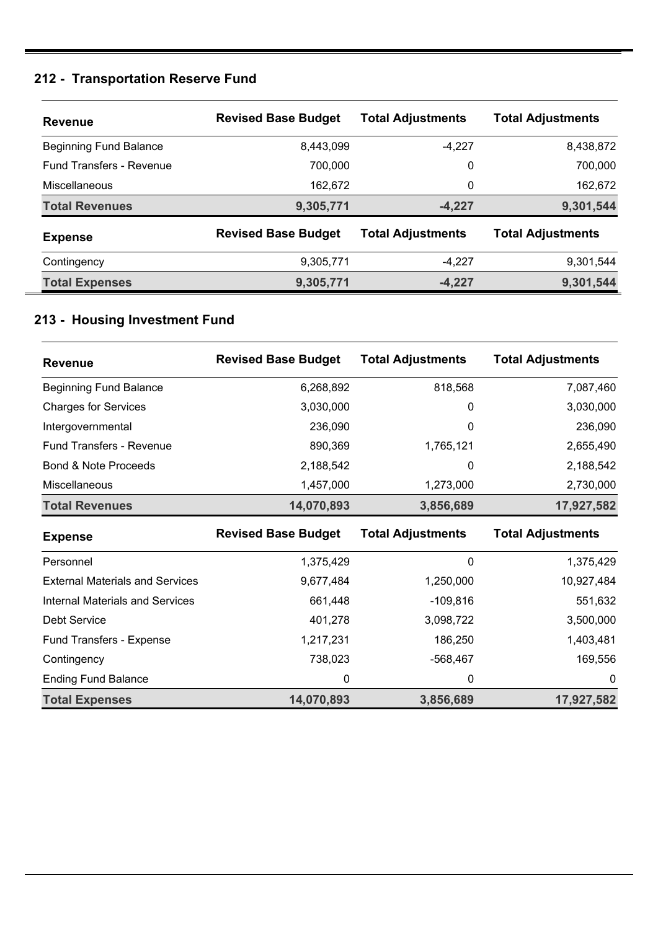## **212 - Transportation Reserve Fund**

| <b>Revenue</b>                  | <b>Revised Base Budget</b> | <b>Total Adjustments</b> | <b>Total Adjustments</b> |
|---------------------------------|----------------------------|--------------------------|--------------------------|
| <b>Beginning Fund Balance</b>   | 8,443,099                  | $-4,227$                 | 8,438,872                |
| <b>Fund Transfers - Revenue</b> | 700,000                    | 0                        | 700,000                  |
| <b>Miscellaneous</b>            | 162,672                    | 0                        | 162,672                  |
| <b>Total Revenues</b>           | 9,305,771                  | $-4,227$                 | 9,301,544                |
| <b>Expense</b>                  | <b>Revised Base Budget</b> | <b>Total Adjustments</b> | <b>Total Adjustments</b> |
| Contingency                     | 9,305,771                  | -4.227                   | 9,301,544                |
| <b>Total Expenses</b>           | 9,305,771                  | $-4,227$                 | 9,301,544                |

## **213 - Housing Investment Fund**

| <b>Revenue</b>                         | <b>Revised Base Budget</b> | <b>Total Adjustments</b> | <b>Total Adjustments</b> |
|----------------------------------------|----------------------------|--------------------------|--------------------------|
| <b>Beginning Fund Balance</b>          | 6,268,892                  | 818,568                  | 7,087,460                |
| <b>Charges for Services</b>            | 3,030,000                  | 0                        | 3,030,000                |
| Intergovernmental                      | 236,090                    | 0                        | 236,090                  |
| <b>Fund Transfers - Revenue</b>        | 890,369                    | 1,765,121                | 2,655,490                |
| <b>Bond &amp; Note Proceeds</b>        | 2,188,542                  | 0                        | 2,188,542                |
| Miscellaneous                          | 1,457,000                  | 1,273,000                | 2,730,000                |
| <b>Total Revenues</b>                  | 14,070,893                 | 3,856,689                | 17,927,582               |
| <b>Expense</b>                         | <b>Revised Base Budget</b> | <b>Total Adjustments</b> | <b>Total Adjustments</b> |
| Personnel                              | 1,375,429                  | 0                        | 1,375,429                |
| <b>External Materials and Services</b> | 9,677,484                  | 1,250,000                | 10,927,484               |
| <b>Internal Materials and Services</b> | 661,448                    | $-109,816$               | 551,632                  |
| <b>Debt Service</b>                    | 401,278                    | 3,098,722                | 3,500,000                |
| <b>Fund Transfers - Expense</b>        | 1,217,231                  | 186,250                  | 1,403,481                |
| Contingency                            | 738,023                    | $-568,467$               | 169,556                  |
| <b>Ending Fund Balance</b>             | 0                          | 0                        | 0                        |
| <b>Total Expenses</b>                  | 14,070,893                 | 3,856,689                | 17,927,582               |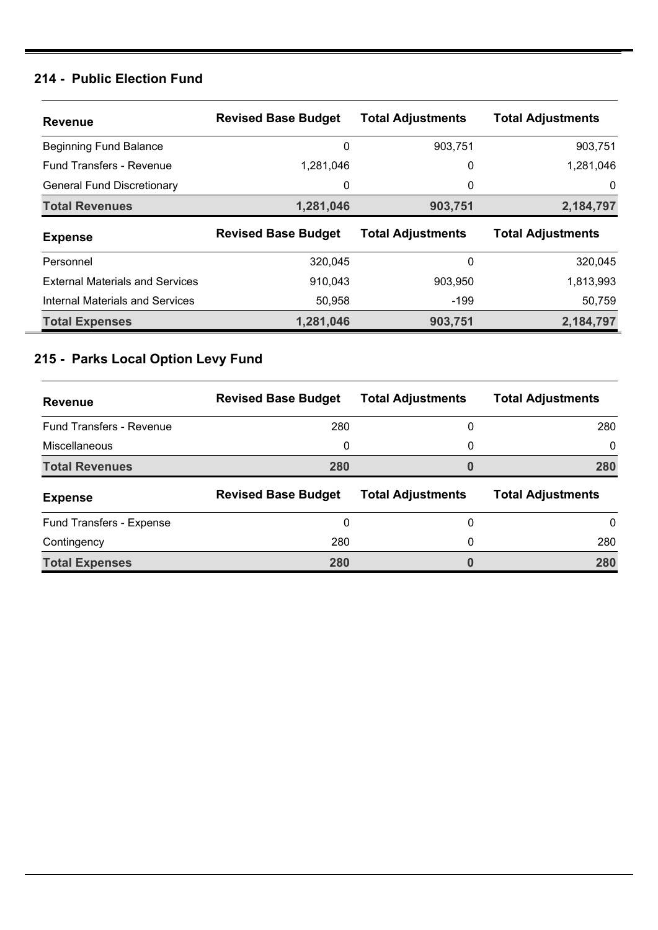### **214 - Public Election Fund**

| <b>Revenue</b>                         | <b>Revised Base Budget</b> | <b>Total Adjustments</b> | <b>Total Adjustments</b> |
|----------------------------------------|----------------------------|--------------------------|--------------------------|
| <b>Beginning Fund Balance</b>          | 0                          | 903,751                  | 903,751                  |
| <b>Fund Transfers - Revenue</b>        | 1,281,046                  | 0                        | 1,281,046                |
| <b>General Fund Discretionary</b>      | 0                          | 0                        | 0                        |
| <b>Total Revenues</b>                  | 1,281,046                  | 903,751                  | 2,184,797                |
|                                        |                            |                          |                          |
| <b>Expense</b>                         | <b>Revised Base Budget</b> | <b>Total Adjustments</b> | <b>Total Adjustments</b> |
| Personnel                              | 320,045                    | 0                        | 320,045                  |
| <b>External Materials and Services</b> | 910,043                    | 903.950                  | 1,813,993                |
| Internal Materials and Services        | 50,958                     | -199                     | 50,759                   |

### **215 - Parks Local Option Levy Fund**

| <b>Revenue</b>                  | <b>Revised Base Budget</b> | <b>Total Adjustments</b> | <b>Total Adjustments</b> |
|---------------------------------|----------------------------|--------------------------|--------------------------|
| <b>Fund Transfers - Revenue</b> | 280                        | 0                        | 280                      |
| Miscellaneous                   | 0                          | 0                        | $\Omega$                 |
| <b>Total Revenues</b>           | 280                        | 0                        | 280                      |
|                                 |                            |                          |                          |
| <b>Expense</b>                  | <b>Revised Base Budget</b> | <b>Total Adjustments</b> | <b>Total Adjustments</b> |
| Fund Transfers - Expense        | 0                          | 0                        | 0                        |
| Contingency                     | 280                        | 0                        | 280                      |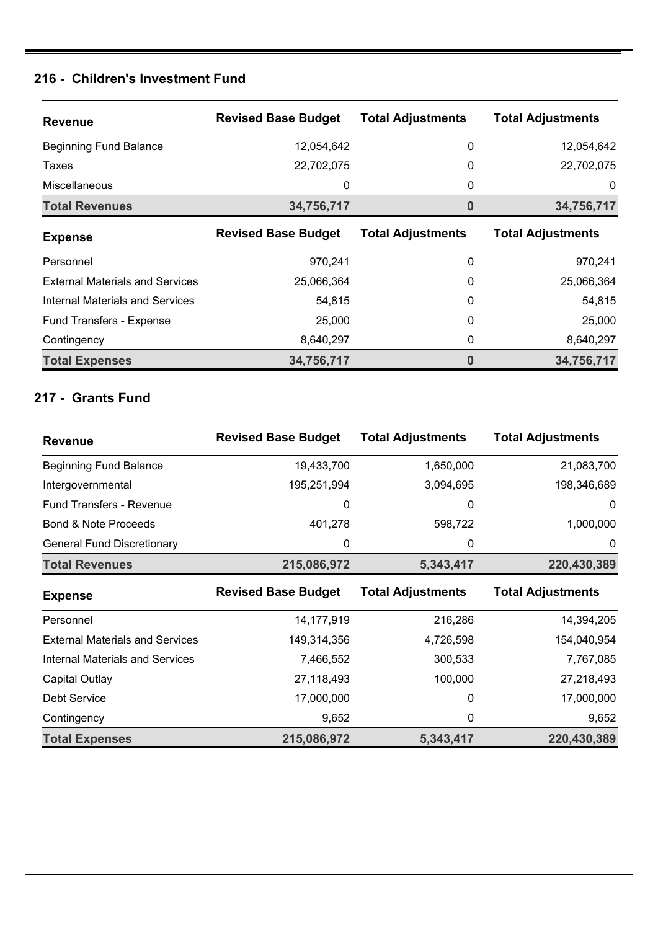#### **216 - Children's Investment Fund**

| <b>Revenue</b>                         | <b>Revised Base Budget</b> | <b>Total Adjustments</b> | <b>Total Adjustments</b> |
|----------------------------------------|----------------------------|--------------------------|--------------------------|
| <b>Beginning Fund Balance</b>          | 12.054.642                 | 0                        | 12,054,642               |
| Taxes                                  | 22,702,075                 | 0                        | 22,702,075               |
| Miscellaneous                          | 0                          | 0                        | 0                        |
| <b>Total Revenues</b>                  | 34,756,717                 | 0                        | 34,756,717               |
| <b>Expense</b>                         | <b>Revised Base Budget</b> | <b>Total Adjustments</b> | <b>Total Adjustments</b> |
| Personnel                              | 970,241                    | 0                        | 970,241                  |
| <b>External Materials and Services</b> | 25,066,364                 | 0                        | 25,066,364               |
| Internal Materials and Services        | 54,815                     | 0                        | 54,815                   |
| Fund Transfers - Expense               | 25,000                     | 0                        | 25,000                   |
| Contingency                            | 8,640,297                  | 0                        | 8,640,297                |
| <b>Total Expenses</b>                  | 34,756,717                 | 0                        | 34,756,717               |

#### **217 - Grants Fund**

| <b>Revenue</b>                         | <b>Revised Base Budget</b> | <b>Total Adjustments</b> | <b>Total Adjustments</b> |
|----------------------------------------|----------------------------|--------------------------|--------------------------|
| <b>Beginning Fund Balance</b>          | 19,433,700                 | 1,650,000                | 21,083,700               |
| Intergovernmental                      | 195,251,994                | 3,094,695                | 198,346,689              |
| <b>Fund Transfers - Revenue</b>        | 0                          | 0                        | 0                        |
| <b>Bond &amp; Note Proceeds</b>        | 401,278                    | 598,722                  | 1,000,000                |
| <b>General Fund Discretionary</b>      | 0                          | 0                        | 0                        |
| <b>Total Revenues</b>                  | 215,086,972                | 5,343,417                | 220,430,389              |
| <b>Expense</b>                         | <b>Revised Base Budget</b> | <b>Total Adjustments</b> | <b>Total Adjustments</b> |
| Personnel                              | 14,177,919                 | 216,286                  | 14,394,205               |
| <b>External Materials and Services</b> | 149,314,356                | 4,726,598                | 154,040,954              |
| <b>Internal Materials and Services</b> | 7,466,552                  | 300,533                  | 7,767,085                |
| Capital Outlay                         | 27,118,493                 | 100,000                  | 27,218,493               |
| Debt Service                           | 17,000,000                 | 0                        | 17,000,000               |
| Contingency                            | 9,652                      | 0                        | 9,652                    |
|                                        |                            |                          |                          |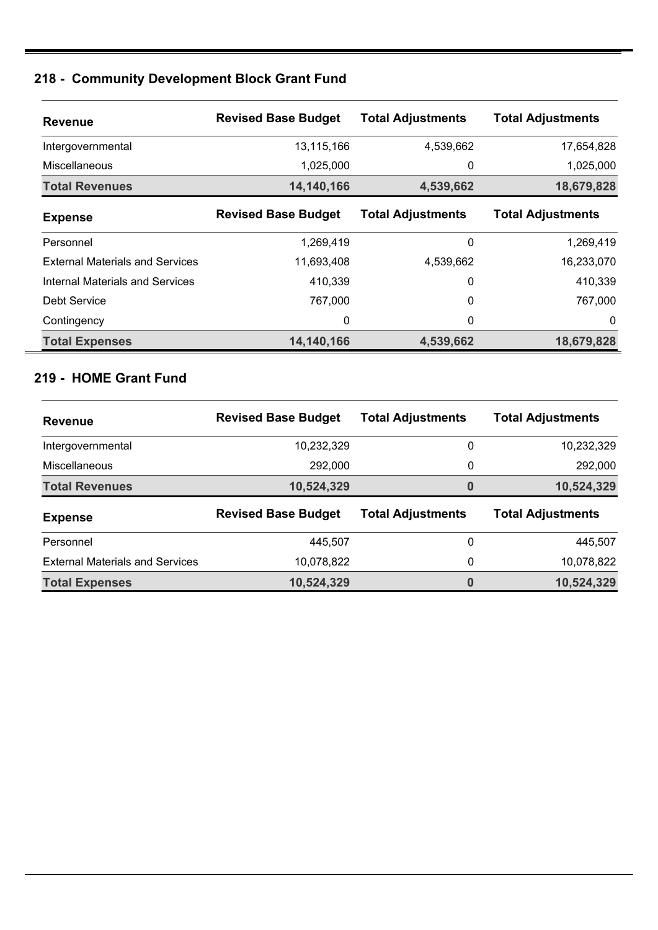## **218 - Community Development Block Grant Fund**

| <b>Revenue</b>                         | <b>Revised Base Budget</b> | <b>Total Adjustments</b> | <b>Total Adjustments</b> |
|----------------------------------------|----------------------------|--------------------------|--------------------------|
| Intergovernmental                      | 13,115,166                 | 4,539,662                | 17,654,828               |
| <b>Miscellaneous</b>                   | 1,025,000                  | 0                        | 1,025,000                |
| <b>Total Revenues</b>                  | 14,140,166                 | 4,539,662                | 18,679,828               |
| <b>Expense</b>                         | <b>Revised Base Budget</b> | <b>Total Adjustments</b> | <b>Total Adjustments</b> |
| Personnel                              | 1,269,419                  | 0                        | 1,269,419                |
| <b>External Materials and Services</b> | 11,693,408                 | 4,539,662                | 16,233,070               |
| Internal Materials and Services        | 410,339                    | 0                        | 410,339                  |
| Debt Service                           | 767.000                    | 0                        | 767,000                  |
| Contingency                            | 0                          | 0                        | 0                        |
| <b>Total Expenses</b>                  | 14,140,166                 | 4,539,662                | 18,679,828               |

## **219 - HOME Grant Fund**

| <b>Revenue</b>                         | <b>Revised Base Budget</b> | <b>Total Adjustments</b> | <b>Total Adjustments</b> |
|----------------------------------------|----------------------------|--------------------------|--------------------------|
| Intergovernmental                      | 10,232,329                 | 0                        | 10,232,329               |
| Miscellaneous                          | 292,000                    | 0                        | 292,000                  |
| <b>Total Revenues</b>                  | 10,524,329                 | 0                        | 10,524,329               |
|                                        |                            |                          |                          |
| <b>Expense</b>                         | <b>Revised Base Budget</b> | <b>Total Adjustments</b> | <b>Total Adjustments</b> |
| Personnel                              | 445,507                    | 0                        | 445,507                  |
| <b>External Materials and Services</b> | 10,078,822                 | 0                        | 10,078,822               |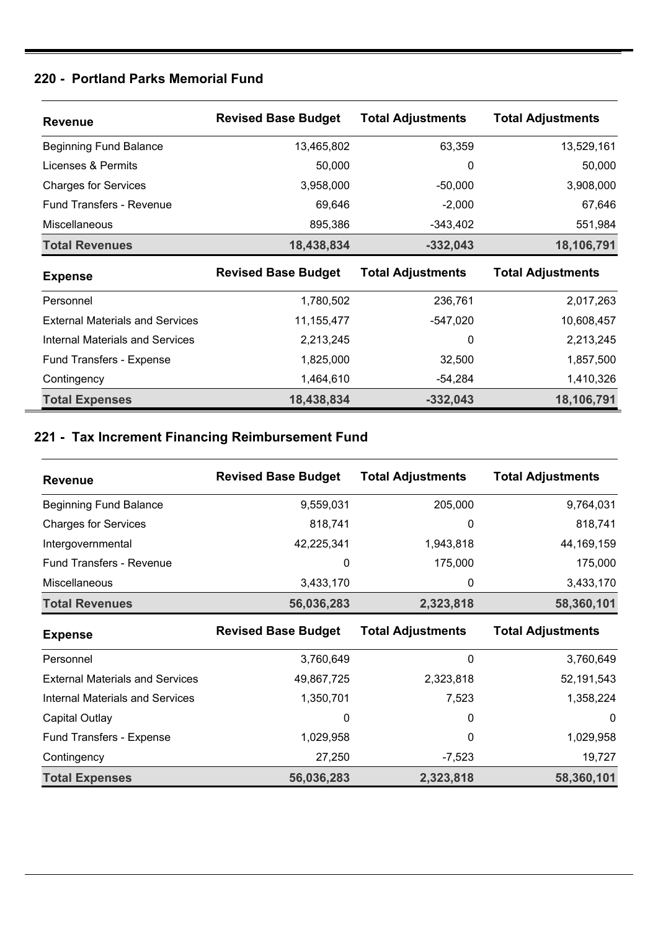### **220 - Portland Parks Memorial Fund**

| <b>Revenue</b>                         | <b>Revised Base Budget</b> | <b>Total Adjustments</b> | <b>Total Adjustments</b> |
|----------------------------------------|----------------------------|--------------------------|--------------------------|
| <b>Beginning Fund Balance</b>          | 13,465,802                 | 63,359                   | 13,529,161               |
| Licenses & Permits                     | 50,000                     | 0                        | 50,000                   |
| <b>Charges for Services</b>            | 3,958,000                  | $-50,000$                | 3,908,000                |
| Fund Transfers - Revenue               | 69,646                     | $-2,000$                 | 67,646                   |
| <b>Miscellaneous</b>                   | 895,386                    | $-343,402$               | 551,984                  |
| <b>Total Revenues</b>                  | 18,438,834                 | $-332,043$               | 18,106,791               |
|                                        |                            |                          |                          |
| <b>Expense</b>                         | <b>Revised Base Budget</b> | <b>Total Adjustments</b> | <b>Total Adjustments</b> |
| Personnel                              | 1,780,502                  | 236,761                  | 2,017,263                |
| <b>External Materials and Services</b> | 11, 155, 477               | $-547,020$               | 10,608,457               |
| Internal Materials and Services        | 2,213,245                  | 0                        | 2,213,245                |
| <b>Fund Transfers - Expense</b>        | 1,825,000                  | 32,500                   | 1,857,500                |
| Contingency                            | 1,464,610                  | $-54,284$                | 1,410,326                |

## **221 - Tax Increment Financing Reimbursement Fund**

| <b>Revenue</b>                         | <b>Revised Base Budget</b> | <b>Total Adjustments</b> | <b>Total Adjustments</b> |
|----------------------------------------|----------------------------|--------------------------|--------------------------|
| <b>Beginning Fund Balance</b>          | 9,559,031                  | 205,000                  | 9,764,031                |
| <b>Charges for Services</b>            | 818,741                    | 0                        | 818,741                  |
| Intergovernmental                      | 42,225,341                 | 1,943,818                | 44, 169, 159             |
| <b>Fund Transfers - Revenue</b>        | 0                          | 175,000                  | 175,000                  |
| Miscellaneous                          | 3,433,170                  | 0                        | 3,433,170                |
| <b>Total Revenues</b>                  | 56,036,283                 | 2,323,818                | 58,360,101               |
| <b>Expense</b>                         | <b>Revised Base Budget</b> | <b>Total Adjustments</b> | <b>Total Adjustments</b> |
| Personnel                              | 3,760,649                  | 0                        | 3,760,649                |
| <b>External Materials and Services</b> | 49,867,725                 | 2,323,818                | 52, 191, 543             |
| <b>Internal Materials and Services</b> | 1,350,701                  | 7,523                    | 1,358,224                |
| Capital Outlay                         | 0                          | 0                        | $\mathbf 0$              |
| Fund Transfers - Expense               | 1,029,958                  | 0                        | 1,029,958                |
| Contingency                            |                            |                          |                          |
|                                        | 27,250                     | $-7,523$                 | 19,727                   |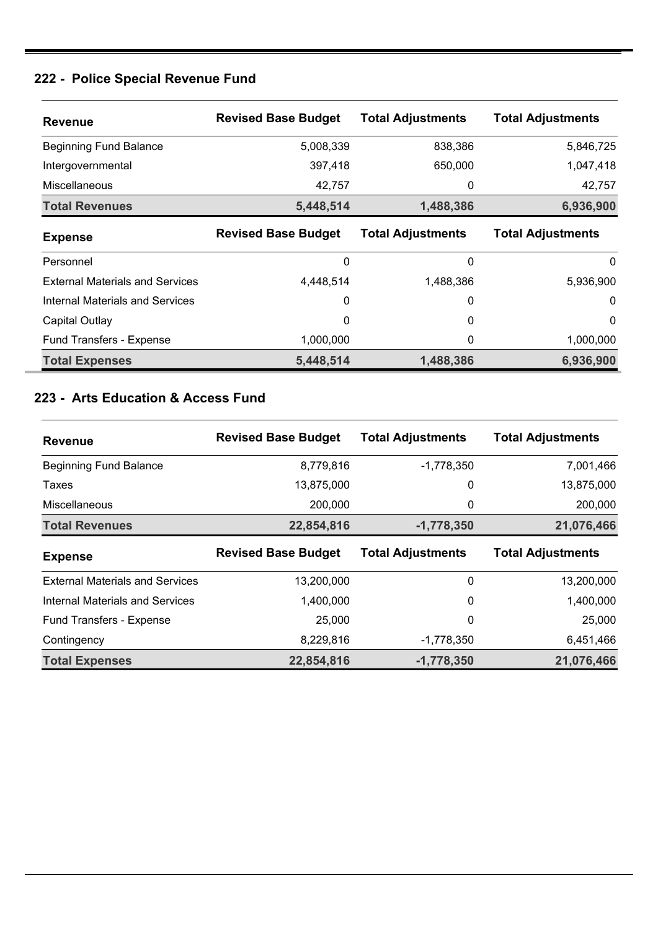### **222 - Police Special Revenue Fund**

| <b>Revenue</b>                         | <b>Revised Base Budget</b> | <b>Total Adjustments</b> | <b>Total Adjustments</b> |
|----------------------------------------|----------------------------|--------------------------|--------------------------|
| <b>Beginning Fund Balance</b>          | 5,008,339                  | 838,386                  | 5,846,725                |
| Intergovernmental                      | 397,418                    | 650,000                  | 1,047,418                |
| Miscellaneous                          | 42,757                     | 0                        | 42,757                   |
| <b>Total Revenues</b>                  | 5,448,514                  | 1,488,386                | 6,936,900                |
| <b>Expense</b>                         | <b>Revised Base Budget</b> | <b>Total Adjustments</b> | <b>Total Adjustments</b> |
| Personnel                              | 0                          | 0                        | $\Omega$                 |
| <b>External Materials and Services</b> | 4,448,514                  | 1,488,386                | 5,936,900                |
| Internal Materials and Services        | 0                          | 0                        | $\mathbf 0$              |
| Capital Outlay                         | 0                          | 0                        | $\mathbf 0$              |
| Fund Transfers - Expense               | 1,000,000                  | 0                        | 1,000,000                |
| <b>Total Expenses</b>                  | 5,448,514                  | 1,488,386                | 6,936,900                |

### **223 - Arts Education & Access Fund**

| <b>Revenue</b>                         | <b>Revised Base Budget</b> | <b>Total Adjustments</b> | <b>Total Adjustments</b> |
|----------------------------------------|----------------------------|--------------------------|--------------------------|
| <b>Beginning Fund Balance</b>          | 8,779,816                  | $-1,778,350$             | 7,001,466                |
| Taxes                                  | 13,875,000                 | 0                        | 13,875,000               |
| Miscellaneous                          | 200,000                    | 0                        | 200,000                  |
| <b>Total Revenues</b>                  | 22,854,816                 | $-1,778,350$             | 21,076,466               |
| <b>Expense</b>                         | <b>Revised Base Budget</b> | <b>Total Adjustments</b> | <b>Total Adjustments</b> |
| <b>External Materials and Services</b> | 13,200,000                 | 0                        | 13,200,000               |
| Internal Materials and Services        | 1,400,000                  | 0                        | 1,400,000                |
| <b>Fund Transfers - Expense</b>        | 25,000                     | 0                        | 25,000                   |
| Contingency                            | 8,229,816                  | $-1,778,350$             | 6,451,466                |
| <b>Total Expenses</b>                  | 22,854,816                 | $-1,778,350$             | 21,076,466               |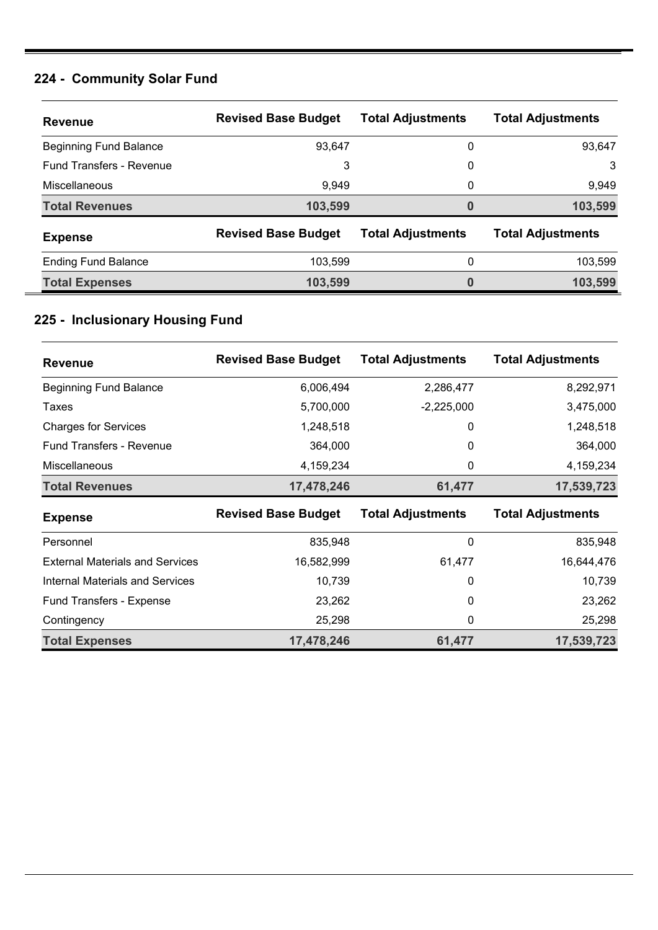## **224 - Community Solar Fund**

| <b>Revenue</b>                  | <b>Revised Base Budget</b> | <b>Total Adjustments</b> | <b>Total Adjustments</b> |
|---------------------------------|----------------------------|--------------------------|--------------------------|
| <b>Beginning Fund Balance</b>   | 93,647                     | 0                        | 93,647                   |
| <b>Fund Transfers - Revenue</b> | 3                          | 0                        | 3                        |
| Miscellaneous                   | 9,949                      | 0                        | 9,949                    |
| <b>Total Revenues</b>           | 103,599                    | 0                        | 103,599                  |
| <b>Expense</b>                  | <b>Revised Base Budget</b> | <b>Total Adjustments</b> | <b>Total Adjustments</b> |
| <b>Ending Fund Balance</b>      | 103,599                    | 0                        | 103,599                  |
| <b>Total Expenses</b>           | 103,599                    | 0                        | 103,599                  |

### **225 - Inclusionary Housing Fund**

| <b>Revenue</b>                         | <b>Revised Base Budget</b> | <b>Total Adjustments</b> | <b>Total Adjustments</b> |
|----------------------------------------|----------------------------|--------------------------|--------------------------|
| <b>Beginning Fund Balance</b>          | 6,006,494                  | 2,286,477                | 8,292,971                |
| Taxes                                  | 5,700,000                  | $-2,225,000$             | 3,475,000                |
| <b>Charges for Services</b>            | 1,248,518                  | 0                        | 1,248,518                |
| <b>Fund Transfers - Revenue</b>        | 364,000                    | $\Omega$                 | 364,000                  |
| <b>Miscellaneous</b>                   | 4,159,234                  | 0                        | 4,159,234                |
| <b>Total Revenues</b>                  | 17,478,246                 | 61,477                   | 17,539,723               |
|                                        |                            |                          |                          |
| <b>Expense</b>                         | <b>Revised Base Budget</b> | <b>Total Adjustments</b> | <b>Total Adjustments</b> |
| Personnel                              | 835,948                    | 0                        | 835,948                  |
| <b>External Materials and Services</b> | 16,582,999                 | 61,477                   | 16,644,476               |
| <b>Internal Materials and Services</b> | 10,739                     | 0                        | 10,739                   |
| Fund Transfers - Expense               | 23,262                     | $\mathbf{0}$             | 23,262                   |
| Contingency                            | 25,298                     | 0                        | 25,298                   |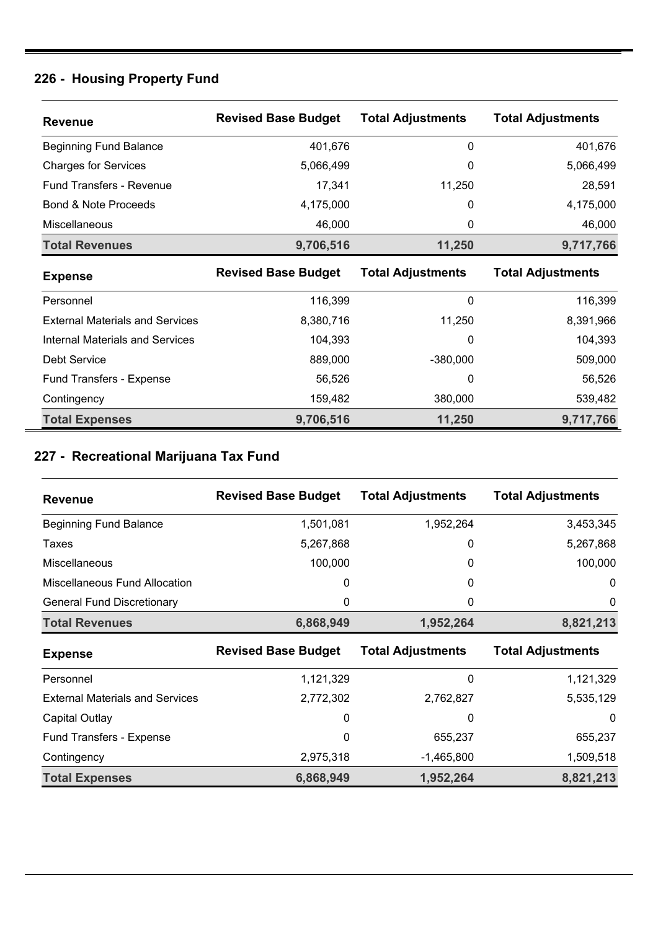## **226 - Housing Property Fund**

| <b>Revenue</b>                         | <b>Revised Base Budget</b> | <b>Total Adjustments</b> | <b>Total Adjustments</b> |
|----------------------------------------|----------------------------|--------------------------|--------------------------|
| <b>Beginning Fund Balance</b>          | 401,676                    | 0                        | 401,676                  |
| <b>Charges for Services</b>            | 5,066,499                  | 0                        | 5,066,499                |
| <b>Fund Transfers - Revenue</b>        | 17,341                     | 11,250                   | 28,591                   |
| <b>Bond &amp; Note Proceeds</b>        | 4,175,000                  | $\Omega$                 | 4,175,000                |
| Miscellaneous                          | 46,000                     | 0                        | 46,000                   |
| <b>Total Revenues</b>                  | 9,706,516                  | 11,250                   | 9,717,766                |
| <b>Expense</b>                         | <b>Revised Base Budget</b> | <b>Total Adjustments</b> | <b>Total Adjustments</b> |
|                                        |                            |                          |                          |
| Personnel                              | 116,399                    | 0                        | 116,399                  |
| <b>External Materials and Services</b> | 8,380,716                  | 11,250                   | 8,391,966                |
| <b>Internal Materials and Services</b> | 104,393                    | 0                        | 104,393                  |
| <b>Debt Service</b>                    | 889,000                    | $-380,000$               | 509,000                  |
| Fund Transfers - Expense               | 56,526                     | 0                        | 56,526                   |
| Contingency                            | 159,482                    | 380,000                  | 539,482                  |

# **227 - Recreational Marijuana Tax Fund**

| <b>Revenue</b>                    | <b>Revised Base Budget</b> | <b>Total Adjustments</b> | <b>Total Adjustments</b> |
|-----------------------------------|----------------------------|--------------------------|--------------------------|
| <b>Beginning Fund Balance</b>     | 1,501,081                  | 1,952,264                | 3,453,345                |
| Taxes                             | 5,267,868                  | 0                        | 5,267,868                |
| <b>Miscellaneous</b>              | 100,000                    | 0                        | 100,000                  |
| Miscellaneous Fund Allocation     | 0                          | 0                        | $\Omega$                 |
| <b>General Fund Discretionary</b> | 0                          | 0                        | 0                        |
| <b>Total Revenues</b>             | 6,868,949                  | 1,952,264                | 8,821,213                |

| <b>Expense</b>                         | <b>Revised Base Budget</b> | <b>Total Adjustments</b> | <b>Total Adjustments</b> |
|----------------------------------------|----------------------------|--------------------------|--------------------------|
| Personnel                              | 1,121,329                  | 0                        | 1,121,329                |
| <b>External Materials and Services</b> | 2,772,302                  | 2,762,827                | 5,535,129                |
| Capital Outlay                         | 0                          | 0                        | 0                        |
| <b>Fund Transfers - Expense</b>        | 0                          | 655.237                  | 655,237                  |
| Contingency                            | 2,975,318                  | $-1,465,800$             | 1,509,518                |
| <b>Total Expenses</b>                  | 6,868,949                  | 1,952,264                | 8,821,213                |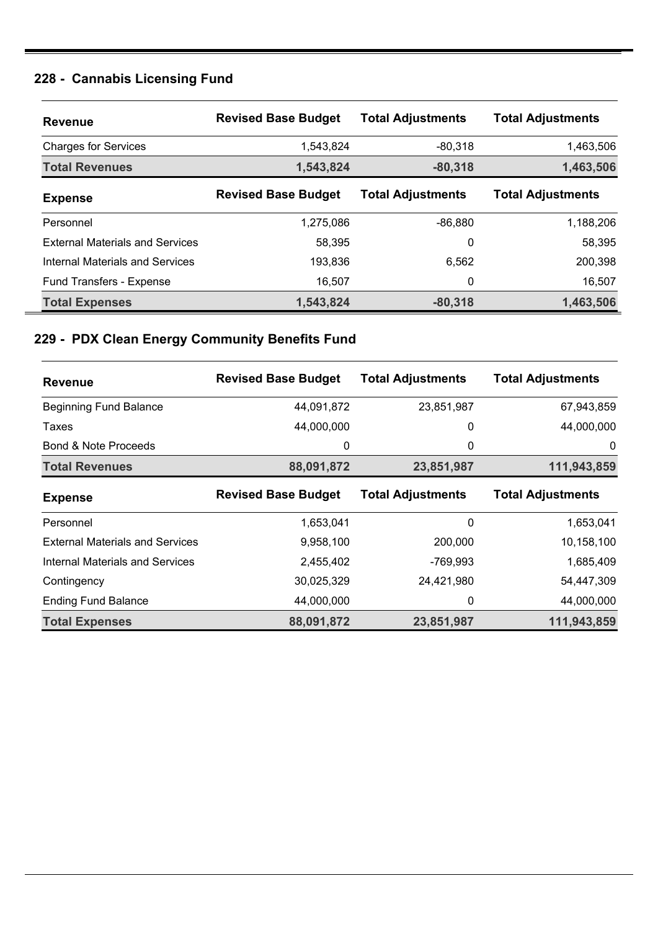# **228 - Cannabis Licensing Fund**

| <b>Revenue</b>                         | <b>Revised Base Budget</b> | <b>Total Adjustments</b> | <b>Total Adjustments</b> |
|----------------------------------------|----------------------------|--------------------------|--------------------------|
| <b>Charges for Services</b>            | 1,543,824                  | $-80.318$                | 1,463,506                |
| <b>Total Revenues</b>                  | 1,543,824                  | $-80,318$                | 1,463,506                |
| <b>Expense</b>                         | <b>Revised Base Budget</b> | <b>Total Adjustments</b> | <b>Total Adjustments</b> |
| Personnel                              | 1,275,086                  | $-86,880$                | 1,188,206                |
| <b>External Materials and Services</b> | 58,395                     | 0                        | 58,395                   |
| Internal Materials and Services        | 193,836                    | 6,562                    | 200,398                  |
| Fund Transfers - Expense               | 16,507                     | 0                        | 16,507                   |
| <b>Total Expenses</b>                  | 1,543,824                  | $-80,318$                | 1,463,506                |

# **229 - PDX Clean Energy Community Benefits Fund**

| <b>Revenue</b>                         | <b>Revised Base Budget</b> | <b>Total Adjustments</b> | <b>Total Adjustments</b> |
|----------------------------------------|----------------------------|--------------------------|--------------------------|
| <b>Beginning Fund Balance</b>          | 44,091,872                 | 23,851,987               | 67,943,859               |
| Taxes                                  | 44,000,000                 | 0                        | 44,000,000               |
| <b>Bond &amp; Note Proceeds</b>        | 0                          | 0                        | 0                        |
| <b>Total Revenues</b>                  | 88,091,872                 | 23,851,987               | 111,943,859              |
| <b>Expense</b>                         | <b>Revised Base Budget</b> | <b>Total Adjustments</b> | <b>Total Adjustments</b> |
| Personnel                              | 1,653,041                  | 0                        | 1,653,041                |
| <b>External Materials and Services</b> | 9,958,100                  | 200,000                  | 10,158,100               |
| <b>Internal Materials and Services</b> | 2,455,402                  | -769,993                 | 1,685,409                |
| Contingency                            | 30,025,329                 | 24,421,980               | 54,447,309               |
| <b>Ending Fund Balance</b>             | 44,000,000                 | 0                        | 44,000,000               |
| <b>Total Expenses</b>                  | 88,091,872                 | 23,851,987               | 111,943,859              |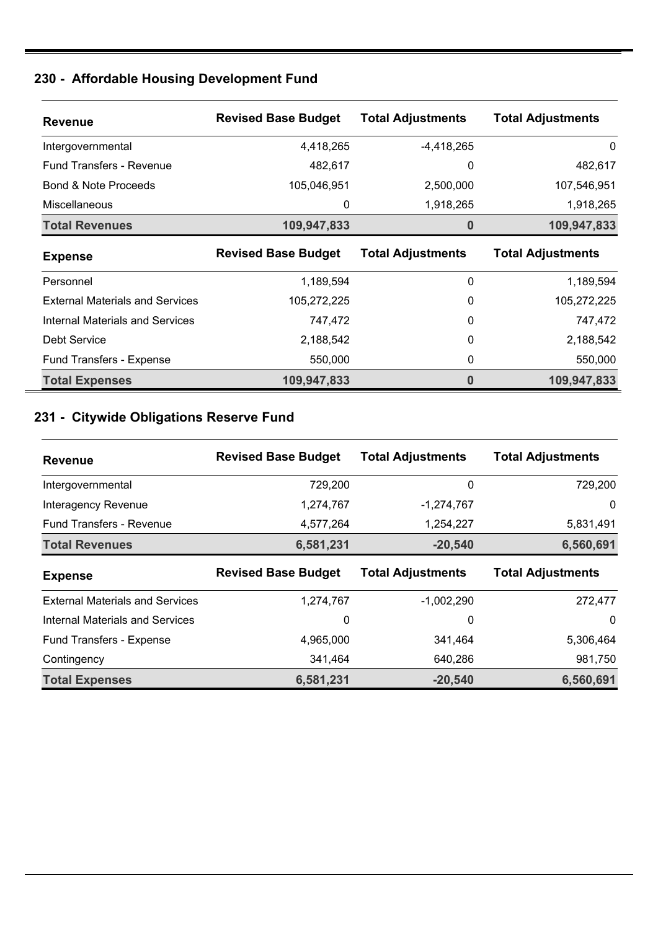## **230 - Affordable Housing Development Fund**

| <b>Revenue</b>                         | <b>Revised Base Budget</b> | <b>Total Adjustments</b> | <b>Total Adjustments</b> |
|----------------------------------------|----------------------------|--------------------------|--------------------------|
| Intergovernmental                      | 4,418,265                  | -4,418,265               | 0                        |
| <b>Fund Transfers - Revenue</b>        | 482,617                    | 0                        | 482,617                  |
| Bond & Note Proceeds                   | 105,046,951                | 2,500,000                | 107,546,951              |
| <b>Miscellaneous</b>                   | 0                          | 1,918,265                | 1,918,265                |
| <b>Total Revenues</b>                  | 109,947,833                | 0                        | 109,947,833              |
| <b>Expense</b>                         | <b>Revised Base Budget</b> | <b>Total Adjustments</b> | <b>Total Adjustments</b> |
| Personnel                              | 1,189,594                  | 0                        | 1,189,594                |
| <b>External Materials and Services</b> | 105,272,225                | 0                        | 105,272,225              |
| Internal Materials and Services        | 747,472                    | $\Omega$                 | 747,472                  |
| Debt Service                           | 2,188,542                  | 0                        | 2,188,542                |
| Fund Transfers - Expense               | 550,000                    | 0                        | 550,000                  |
| <b>Total Expenses</b>                  | 109,947,833                | 0                        | 109,947,833              |

## **231 - Citywide Obligations Reserve Fund**

| <b>Revenue</b>                         | <b>Revised Base Budget</b> | <b>Total Adjustments</b> | <b>Total Adjustments</b> |
|----------------------------------------|----------------------------|--------------------------|--------------------------|
| Intergovernmental                      | 729,200                    | 0                        | 729,200                  |
| Interagency Revenue                    | 1,274,767                  | $-1,274,767$             | 0                        |
| <b>Fund Transfers - Revenue</b>        | 4,577,264                  | 1,254,227                | 5,831,491                |
| <b>Total Revenues</b>                  | 6,581,231                  | $-20,540$                | 6,560,691                |
| <b>Expense</b>                         | <b>Revised Base Budget</b> | <b>Total Adjustments</b> | <b>Total Adjustments</b> |
| <b>External Materials and Services</b> | 1,274,767                  | $-1,002,290$             | 272,477                  |
|                                        |                            |                          |                          |
| Internal Materials and Services        | 0                          | 0                        | $\mathbf 0$              |
| Fund Transfers - Expense               | 4,965,000                  | 341,464                  | 5,306,464                |
| Contingency                            | 341,464                    | 640,286                  | 981,750                  |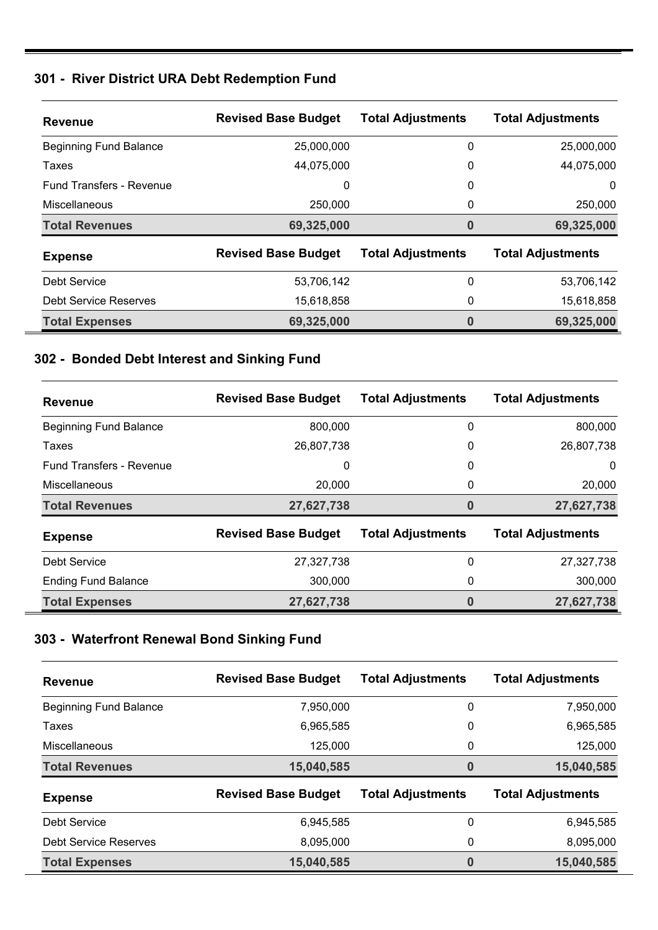#### **301 - River District URA Debt Redemption Fund**

| <b>Revenue</b>                  | <b>Revised Base Budget</b> | <b>Total Adjustments</b> | <b>Total Adjustments</b> |
|---------------------------------|----------------------------|--------------------------|--------------------------|
| <b>Beginning Fund Balance</b>   | 25,000,000                 | 0                        | 25,000,000               |
| Taxes                           | 44,075,000                 | 0                        | 44,075,000               |
| <b>Fund Transfers - Revenue</b> | 0                          | 0                        | 0                        |
| <b>Miscellaneous</b>            | 250,000                    | 0                        | 250,000                  |
| <b>Total Revenues</b>           | 69,325,000                 | 0                        | 69,325,000               |
| <b>Expense</b>                  | <b>Revised Base Budget</b> | <b>Total Adjustments</b> | <b>Total Adjustments</b> |
| Debt Service                    | 53,706,142                 | 0                        | 53,706,142               |
| Debt Service Reserves           | 15,618,858                 | 0                        | 15,618,858               |
| <b>Total Expenses</b>           | 69,325,000                 | 0                        | 69,325,000               |

### **302 - Bonded Debt Interest and Sinking Fund**

| <b>Revenue</b>                  | <b>Revised Base Budget</b> | <b>Total Adjustments</b> | <b>Total Adjustments</b> |
|---------------------------------|----------------------------|--------------------------|--------------------------|
| <b>Beginning Fund Balance</b>   | 800,000                    | 0                        | 800,000                  |
| Taxes                           | 26,807,738                 | 0                        | 26,807,738               |
| <b>Fund Transfers - Revenue</b> | 0                          | 0                        | $\Omega$                 |
| <b>Miscellaneous</b>            | 20,000                     | 0                        | 20,000                   |
| <b>Total Revenues</b>           | 27,627,738                 | 0                        | 27,627,738               |
| <b>Expense</b>                  | <b>Revised Base Budget</b> | <b>Total Adjustments</b> | <b>Total Adjustments</b> |
| <b>Debt Service</b>             | 27,327,738                 | 0                        | 27,327,738               |
| <b>Ending Fund Balance</b>      | 300,000                    | 0                        | 300,000                  |
| <b>Total Expenses</b>           | 27,627,738                 | 0                        | 27,627,738               |

## **303 - Waterfront Renewal Bond Sinking Fund**

| <b>Revenue</b>                | <b>Revised Base Budget</b> | <b>Total Adjustments</b> | <b>Total Adjustments</b> |
|-------------------------------|----------------------------|--------------------------|--------------------------|
| <b>Beginning Fund Balance</b> | 7,950,000                  | 0                        | 7,950,000                |
| Taxes                         | 6,965,585                  | 0                        | 6,965,585                |
| Miscellaneous                 | 125,000                    | 0                        | 125,000                  |
| <b>Total Revenues</b>         | 15,040,585                 | $\bf{0}$                 | 15,040,585               |
| <b>Expense</b>                | <b>Revised Base Budget</b> | <b>Total Adjustments</b> | <b>Total Adjustments</b> |
| Debt Service                  | 6,945,585                  | 0                        | 6,945,585                |
| Debt Service Reserves         | 8,095,000                  | 0                        | 8,095,000                |
| <b>Total Expenses</b>         | 15,040,585                 | $\bf{0}$                 | 15,040,585               |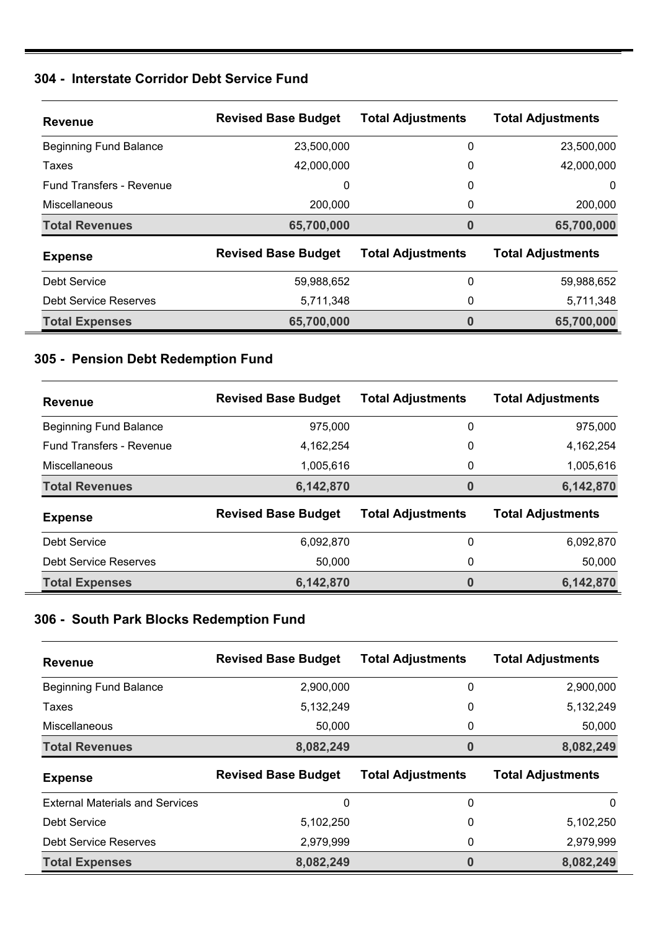#### **304 - Interstate Corridor Debt Service Fund**

| <b>Revenue</b>                  | <b>Revised Base Budget</b> | <b>Total Adjustments</b> | <b>Total Adjustments</b> |
|---------------------------------|----------------------------|--------------------------|--------------------------|
| <b>Beginning Fund Balance</b>   | 23,500,000                 | 0                        | 23,500,000               |
| Taxes                           | 42,000,000                 | 0                        | 42,000,000               |
| <b>Fund Transfers - Revenue</b> | 0                          | 0                        | 0                        |
| <b>Miscellaneous</b>            | 200,000                    | 0                        | 200,000                  |
| <b>Total Revenues</b>           | 65,700,000                 | 0                        | 65,700,000               |
| <b>Expense</b>                  | <b>Revised Base Budget</b> | <b>Total Adjustments</b> | <b>Total Adjustments</b> |
| Debt Service                    | 59,988,652                 | 0                        | 59,988,652               |
| Debt Service Reserves           | 5,711,348                  | 0                        | 5,711,348                |
| <b>Total Expenses</b>           | 65,700,000                 | 0                        | 65,700,000               |

### **305 - Pension Debt Redemption Fund**

| <b>Revenue</b>                  | <b>Revised Base Budget</b> | <b>Total Adjustments</b> | <b>Total Adjustments</b> |
|---------------------------------|----------------------------|--------------------------|--------------------------|
| <b>Beginning Fund Balance</b>   | 975,000                    | 0                        | 975,000                  |
| <b>Fund Transfers - Revenue</b> | 4,162,254                  | 0                        | 4,162,254                |
| Miscellaneous                   | 1,005,616                  | 0                        | 1,005,616                |
| <b>Total Revenues</b>           | 6,142,870                  | 0                        | 6,142,870                |
| <b>Expense</b>                  | <b>Revised Base Budget</b> | <b>Total Adjustments</b> | <b>Total Adjustments</b> |
| Debt Service                    | 6,092,870                  | 0                        | 6,092,870                |
| Debt Service Reserves           | 50,000                     | 0                        | 50,000                   |
| <b>Total Expenses</b>           | 6,142,870                  | 0                        | 6,142,870                |

#### **306 - South Park Blocks Redemption Fund**

| <b>Revenue</b>                         | <b>Revised Base Budget</b> | <b>Total Adjustments</b> | <b>Total Adjustments</b> |
|----------------------------------------|----------------------------|--------------------------|--------------------------|
| <b>Beginning Fund Balance</b>          | 2,900,000                  | 0                        | 2,900,000                |
| Taxes                                  | 5,132,249                  | 0                        | 5,132,249                |
| <b>Miscellaneous</b>                   | 50,000                     | 0                        | 50,000                   |
| <b>Total Revenues</b>                  | 8,082,249                  | 0                        | 8,082,249                |
|                                        |                            |                          |                          |
| <b>Expense</b>                         | <b>Revised Base Budget</b> | <b>Total Adjustments</b> | <b>Total Adjustments</b> |
| <b>External Materials and Services</b> | 0                          | 0                        | $\Omega$                 |
| Debt Service                           | 5,102,250                  | 0                        | 5,102,250                |
| <b>Debt Service Reserves</b>           | 2,979,999                  | 0                        | 2,979,999                |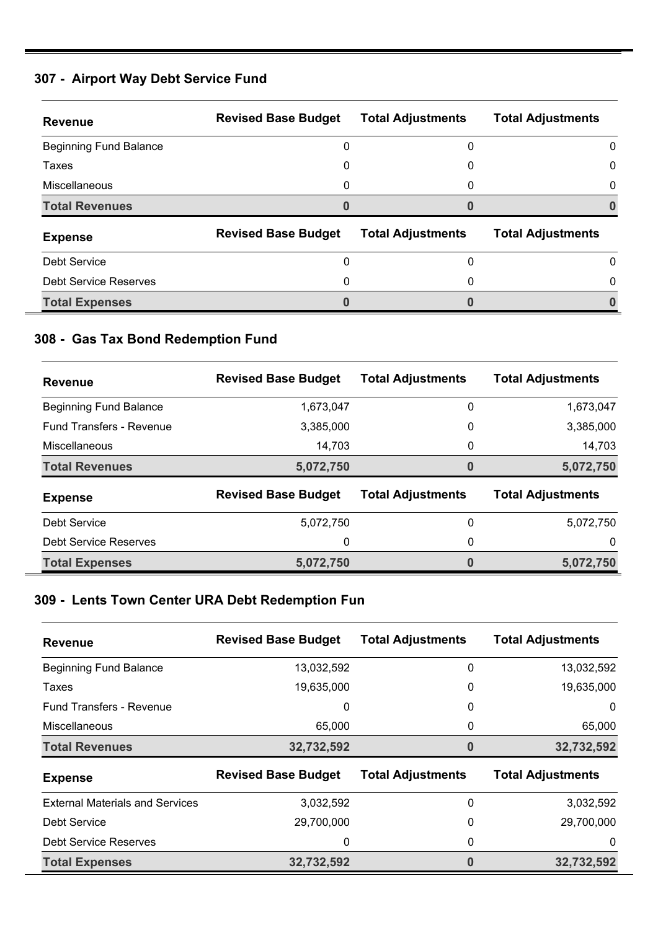#### **307 - Airport Way Debt Service Fund**

| <b>Revenue</b>                | <b>Revised Base Budget</b> | <b>Total Adjustments</b> | <b>Total Adjustments</b> |
|-------------------------------|----------------------------|--------------------------|--------------------------|
| <b>Beginning Fund Balance</b> |                            | 0                        | 0                        |
| Taxes                         | 0                          | 0                        | 0                        |
| <b>Miscellaneous</b>          |                            | 0                        | 0                        |
| <b>Total Revenues</b>         |                            |                          |                          |
| <b>Expense</b>                | <b>Revised Base Budget</b> | <b>Total Adjustments</b> | <b>Total Adjustments</b> |
| Debt Service                  | ი                          | 0                        | 0                        |
| Debt Service Reserves         |                            | 0                        | 0                        |
| <b>Total Expenses</b>         |                            |                          |                          |

## **308 - Gas Tax Bond Redemption Fund**

| <b>Revenue</b>                  | <b>Revised Base Budget</b> | <b>Total Adjustments</b> | <b>Total Adjustments</b> |
|---------------------------------|----------------------------|--------------------------|--------------------------|
| <b>Beginning Fund Balance</b>   | 1,673,047                  | 0                        | 1,673,047                |
| <b>Fund Transfers - Revenue</b> | 3,385,000                  | 0                        | 3,385,000                |
| Miscellaneous                   | 14,703                     | 0                        | 14,703                   |
| <b>Total Revenues</b>           | 5,072,750                  | $\bf{0}$                 | 5,072,750                |
| <b>Expense</b>                  | <b>Revised Base Budget</b> | <b>Total Adjustments</b> | <b>Total Adjustments</b> |
| Debt Service                    | 5,072,750                  | 0                        | 5,072,750                |
| <b>Debt Service Reserves</b>    | 0                          | 0                        | 0                        |
| <b>Total Expenses</b>           | 5,072,750                  | $\bf{0}$                 | 5,072,750                |

### **309 - Lents Town Center URA Debt Redemption Fun**

| <b>Revenue</b>                         | <b>Revised Base Budget</b> | <b>Total Adjustments</b> | <b>Total Adjustments</b> |
|----------------------------------------|----------------------------|--------------------------|--------------------------|
| <b>Beginning Fund Balance</b>          | 13,032,592                 | 0                        | 13,032,592               |
| Taxes                                  | 19,635,000                 | 0                        | 19,635,000               |
| <b>Fund Transfers - Revenue</b>        | 0                          | 0                        | 0                        |
| <b>Miscellaneous</b>                   | 65,000                     | 0                        | 65,000                   |
| <b>Total Revenues</b>                  | 32,732,592                 | 0                        | 32,732,592               |
| <b>Expense</b>                         | <b>Revised Base Budget</b> | <b>Total Adjustments</b> | <b>Total Adjustments</b> |
| <b>External Materials and Services</b> | 3,032,592                  | 0                        | 3,032,592                |
| Debt Service                           | 29,700,000                 | 0                        | 29,700,000               |
| Debt Service Reserves                  | 0                          | 0                        | 0                        |
| <b>Total Expenses</b>                  | 32,732,592                 | 0                        | 32,732,592               |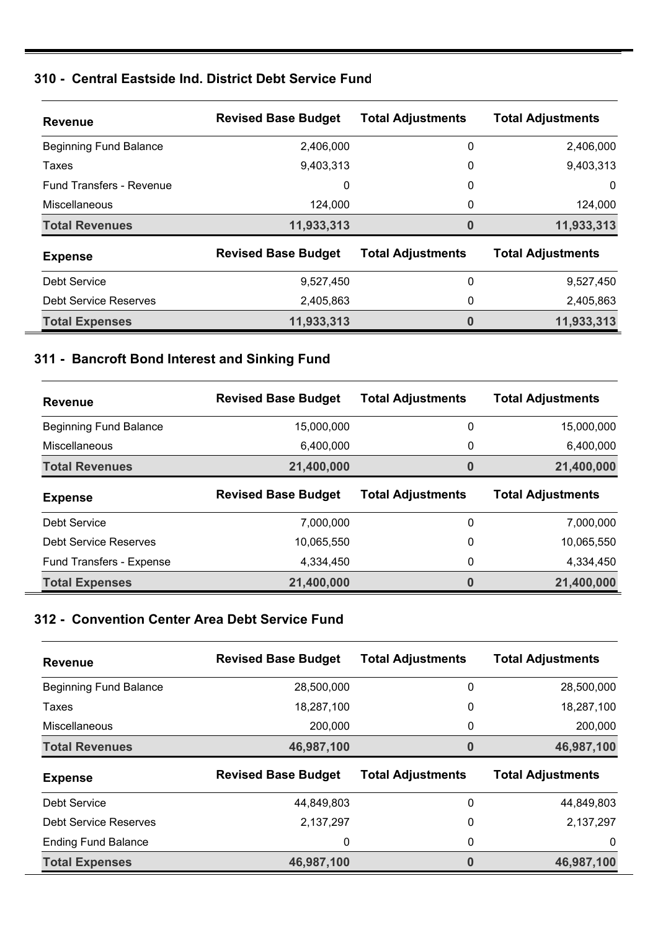#### **310 - Central Eastside Ind. District Debt Service Fund**

| <b>Revenue</b>                  | <b>Revised Base Budget</b> | <b>Total Adjustments</b> | <b>Total Adjustments</b> |
|---------------------------------|----------------------------|--------------------------|--------------------------|
| <b>Beginning Fund Balance</b>   | 2,406,000                  | 0                        | 2,406,000                |
| Taxes                           | 9,403,313                  | 0                        | 9,403,313                |
| <b>Fund Transfers - Revenue</b> | 0                          | 0                        | 0                        |
| <b>Miscellaneous</b>            | 124.000                    | 0                        | 124,000                  |
| <b>Total Revenues</b>           | 11,933,313                 | 0                        | 11,933,313               |
| <b>Expense</b>                  | <b>Revised Base Budget</b> | <b>Total Adjustments</b> | <b>Total Adjustments</b> |
| Debt Service                    | 9,527,450                  | 0                        | 9,527,450                |
| Debt Service Reserves           | 2,405,863                  | 0                        | 2,405,863                |
| <b>Total Expenses</b>           | 11,933,313                 | 0                        | 11,933,313               |

### **311 - Bancroft Bond Interest and Sinking Fund**

| <b>Revenue</b>                | <b>Revised Base Budget</b> | <b>Total Adjustments</b> | <b>Total Adjustments</b> |
|-------------------------------|----------------------------|--------------------------|--------------------------|
| <b>Beginning Fund Balance</b> | 15,000,000                 | 0                        | 15,000,000               |
| Miscellaneous                 | 6,400,000                  | 0                        | 6,400,000                |
| <b>Total Revenues</b>         | 21,400,000                 | $\bf{0}$                 | 21,400,000               |
| <b>Expense</b>                | <b>Revised Base Budget</b> | <b>Total Adjustments</b> | <b>Total Adjustments</b> |
| Debt Service                  | 7,000,000                  | 0                        | 7,000,000                |
| Debt Service Reserves         | 10,065,550                 | 0                        | 10,065,550               |
| Fund Transfers - Expense      | 4,334,450                  | 0                        | 4,334,450                |
| <b>Total Expenses</b>         | 21,400,000                 | 0                        | 21,400,000               |

#### **312 - Convention Center Area Debt Service Fund**

| <b>Revenue</b>                | <b>Revised Base Budget</b> | <b>Total Adjustments</b> | <b>Total Adjustments</b> |
|-------------------------------|----------------------------|--------------------------|--------------------------|
| <b>Beginning Fund Balance</b> | 28,500,000                 | 0                        | 28,500,000               |
| Taxes                         | 18,287,100                 | 0                        | 18,287,100               |
| Miscellaneous                 | 200,000                    | 0                        | 200,000                  |
| <b>Total Revenues</b>         | 46,987,100                 | 0                        | 46,987,100               |
|                               |                            |                          |                          |
| <b>Expense</b>                | <b>Revised Base Budget</b> | <b>Total Adjustments</b> | <b>Total Adjustments</b> |
| Debt Service                  | 44,849,803                 | 0                        | 44,849,803               |
| Debt Service Reserves         | 2,137,297                  | 0                        | 2,137,297                |
| <b>Ending Fund Balance</b>    | 0                          | 0                        | 0                        |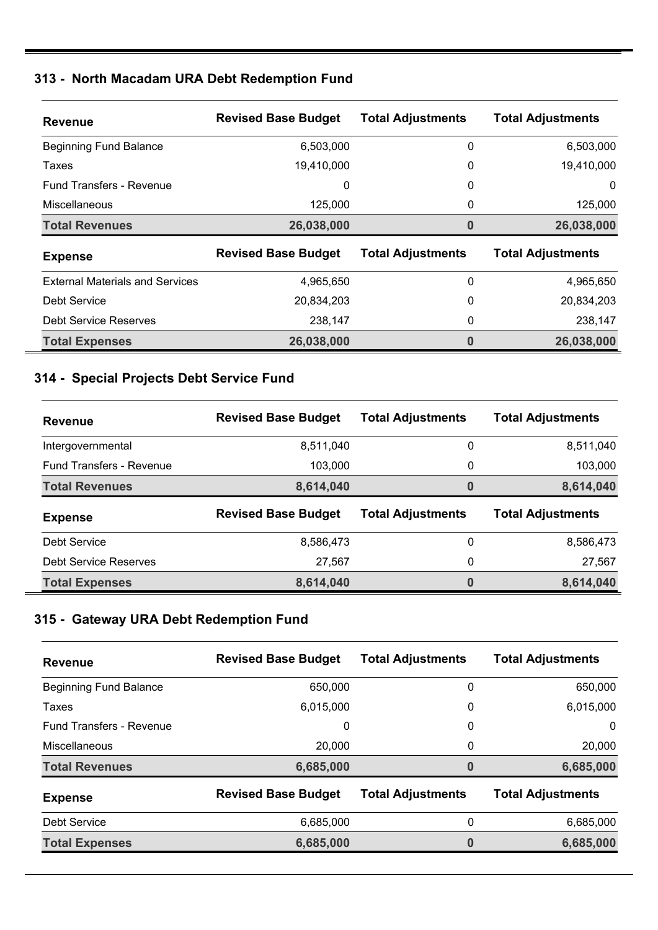#### **313 - North Macadam URA Debt Redemption Fund**

| <b>Revenue</b>                         | <b>Revised Base Budget</b> | <b>Total Adjustments</b> | <b>Total Adjustments</b> |
|----------------------------------------|----------------------------|--------------------------|--------------------------|
| <b>Beginning Fund Balance</b>          | 6,503,000                  | 0                        | 6,503,000                |
| Taxes                                  | 19,410,000                 | 0                        | 19,410,000               |
| <b>Fund Transfers - Revenue</b>        | 0                          | 0                        | 0                        |
| <b>Miscellaneous</b>                   | 125,000                    | 0                        | 125,000                  |
| <b>Total Revenues</b>                  | 26,038,000                 | 0                        | 26,038,000               |
| <b>Expense</b>                         | <b>Revised Base Budget</b> | <b>Total Adjustments</b> | <b>Total Adjustments</b> |
| <b>External Materials and Services</b> | 4.965.650                  | 0                        | 4,965,650                |
| Debt Service                           | 20,834,203                 | 0                        | 20,834,203               |
| <b>Debt Service Reserves</b>           | 238,147                    | 0                        | 238,147                  |
| <b>Total Expenses</b>                  | 26,038,000                 | 0                        | 26,038,000               |

## **314 - Special Projects Debt Service Fund**

| <b>Revenue</b>                  | <b>Revised Base Budget</b> | <b>Total Adjustments</b> | <b>Total Adjustments</b> |
|---------------------------------|----------------------------|--------------------------|--------------------------|
| Intergovernmental               | 8,511,040                  | 0                        | 8,511,040                |
| <b>Fund Transfers - Revenue</b> | 103,000                    | 0                        | 103,000                  |
| <b>Total Revenues</b>           | 8,614,040                  | 0                        | 8,614,040                |
|                                 |                            |                          |                          |
| <b>Expense</b>                  | <b>Revised Base Budget</b> | <b>Total Adjustments</b> | <b>Total Adjustments</b> |
| Debt Service                    | 8,586,473                  | 0                        | 8,586,473                |
| Debt Service Reserves           | 27,567                     | 0                        | 27,567                   |

## **315 - Gateway URA Debt Redemption Fund**

| <b>Revenue</b>                  | <b>Revised Base Budget</b> | <b>Total Adjustments</b> | <b>Total Adjustments</b> |
|---------------------------------|----------------------------|--------------------------|--------------------------|
| <b>Beginning Fund Balance</b>   | 650,000                    | 0                        | 650,000                  |
| Taxes                           | 6,015,000                  | 0                        | 6,015,000                |
| <b>Fund Transfers - Revenue</b> | 0                          | 0                        | $\Omega$                 |
| <b>Miscellaneous</b>            | 20,000                     | 0                        | 20,000                   |
| <b>Total Revenues</b>           | 6,685,000                  | 0                        | 6,685,000                |
| <b>Expense</b>                  | <b>Revised Base Budget</b> | <b>Total Adjustments</b> | <b>Total Adjustments</b> |
| Debt Service                    | 6,685,000                  | 0                        | 6,685,000                |
| <b>Total Expenses</b>           | 6,685,000                  | 0                        | 6,685,000                |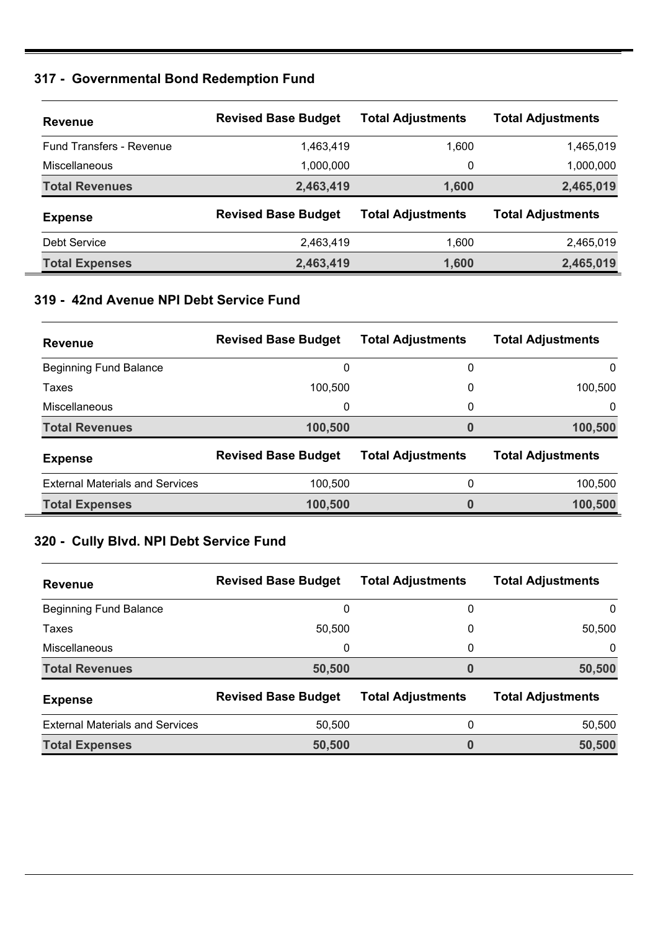#### **317 - Governmental Bond Redemption Fund**

| <b>Revenue</b>                  | <b>Revised Base Budget</b> | <b>Total Adjustments</b> | <b>Total Adjustments</b> |
|---------------------------------|----------------------------|--------------------------|--------------------------|
| <b>Fund Transfers - Revenue</b> | 1,463,419                  | 1.600                    | 1,465,019                |
| Miscellaneous                   | 1,000,000                  | 0                        | 1,000,000                |
| <b>Total Revenues</b>           | 2,463,419                  | 1,600                    | 2,465,019                |
| <b>Expense</b>                  | <b>Revised Base Budget</b> | <b>Total Adjustments</b> | <b>Total Adjustments</b> |
| Debt Service                    | 2,463,419                  | 1,600                    | 2,465,019                |
| <b>Total Expenses</b>           | 2,463,419                  | 1,600                    | 2,465,019                |

### **319 - 42nd Avenue NPI Debt Service Fund**

| <b>Revenue</b>                         | <b>Revised Base Budget</b> | <b>Total Adjustments</b> | <b>Total Adjustments</b> |
|----------------------------------------|----------------------------|--------------------------|--------------------------|
| <b>Beginning Fund Balance</b>          | 0                          | 0                        | 0                        |
| Taxes                                  | 100.500                    | 0                        | 100.500                  |
| Miscellaneous                          | 0                          | 0                        | 0                        |
| <b>Total Revenues</b>                  | 100,500                    | 0                        | 100,500                  |
| <b>Expense</b>                         | <b>Revised Base Budget</b> | <b>Total Adjustments</b> | <b>Total Adjustments</b> |
| <b>External Materials and Services</b> | 100,500                    | 0                        | 100,500                  |
| <b>Total Expenses</b>                  | 100,500                    | 0                        | 100,500                  |

## **320 - Cully Blvd. NPI Debt Service Fund**

| <b>Revenue</b>                         | <b>Revised Base Budget</b> | <b>Total Adjustments</b> | <b>Total Adjustments</b> |
|----------------------------------------|----------------------------|--------------------------|--------------------------|
| <b>Beginning Fund Balance</b>          | 0                          | 0                        | 0                        |
| Taxes                                  | 50,500                     | 0                        | 50,500                   |
| Miscellaneous                          | 0                          | 0                        | $\Omega$                 |
| <b>Total Revenues</b>                  | 50,500                     | 0                        | 50,500                   |
| <b>Expense</b>                         | <b>Revised Base Budget</b> | <b>Total Adjustments</b> | <b>Total Adjustments</b> |
| <b>External Materials and Services</b> | 50,500                     | 0                        | 50,500                   |
| <b>Total Expenses</b>                  | 50,500                     | 0                        | 50,500                   |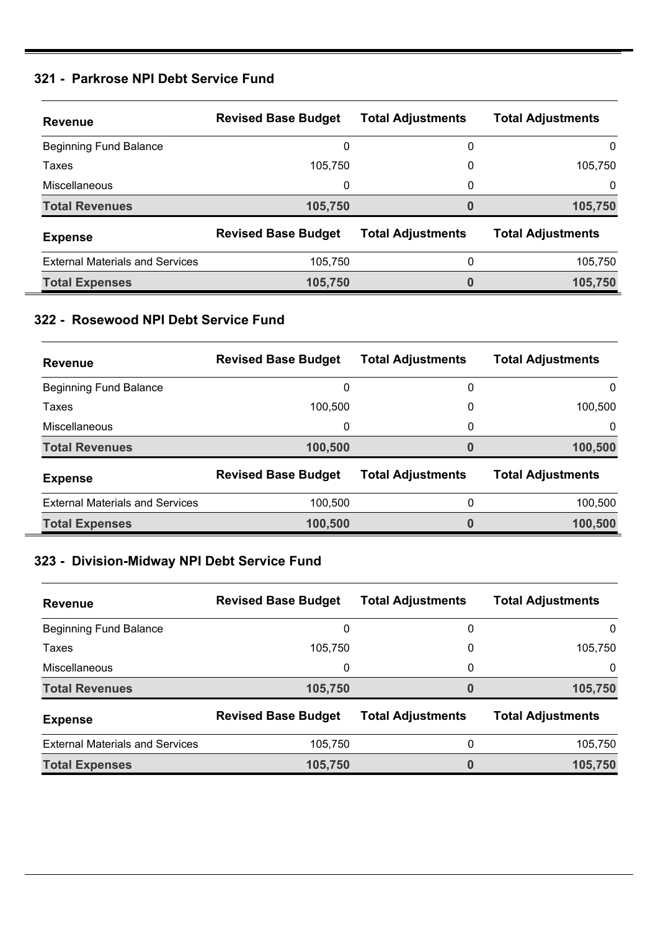#### **321 - Parkrose NPI Debt Service Fund**

| <b>Revenue</b>                         | <b>Revised Base Budget</b> | <b>Total Adjustments</b> | <b>Total Adjustments</b> |
|----------------------------------------|----------------------------|--------------------------|--------------------------|
| <b>Beginning Fund Balance</b>          | 0                          | 0                        | 0                        |
| Taxes                                  | 105.750                    | 0                        | 105.750                  |
| Miscellaneous                          | 0                          | 0                        | $\Omega$                 |
| <b>Total Revenues</b>                  | 105,750                    | 0                        | 105,750                  |
| <b>Expense</b>                         | <b>Revised Base Budget</b> | <b>Total Adjustments</b> | <b>Total Adjustments</b> |
| <b>External Materials and Services</b> | 105,750                    | 0                        | 105.750                  |
| <b>Total Expenses</b>                  | 105,750                    | 0                        | 105,750                  |

#### **322 - Rosewood NPI Debt Service Fund**

| <b>Revenue</b>                         | <b>Revised Base Budget</b> | <b>Total Adjustments</b> | <b>Total Adjustments</b> |
|----------------------------------------|----------------------------|--------------------------|--------------------------|
| <b>Beginning Fund Balance</b>          | 0                          | 0                        | 0                        |
| Taxes                                  | 100.500                    | 0                        | 100,500                  |
| Miscellaneous                          | 0                          | 0                        | 0                        |
| <b>Total Revenues</b>                  | 100,500                    |                          | 100,500                  |
| <b>Expense</b>                         | <b>Revised Base Budget</b> | <b>Total Adjustments</b> | <b>Total Adjustments</b> |
| <b>External Materials and Services</b> | 100,500                    | 0                        | 100,500                  |
| <b>Total Expenses</b>                  | 100,500                    |                          | 100,500                  |

### **323 - Division-Midway NPI Debt Service Fund**

| <b>Revenue</b>                         | <b>Revised Base Budget</b> | <b>Total Adjustments</b> | <b>Total Adjustments</b> |
|----------------------------------------|----------------------------|--------------------------|--------------------------|
| <b>Beginning Fund Balance</b>          | 0                          | 0                        | 0                        |
| Taxes                                  | 105,750                    | 0                        | 105,750                  |
| Miscellaneous                          | 0                          | 0                        | 0                        |
| <b>Total Revenues</b>                  | 105,750                    | 0                        | 105,750                  |
| <b>Expense</b>                         | <b>Revised Base Budget</b> | <b>Total Adjustments</b> | <b>Total Adjustments</b> |
| <b>External Materials and Services</b> | 105,750                    | $\mathbf{0}$             | 105,750                  |
| <b>Total Expenses</b>                  | 105,750                    | 0                        | 105,750                  |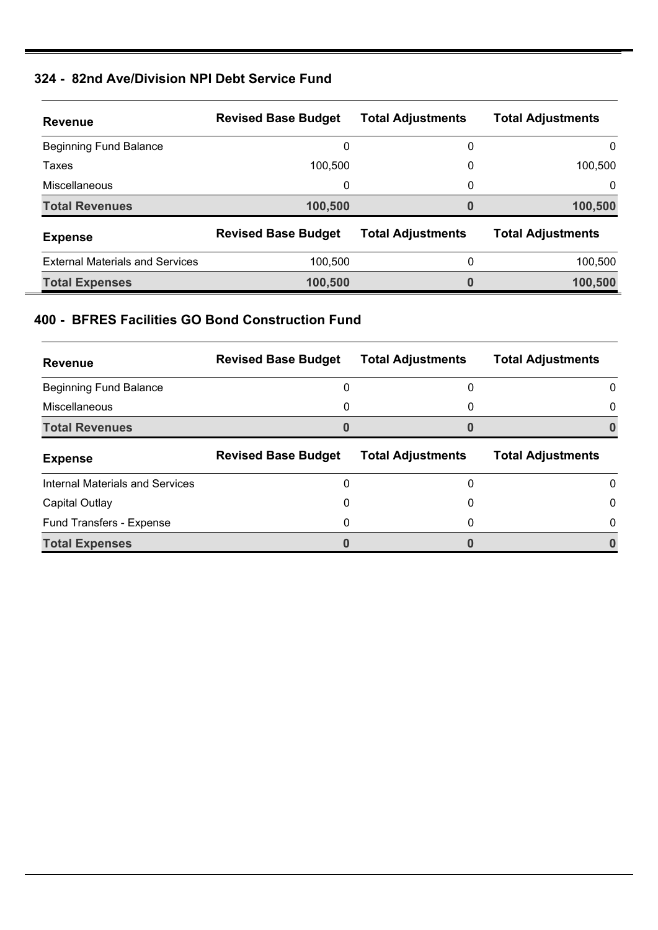#### **324 - 82nd Ave/Division NPI Debt Service Fund**

| <b>Revenue</b>                         | <b>Revised Base Budget</b> | <b>Total Adjustments</b> | <b>Total Adjustments</b> |
|----------------------------------------|----------------------------|--------------------------|--------------------------|
| <b>Beginning Fund Balance</b>          | 0                          | 0                        | 0                        |
| Taxes                                  | 100.500                    | 0                        | 100,500                  |
| Miscellaneous                          | 0                          | 0                        | 0                        |
| <b>Total Revenues</b>                  | 100,500                    | 0                        | 100,500                  |
| <b>Expense</b>                         | <b>Revised Base Budget</b> | <b>Total Adjustments</b> | <b>Total Adjustments</b> |
| <b>External Materials and Services</b> | 100,500                    | 0                        | 100,500                  |
| <b>Total Expenses</b>                  | 100,500                    |                          | 100,500                  |

#### **400 - BFRES Facilities GO Bond Construction Fund**

| <b>Revenue</b>                  | <b>Revised Base Budget</b> | <b>Total Adjustments</b> | <b>Total Adjustments</b> |
|---------------------------------|----------------------------|--------------------------|--------------------------|
| <b>Beginning Fund Balance</b>   | 0                          | 0                        | 0                        |
| <b>Miscellaneous</b>            | 0                          | 0                        | $\Omega$                 |
| <b>Total Revenues</b>           |                            |                          |                          |
| <b>Expense</b>                  | <b>Revised Base Budget</b> | <b>Total Adjustments</b> | <b>Total Adjustments</b> |
| Internal Materials and Services | 0                          | 0                        | $\Omega$                 |
|                                 |                            |                          | $\Omega$                 |
| Capital Outlay                  | 0                          | 0                        |                          |
| Fund Transfers - Expense        | 0                          | 0                        | $\Omega$                 |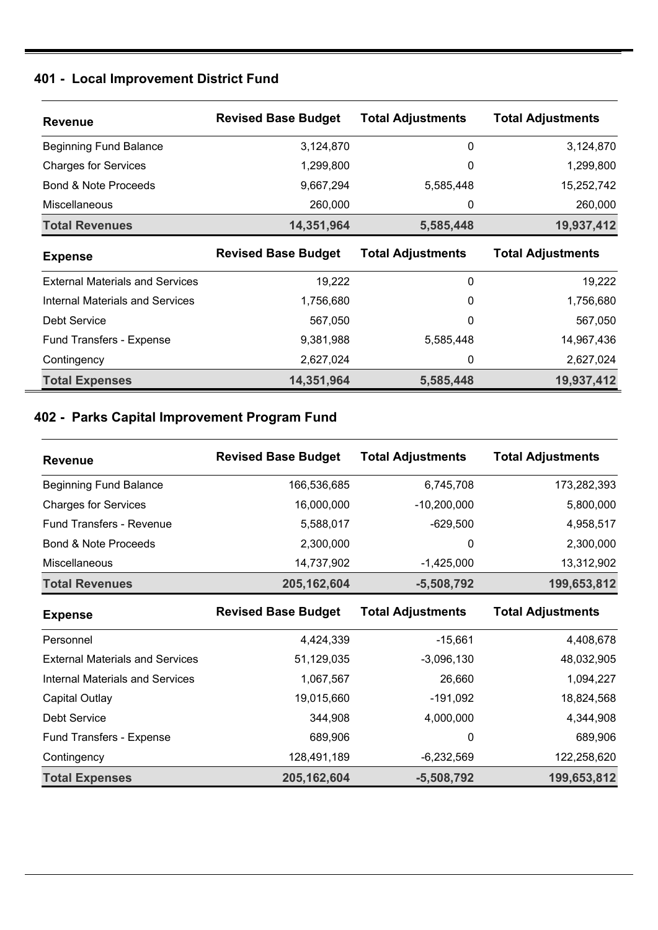### **401 - Local Improvement District Fund**

| <b>Revenue</b>                         | <b>Revised Base Budget</b> | <b>Total Adjustments</b> | <b>Total Adjustments</b> |
|----------------------------------------|----------------------------|--------------------------|--------------------------|
| <b>Beginning Fund Balance</b>          | 3,124,870                  | $\Omega$                 | 3,124,870                |
| <b>Charges for Services</b>            | 1,299,800                  | 0                        | 1,299,800                |
| <b>Bond &amp; Note Proceeds</b>        | 9,667,294                  | 5,585,448                | 15,252,742               |
| <b>Miscellaneous</b>                   | 260,000                    | 0                        | 260,000                  |
| <b>Total Revenues</b>                  | 14,351,964                 | 5,585,448                | 19,937,412               |
| <b>Expense</b>                         | <b>Revised Base Budget</b> | <b>Total Adjustments</b> | <b>Total Adjustments</b> |
| <b>External Materials and Services</b> | 19,222                     | 0                        | 19,222                   |
| Internal Materials and Services        | 1,756,680                  | 0                        | 1,756,680                |
| Debt Service                           | 567,050                    | $\Omega$                 | 567,050                  |
| <b>Fund Transfers - Expense</b>        | 9,381,988                  | 5,585,448                | 14,967,436               |
| Contingency                            | 2,627,024                  | 0                        | 2,627,024                |
|                                        |                            |                          |                          |

### **402 - Parks Capital Improvement Program Fund**

| <b>Revenue</b>                         | <b>Revised Base Budget</b> | <b>Total Adjustments</b> | <b>Total Adjustments</b> |
|----------------------------------------|----------------------------|--------------------------|--------------------------|
| <b>Beginning Fund Balance</b>          | 166,536,685                | 6,745,708                | 173,282,393              |
| <b>Charges for Services</b>            | 16,000,000                 | $-10,200,000$            | 5,800,000                |
| <b>Fund Transfers - Revenue</b>        | 5,588,017                  | $-629,500$               | 4,958,517                |
| Bond & Note Proceeds                   | 2,300,000                  | 0                        | 2,300,000                |
| Miscellaneous                          | 14,737,902                 | $-1,425,000$             | 13,312,902               |
| <b>Total Revenues</b>                  | 205, 162, 604              | $-5,508,792$             | 199,653,812              |
| <b>Expense</b>                         | <b>Revised Base Budget</b> | <b>Total Adjustments</b> | <b>Total Adjustments</b> |
| Personnel                              | 4,424,339                  | $-15,661$                | 4,408,678                |
| <b>External Materials and Services</b> | 51,129,035                 | $-3,096,130$             | 48,032,905               |
| <b>Internal Materials and Services</b> | 1,067,567                  | 26,660                   | 1,094,227                |
| Capital Outlay                         | 19,015,660                 | $-191,092$               | 18,824,568               |
| <b>Debt Service</b>                    | 344,908                    | 4,000,000                | 4,344,908                |
|                                        |                            |                          |                          |
| Fund Transfers - Expense               | 689,906                    | 0                        | 689,906                  |
| Contingency                            | 128,491,189                | $-6,232,569$             | 122,258,620              |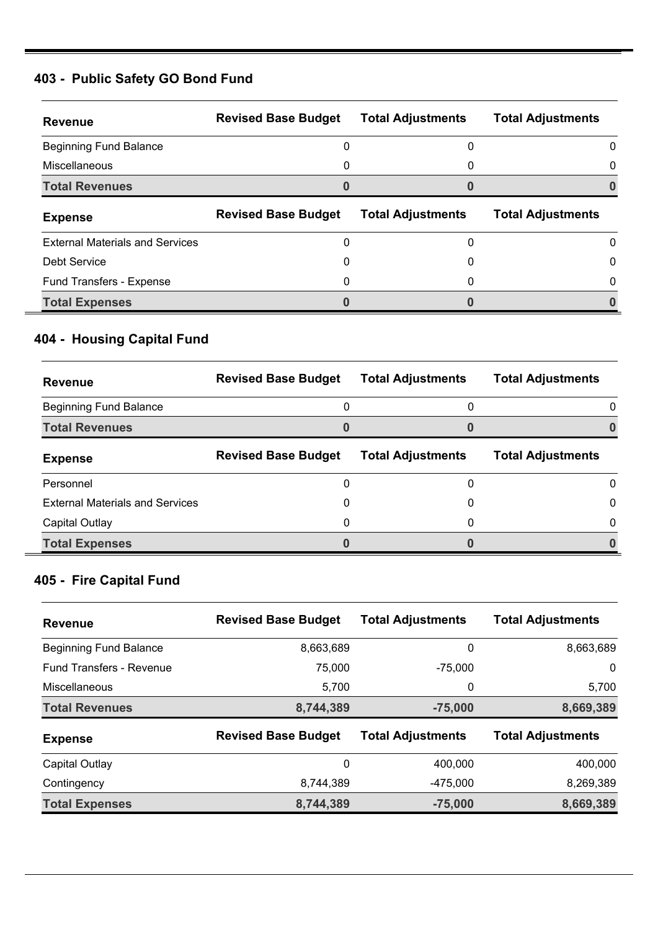### **403 - Public Safety GO Bond Fund**

| <b>Revenue</b>                         | <b>Revised Base Budget</b> | <b>Total Adjustments</b> | <b>Total Adjustments</b> |
|----------------------------------------|----------------------------|--------------------------|--------------------------|
| <b>Beginning Fund Balance</b>          |                            |                          | 0                        |
| Miscellaneous                          | 0                          | 0                        | $\Omega$                 |
| <b>Total Revenues</b>                  |                            |                          |                          |
| <b>Expense</b>                         | <b>Revised Base Budget</b> | <b>Total Adjustments</b> | <b>Total Adjustments</b> |
| <b>External Materials and Services</b> | 0                          | 0                        | 0                        |
| Debt Service                           | 0                          |                          | $\Omega$                 |
| <b>Fund Transfers - Expense</b>        |                            |                          | 0                        |
| <b>Total Expenses</b>                  |                            |                          |                          |

## **404 - Housing Capital Fund**

| <b>Revenue</b>                         | <b>Revised Base Budget</b> | <b>Total Adjustments</b> | <b>Total Adjustments</b> |
|----------------------------------------|----------------------------|--------------------------|--------------------------|
| <b>Beginning Fund Balance</b>          | 0                          | 0                        | $\Omega$                 |
| <b>Total Revenues</b>                  |                            |                          |                          |
| <b>Expense</b>                         | <b>Revised Base Budget</b> | <b>Total Adjustments</b> | <b>Total Adjustments</b> |
| Personnel                              | 0                          |                          | $\Omega$                 |
| <b>External Materials and Services</b> | 0                          |                          | 0                        |
| Capital Outlay                         | 0                          |                          | 0                        |
| <b>Total Expenses</b>                  |                            |                          |                          |

## **405 - Fire Capital Fund**

| <b>Revenue</b>                  | <b>Revised Base Budget</b> | <b>Total Adjustments</b> | <b>Total Adjustments</b> |
|---------------------------------|----------------------------|--------------------------|--------------------------|
| <b>Beginning Fund Balance</b>   | 8,663,689                  | 0                        | 8,663,689                |
| <b>Fund Transfers - Revenue</b> | 75,000                     | $-75.000$                | 0                        |
| <b>Miscellaneous</b>            | 5,700                      | 0                        | 5,700                    |
| <b>Total Revenues</b>           | 8,744,389                  | $-75,000$                | 8,669,389                |
| <b>Expense</b>                  | <b>Revised Base Budget</b> | <b>Total Adjustments</b> | <b>Total Adjustments</b> |
| Capital Outlay                  | 0                          | 400,000                  | 400,000                  |
| Contingency                     | 8,744,389                  | $-475,000$               | 8,269,389                |
| <b>Total Expenses</b>           | 8,744,389                  | $-75,000$                | 8,669,389                |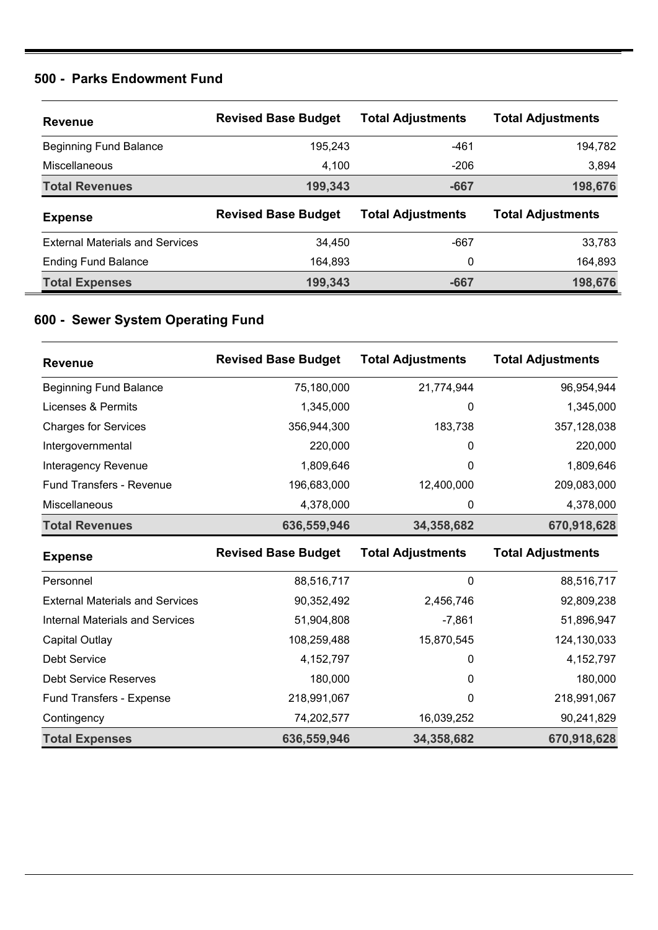#### **500 - Parks Endowment Fund**

| Revenue                                | <b>Revised Base Budget</b> | <b>Total Adjustments</b> | <b>Total Adjustments</b> |
|----------------------------------------|----------------------------|--------------------------|--------------------------|
| <b>Beginning Fund Balance</b>          | 195.243                    | -461                     | 194,782                  |
| Miscellaneous                          | 4,100                      | $-206$                   | 3,894                    |
| <b>Total Revenues</b>                  | 199,343                    | -667                     | 198,676                  |
|                                        |                            |                          |                          |
| <b>Expense</b>                         | <b>Revised Base Budget</b> | <b>Total Adjustments</b> | <b>Total Adjustments</b> |
| <b>External Materials and Services</b> | 34.450                     | -667                     | 33,783                   |
| <b>Ending Fund Balance</b>             | 164,893                    | 0                        | 164,893                  |

## **600 - Sewer System Operating Fund**

| <b>Revenue</b>                         | <b>Revised Base Budget</b> | <b>Total Adjustments</b> | <b>Total Adjustments</b> |
|----------------------------------------|----------------------------|--------------------------|--------------------------|
| <b>Beginning Fund Balance</b>          | 75,180,000                 | 21,774,944               | 96,954,944               |
| Licenses & Permits                     | 1,345,000                  | 0                        | 1,345,000                |
| <b>Charges for Services</b>            | 356,944,300                | 183,738                  | 357,128,038              |
| Intergovernmental                      | 220,000                    | 0                        | 220,000                  |
| Interagency Revenue                    | 1,809,646                  | 0                        | 1,809,646                |
| <b>Fund Transfers - Revenue</b>        | 196,683,000                | 12,400,000               | 209,083,000              |
| Miscellaneous                          | 4,378,000                  | 0                        | 4,378,000                |
| <b>Total Revenues</b>                  | 636,559,946                | 34,358,682               | 670,918,628              |
| <b>Expense</b>                         | <b>Revised Base Budget</b> | <b>Total Adjustments</b> | <b>Total Adjustments</b> |
| Personnel                              | 88,516,717                 | 0                        | 88,516,717               |
| <b>External Materials and Services</b> | 90,352,492                 | 2,456,746                | 92,809,238               |
| <b>Internal Materials and Services</b> | 51,904,808                 | $-7,861$                 | 51,896,947               |
| Capital Outlay                         | 108,259,488                | 15,870,545               | 124,130,033              |
| <b>Debt Service</b>                    | 4, 152, 797                | 0                        | 4, 152, 797              |
| <b>Debt Service Reserves</b>           | 180,000                    | 0                        | 180,000                  |
| Fund Transfers - Expense               | 218,991,067                | 0                        | 218,991,067              |
| Contingency                            | 74,202,577                 | 16,039,252               | 90,241,829               |
|                                        |                            |                          |                          |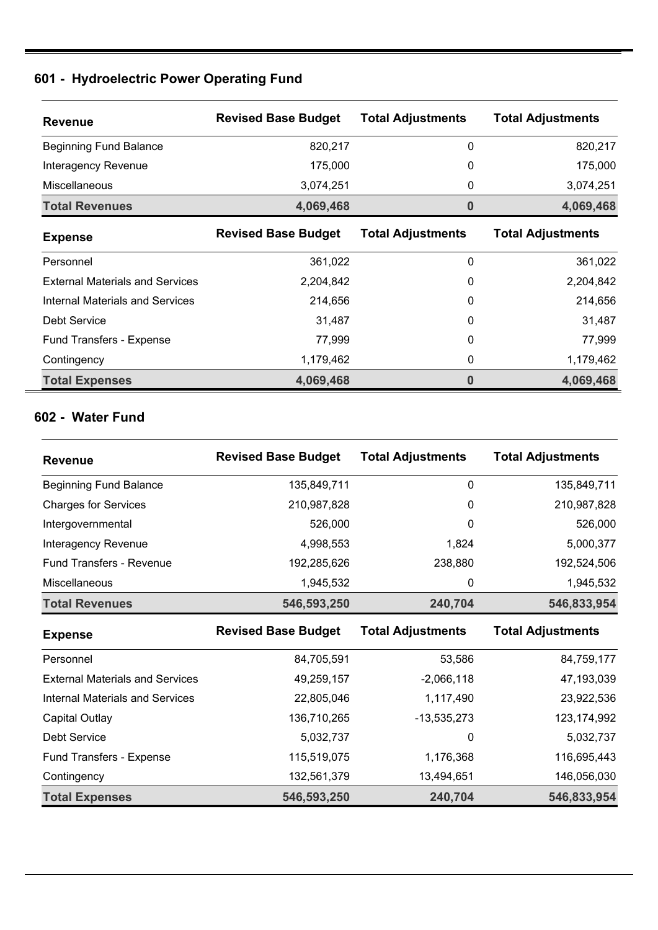## **601 - Hydroelectric Power Operating Fund**

| <b>Revenue</b>                | <b>Revised Base Budget</b> | <b>Total Adjustments</b> | <b>Total Adjustments</b> |
|-------------------------------|----------------------------|--------------------------|--------------------------|
| <b>Beginning Fund Balance</b> | 820.217                    | 0                        | 820,217                  |
| Interagency Revenue           | 175,000                    | $\mathbf{0}$             | 175,000                  |
| <b>Miscellaneous</b>          | 3,074,251                  | 0                        | 3,074,251                |
| <b>Total Revenues</b>         | 4,069,468                  | 0                        | 4,069,468                |
|                               |                            |                          |                          |

| <b>Expense</b>                         | <b>Revised Base Budget</b> | <b>Total Adjustments</b> | <b>Total Adjustments</b> |
|----------------------------------------|----------------------------|--------------------------|--------------------------|
| Personnel                              | 361,022                    | 0                        | 361,022                  |
| <b>External Materials and Services</b> | 2,204,842                  | 0                        | 2,204,842                |
| <b>Internal Materials and Services</b> | 214,656                    | 0                        | 214,656                  |
| Debt Service                           | 31,487                     | 0                        | 31,487                   |
| Fund Transfers - Expense               | 77,999                     | 0                        | 77,999                   |
| Contingency                            | 1,179,462                  | 0                        | 1,179,462                |
| <b>Total Expenses</b>                  | 4,069,468                  | 0                        | 4,069,468                |

#### **602 - Water Fund**

| <b>Revenue</b>                         | <b>Revised Base Budget</b> | <b>Total Adjustments</b> | <b>Total Adjustments</b> |
|----------------------------------------|----------------------------|--------------------------|--------------------------|
| <b>Beginning Fund Balance</b>          | 135,849,711                | $\mathbf{0}$             | 135,849,711              |
| <b>Charges for Services</b>            | 210,987,828                | $\mathbf{0}$             | 210,987,828              |
| Intergovernmental                      | 526,000                    | 0                        | 526,000                  |
| Interagency Revenue                    | 4,998,553                  | 1,824                    | 5,000,377                |
| <b>Fund Transfers - Revenue</b>        | 192,285,626                | 238,880                  | 192,524,506              |
| Miscellaneous                          | 1,945,532                  | 0                        | 1,945,532                |
| <b>Total Revenues</b>                  | 546,593,250                | 240,704                  | 546,833,954              |
| <b>Expense</b>                         | <b>Revised Base Budget</b> | <b>Total Adjustments</b> | <b>Total Adjustments</b> |
| Personnel                              | 84,705,591                 | 53,586                   | 84,759,177               |
| <b>External Materials and Services</b> | 49,259,157                 | $-2,066,118$             | 47,193,039               |
| <b>Internal Materials and Services</b> | 22,805,046                 | 1,117,490                | 23,922,536               |
| Capital Outlay                         | 136,710,265                | $-13,535,273$            | 123, 174, 992            |
| <b>Debt Service</b>                    | 5,032,737                  | 0                        | 5,032,737                |
| Fund Transfers - Expense               | 115,519,075                | 1,176,368                | 116,695,443              |
| Contingency                            | 132,561,379                | 13,494,651               | 146,056,030              |
| <b>Total Expenses</b>                  | 546,593,250                | 240,704                  | 546,833,954              |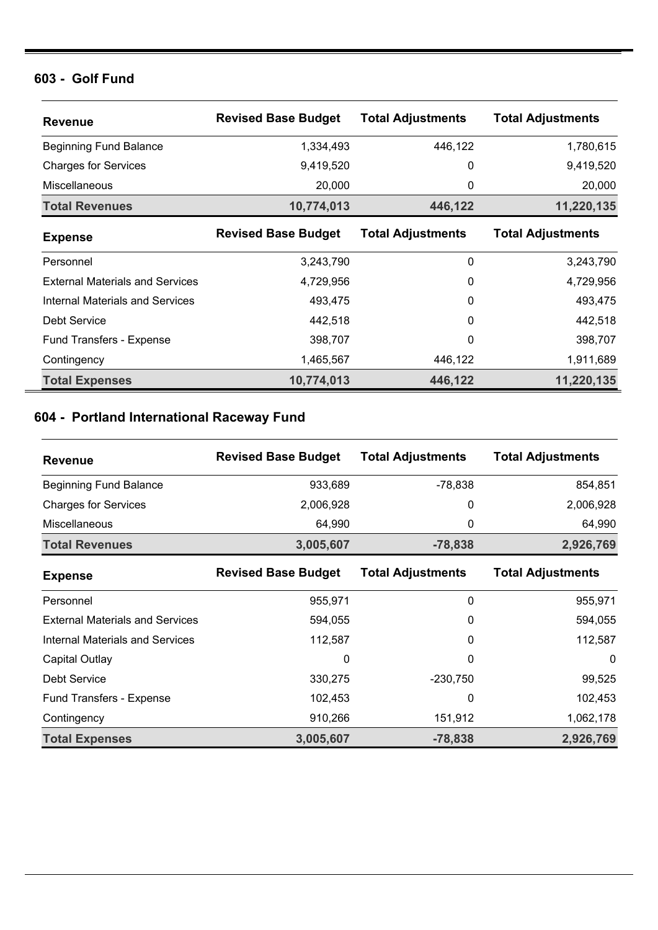#### **603 - Golf Fund**

| <b>Revenue</b>                         | <b>Revised Base Budget</b> | <b>Total Adjustments</b> | <b>Total Adjustments</b> |
|----------------------------------------|----------------------------|--------------------------|--------------------------|
| <b>Beginning Fund Balance</b>          | 1,334,493                  | 446,122                  | 1,780,615                |
| <b>Charges for Services</b>            | 9,419,520                  | 0                        | 9,419,520                |
| Miscellaneous                          | 20,000                     | 0                        | 20,000                   |
| <b>Total Revenues</b>                  | 10,774,013                 | 446,122                  | 11,220,135               |
| <b>Expense</b>                         | <b>Revised Base Budget</b> | <b>Total Adjustments</b> | <b>Total Adjustments</b> |
| Personnel                              | 3,243,790                  | 0                        | 3,243,790                |
| <b>External Materials and Services</b> | 4,729,956                  | 0                        | 4,729,956                |
| <b>Internal Materials and Services</b> | 493,475                    | 0                        | 493,475                  |
| Debt Service                           | 442,518                    | 0                        | 442,518                  |
| <b>Fund Transfers - Expense</b>        | 398,707                    | 0                        | 398,707                  |
| Contingency                            | 1,465,567                  | 446,122                  | 1,911,689                |
| <b>Total Expenses</b>                  | 10,774,013                 | 446,122                  | 11,220,135               |

## **604 - Portland International Raceway Fund**

| <b>Revenue</b>                         | <b>Revised Base Budget</b> | <b>Total Adjustments</b> | <b>Total Adjustments</b> |
|----------------------------------------|----------------------------|--------------------------|--------------------------|
| <b>Beginning Fund Balance</b>          | 933,689                    | $-78,838$                | 854,851                  |
| <b>Charges for Services</b>            | 2,006,928                  | 0                        | 2,006,928                |
| Miscellaneous                          | 64,990                     | 0                        | 64,990                   |
| <b>Total Revenues</b>                  | 3,005,607                  | $-78,838$                | 2,926,769                |
| <b>Expense</b>                         | <b>Revised Base Budget</b> | <b>Total Adjustments</b> | <b>Total Adjustments</b> |
| Personnel                              | 955,971                    | $\Omega$                 | 955,971                  |
| <b>External Materials and Services</b> | 594,055                    | 0                        | 594,055                  |
| <b>Internal Materials and Services</b> | 112,587                    | 0                        | 112,587                  |
| Capital Outlay                         | 0                          | 0                        | $\Omega$                 |
| Debt Service                           | 330,275                    | $-230,750$               | 99,525                   |
| Fund Transfers - Expense               | 102,453                    | 0                        | 102,453                  |
| Contingency                            | 910,266                    | 151,912                  | 1,062,178                |
| <b>Total Expenses</b>                  | 3,005,607                  | $-78,838$                | 2,926,769                |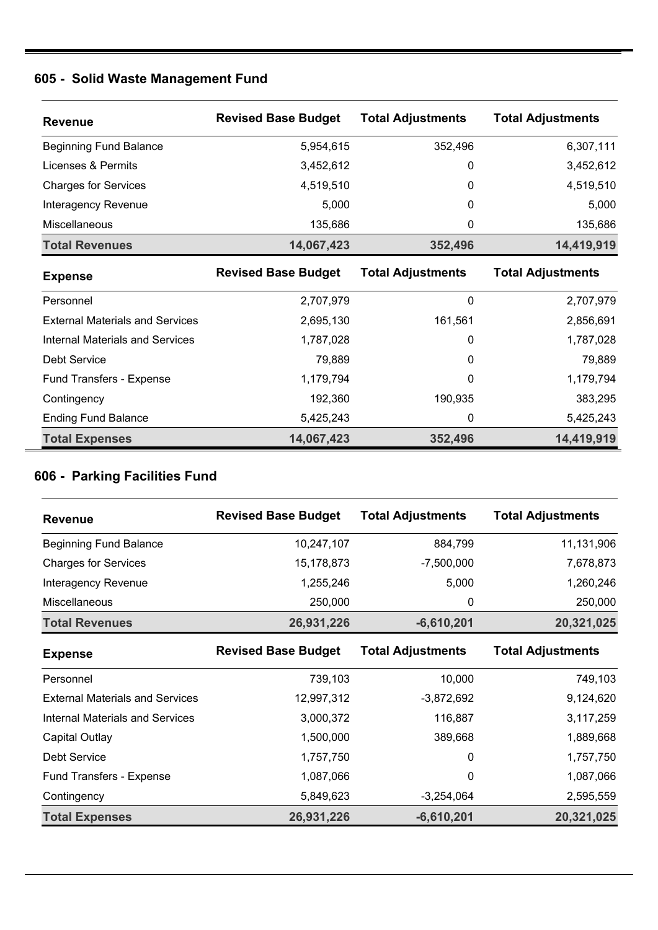# **605 - Solid Waste Management Fund**

| <b>Revenue</b>                         | <b>Revised Base Budget</b> | <b>Total Adjustments</b> | <b>Total Adjustments</b> |
|----------------------------------------|----------------------------|--------------------------|--------------------------|
| <b>Beginning Fund Balance</b>          | 5,954,615                  | 352,496                  | 6,307,111                |
| Licenses & Permits                     | 3,452,612                  | 0                        | 3,452,612                |
| <b>Charges for Services</b>            | 4,519,510                  | 0                        | 4,519,510                |
| Interagency Revenue                    | 5,000                      | 0                        | 5,000                    |
| Miscellaneous                          | 135,686                    | 0                        | 135,686                  |
| <b>Total Revenues</b>                  | 14,067,423                 | 352,496                  | 14,419,919               |
| <b>Expense</b>                         | <b>Revised Base Budget</b> | <b>Total Adjustments</b> | <b>Total Adjustments</b> |
| Personnel                              | 2,707,979                  | 0                        | 2,707,979                |
| <b>External Materials and Services</b> | 2,695,130                  | 161,561                  | 2,856,691                |
| Internal Materials and Services        | 1,787,028                  | 0                        | 1,787,028                |
| <b>Debt Service</b>                    | 79,889                     | 0                        | 79,889                   |
| <b>Fund Transfers - Expense</b>        | 1,179,794                  | 0                        | 1,179,794                |
| Contingency                            | 192,360                    | 190,935                  | 383,295                  |
| <b>Ending Fund Balance</b>             | 5,425,243                  | 0                        | 5,425,243                |
| <b>Total Expenses</b>                  | 14,067,423                 | 352,496                  | 14,419,919               |

### **606 - Parking Facilities Fund**

| <b>Revenue</b>                | <b>Revised Base Budget</b> | <b>Total Adjustments</b> | <b>Total Adjustments</b> |
|-------------------------------|----------------------------|--------------------------|--------------------------|
| <b>Beginning Fund Balance</b> | 10,247,107                 | 884,799                  | 11,131,906               |
| <b>Charges for Services</b>   | 15,178,873                 | $-7,500,000$             | 7,678,873                |
| Interagency Revenue           | 1,255,246                  | 5,000                    | 1,260,246                |
| <b>Miscellaneous</b>          | 250,000                    | 0                        | 250,000                  |
| <b>Total Revenues</b>         | 26,931,226                 | $-6,610,201$             | 20,321,025               |

| <b>Expense</b>                         | <b>Revised Base Budget</b> | <b>Total Adjustments</b> | <b>Total Adjustments</b> |
|----------------------------------------|----------------------------|--------------------------|--------------------------|
| Personnel                              | 739,103                    | 10,000                   | 749,103                  |
| <b>External Materials and Services</b> | 12,997,312                 | $-3,872,692$             | 9,124,620                |
| Internal Materials and Services        | 3,000,372                  | 116,887                  | 3,117,259                |
| Capital Outlay                         | 1,500,000                  | 389,668                  | 1,889,668                |
| Debt Service                           | 1,757,750                  | 0                        | 1,757,750                |
| Fund Transfers - Expense               | 1,087,066                  | 0                        | 1,087,066                |
| Contingency                            | 5,849,623                  | $-3,254,064$             | 2,595,559                |
| <b>Total Expenses</b>                  | 26,931,226                 | $-6,610,201$             | 20,321,025               |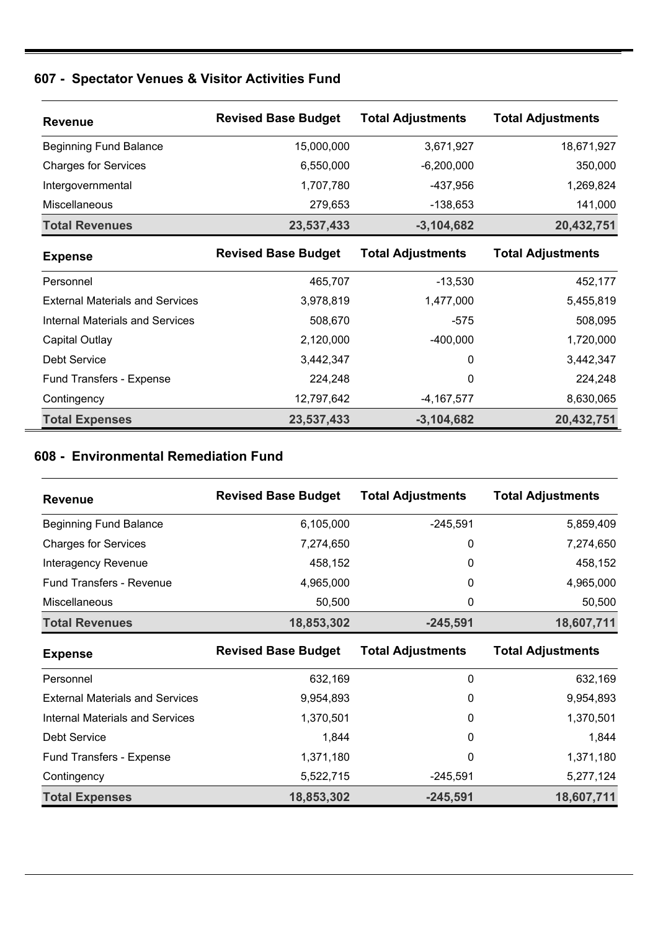## **607 - Spectator Venues & Visitor Activities Fund**

| <b>Revenue</b>                         | <b>Revised Base Budget</b> | <b>Total Adjustments</b> | <b>Total Adjustments</b> |
|----------------------------------------|----------------------------|--------------------------|--------------------------|
| <b>Beginning Fund Balance</b>          | 15,000,000                 | 3,671,927                | 18,671,927               |
| <b>Charges for Services</b>            | 6,550,000                  | $-6,200,000$             | 350,000                  |
| Intergovernmental                      | 1,707,780                  | $-437,956$               | 1,269,824                |
| Miscellaneous                          | 279,653                    | $-138,653$               | 141,000                  |
| <b>Total Revenues</b>                  | 23,537,433                 | $-3,104,682$             | 20,432,751               |
| <b>Expense</b>                         | <b>Revised Base Budget</b> | <b>Total Adjustments</b> | <b>Total Adjustments</b> |
| Personnel                              | 465,707                    | $-13,530$                | 452,177                  |
| <b>External Materials and Services</b> | 3,978,819                  | 1,477,000                | 5,455,819                |
| <b>Internal Materials and Services</b> | 508,670                    | $-575$                   | 508,095                  |
| Capital Outlay                         | 2,120,000                  | $-400,000$               | 1,720,000                |
| <b>Debt Service</b>                    | 3,442,347                  | $\Omega$                 | 3,442,347                |
| Fund Transfers - Expense               | 224,248                    | 0                        | 224,248                  |
| Contingency                            | 12,797,642                 | $-4,167,577$             | 8,630,065                |
| <b>Total Expenses</b>                  | 23,537,433                 | $-3,104,682$             | 20,432,751               |

### **608 - Environmental Remediation Fund**

| <b>Revenue</b>                  | <b>Revised Base Budget</b> | <b>Total Adjustments</b> | <b>Total Adjustments</b> |
|---------------------------------|----------------------------|--------------------------|--------------------------|
| <b>Beginning Fund Balance</b>   | 6,105,000                  | $-245,591$               | 5,859,409                |
| <b>Charges for Services</b>     | 7,274,650                  | 0                        | 7,274,650                |
| <b>Interagency Revenue</b>      | 458,152                    | 0                        | 458,152                  |
| <b>Fund Transfers - Revenue</b> | 4,965,000                  | 0                        | 4,965,000                |
| <b>Miscellaneous</b>            | 50,500                     | 0                        | 50,500                   |
| <b>Total Revenues</b>           | 18,853,302                 | $-245,591$               | 18,607,711               |

| <b>Expense</b>                         | <b>Revised Base Budget</b> | <b>Total Adjustments</b> | <b>Total Adjustments</b> |
|----------------------------------------|----------------------------|--------------------------|--------------------------|
| Personnel                              | 632.169                    | 0                        | 632,169                  |
| <b>External Materials and Services</b> | 9,954,893                  | 0                        | 9,954,893                |
| <b>Internal Materials and Services</b> | 1,370,501                  | 0                        | 1,370,501                |
| Debt Service                           | 1,844                      | 0                        | 1,844                    |
| Fund Transfers - Expense               | 1,371,180                  | 0                        | 1,371,180                |
| Contingency                            | 5,522,715                  | $-245.591$               | 5,277,124                |
| <b>Total Expenses</b>                  | 18,853,302                 | $-245,591$               | 18,607,711               |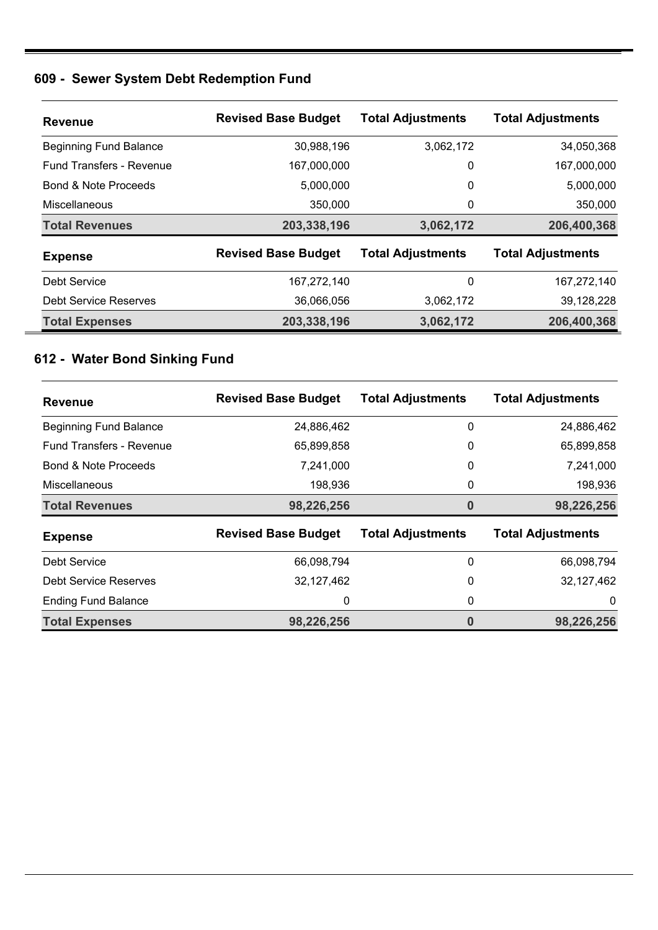### **609 - Sewer System Debt Redemption Fund**

| <b>Revenue</b>                  | <b>Revised Base Budget</b> | <b>Total Adjustments</b> | <b>Total Adjustments</b> |
|---------------------------------|----------------------------|--------------------------|--------------------------|
| <b>Beginning Fund Balance</b>   | 30,988,196                 | 3,062,172                | 34,050,368               |
| <b>Fund Transfers - Revenue</b> | 167,000,000                | 0                        | 167,000,000              |
| Bond & Note Proceeds            | 5,000,000                  | 0                        | 5,000,000                |
| Miscellaneous                   | 350,000                    | 0                        | 350,000                  |
| <b>Total Revenues</b>           | 203,338,196                | 3,062,172                | 206,400,368              |
| <b>Expense</b>                  | <b>Revised Base Budget</b> | <b>Total Adjustments</b> | <b>Total Adjustments</b> |
| Debt Service                    | 167,272,140                | 0                        | 167,272,140              |
| Debt Service Reserves           | 36,066,056                 | 3,062,172                | 39,128,228               |
| <b>Total Expenses</b>           | 203,338,196                | 3,062,172                | 206,400,368              |

## **612 - Water Bond Sinking Fund**

| <b>Revenue</b>                  | <b>Revised Base Budget</b> | <b>Total Adjustments</b> | <b>Total Adjustments</b> |
|---------------------------------|----------------------------|--------------------------|--------------------------|
| <b>Beginning Fund Balance</b>   | 24,886,462                 | 0                        | 24,886,462               |
| <b>Fund Transfers - Revenue</b> | 65,899,858                 | 0                        | 65,899,858               |
| Bond & Note Proceeds            | 7,241,000                  | 0                        | 7,241,000                |
| Miscellaneous                   | 198,936                    | 0                        | 198,936                  |
| <b>Total Revenues</b>           | 98,226,256                 | 0                        | 98,226,256               |
| <b>Expense</b>                  | <b>Revised Base Budget</b> | <b>Total Adjustments</b> | <b>Total Adjustments</b> |
| Debt Service                    | 66,098,794                 | 0                        | 66,098,794               |
| Debt Service Reserves           | 32,127,462                 | 0                        | 32,127,462               |
| <b>Ending Fund Balance</b>      | 0                          | 0                        | 0                        |
| <b>Total Expenses</b>           | 98,226,256                 | 0                        | 98,226,256               |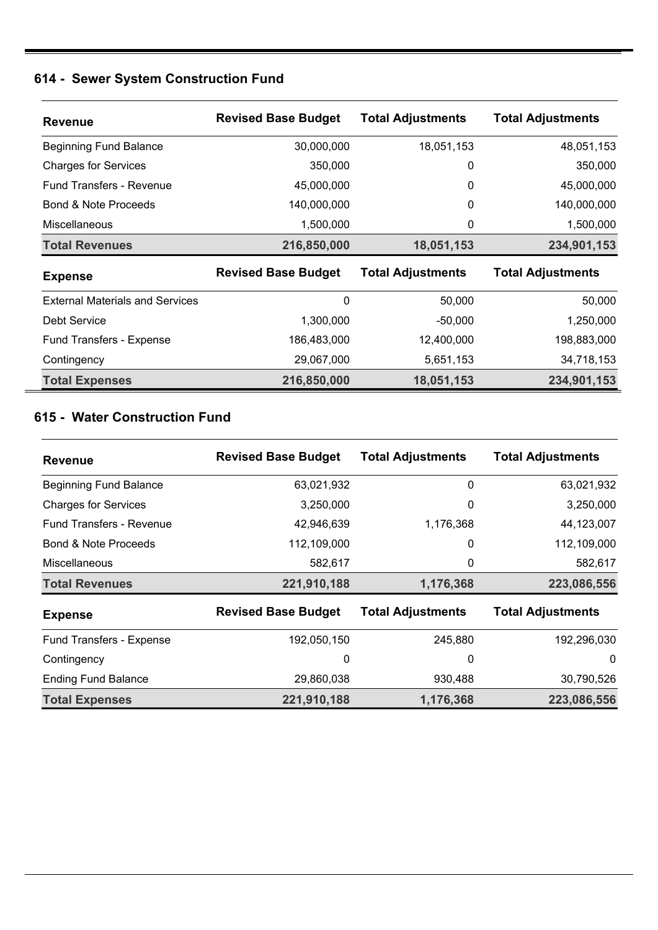## **614 - Sewer System Construction Fund**

| <b>Revenue</b>                         | <b>Revised Base Budget</b> | <b>Total Adjustments</b> | <b>Total Adjustments</b> |
|----------------------------------------|----------------------------|--------------------------|--------------------------|
| <b>Beginning Fund Balance</b>          | 30,000,000                 | 18,051,153               | 48,051,153               |
| <b>Charges for Services</b>            | 350,000                    | 0                        | 350,000                  |
| <b>Fund Transfers - Revenue</b>        | 45,000,000                 | 0                        | 45,000,000               |
| Bond & Note Proceeds                   | 140,000,000                | 0                        | 140,000,000              |
| <b>Miscellaneous</b>                   | 1,500,000                  | 0                        | 1,500,000                |
| <b>Total Revenues</b>                  | 216,850,000                | 18,051,153               | 234,901,153              |
| <b>Expense</b>                         | <b>Revised Base Budget</b> | <b>Total Adjustments</b> | <b>Total Adjustments</b> |
| <b>External Materials and Services</b> | 0                          | 50,000                   | 50,000                   |
| <b>Debt Service</b>                    | 1,300,000                  | $-50,000$                | 1,250,000                |
| <b>Fund Transfers - Expense</b>        | 186,483,000                | 12,400,000               | 198,883,000              |
| Contingency                            | 29,067,000                 | 5,651,153                | 34,718,153               |
| <b>Total Expenses</b>                  | 216,850,000                | 18,051,153               | 234,901,153              |

### **615 - Water Construction Fund**

| <b>Revenue</b>                  | <b>Revised Base Budget</b> | <b>Total Adjustments</b> | <b>Total Adjustments</b> |
|---------------------------------|----------------------------|--------------------------|--------------------------|
| <b>Beginning Fund Balance</b>   | 63,021,932                 | 0                        | 63,021,932               |
| <b>Charges for Services</b>     | 3,250,000                  | 0                        | 3,250,000                |
| <b>Fund Transfers - Revenue</b> | 42,946,639                 | 1,176,368                | 44,123,007               |
| <b>Bond &amp; Note Proceeds</b> | 112,109,000                | 0                        | 112,109,000              |
| <b>Miscellaneous</b>            | 582,617                    | 0                        | 582,617                  |
| <b>Total Revenues</b>           | 221,910,188                | 1,176,368                | 223,086,556              |
| <b>Expense</b>                  | <b>Revised Base Budget</b> | <b>Total Adjustments</b> | <b>Total Adjustments</b> |
| Fund Transfers - Expense        | 192,050,150                | 245,880                  | 192,296,030              |
| Contingency                     | 0                          | 0                        | 0                        |
| <b>Ending Fund Balance</b>      | 29,860,038                 | 930,488                  | 30,790,526               |
| <b>Total Expenses</b>           | 221,910,188                | 1,176,368                | 223,086,556              |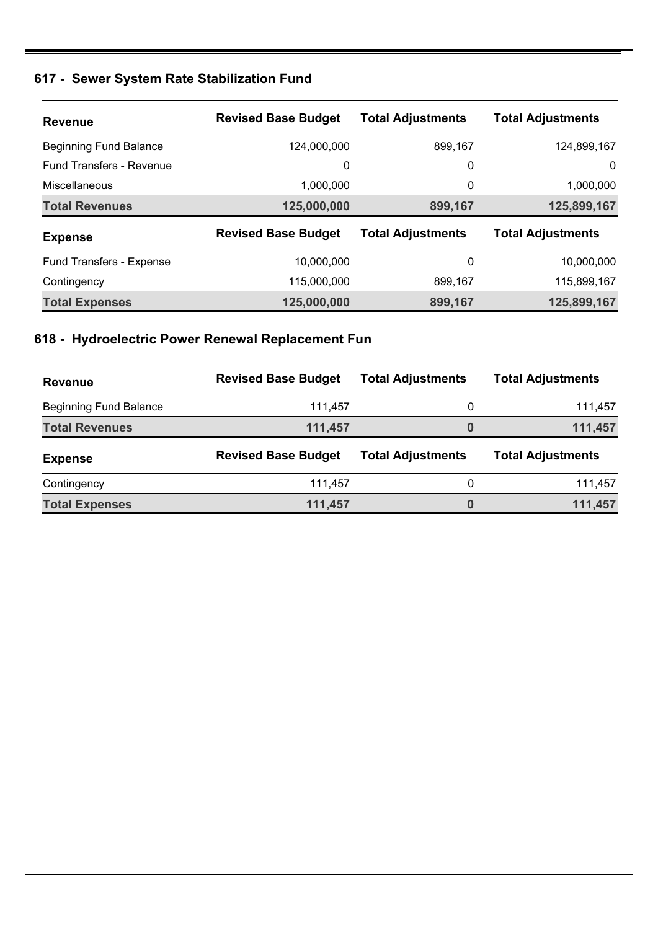# **617 - Sewer System Rate Stabilization Fund**

| <b>Revenue</b>                  | <b>Revised Base Budget</b> | <b>Total Adjustments</b> | <b>Total Adjustments</b> |
|---------------------------------|----------------------------|--------------------------|--------------------------|
| <b>Beginning Fund Balance</b>   | 124,000,000                | 899,167                  | 124,899,167              |
| <b>Fund Transfers - Revenue</b> | 0                          | 0                        | 0                        |
| Miscellaneous                   | 1,000,000                  | 0                        | 1,000,000                |
| <b>Total Revenues</b>           | 125,000,000                | 899,167                  | 125,899,167              |
| <b>Expense</b>                  | <b>Revised Base Budget</b> | <b>Total Adjustments</b> | <b>Total Adjustments</b> |
| <b>Fund Transfers - Expense</b> | 10,000,000                 | 0                        | 10,000,000               |
| Contingency                     | 115,000,000                | 899,167                  | 115,899,167              |
| <b>Total Expenses</b>           | 125,000,000                | 899,167                  | 125,899,167              |

## **618 - Hydroelectric Power Renewal Replacement Fun**

| <b>Revenue</b>                | <b>Revised Base Budget</b> | <b>Total Adjustments</b> | <b>Total Adjustments</b> |
|-------------------------------|----------------------------|--------------------------|--------------------------|
| <b>Beginning Fund Balance</b> | 111.457                    | 0                        | 111,457                  |
| <b>Total Revenues</b>         | 111,457                    | 0                        | 111,457                  |
| <b>Expense</b>                | <b>Revised Base Budget</b> | <b>Total Adjustments</b> | <b>Total Adjustments</b> |
|                               |                            |                          |                          |
| Contingency                   | 111.457                    | 0                        | 111,457                  |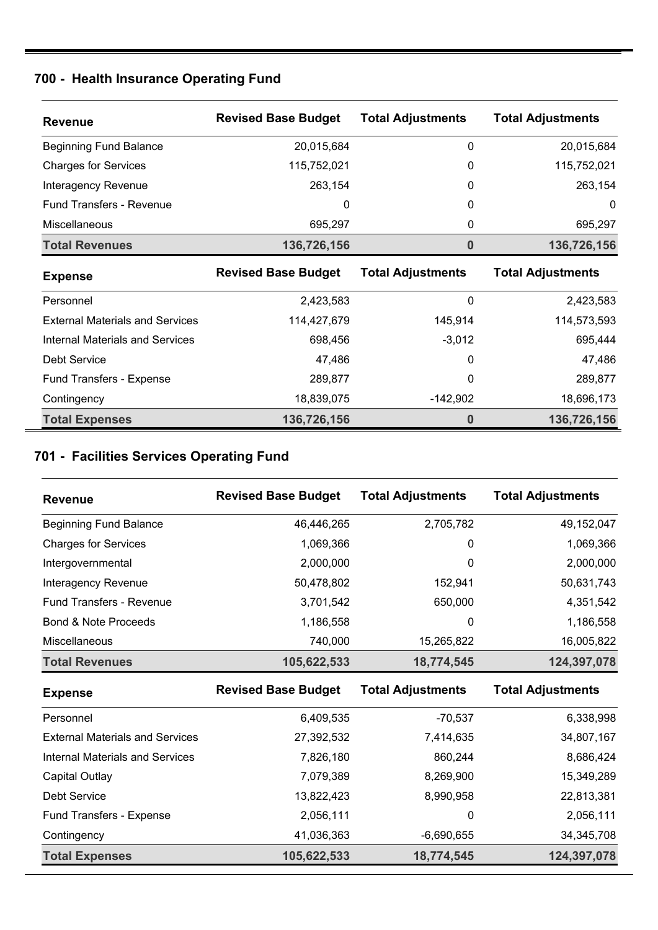### **700 - Health Insurance Operating Fund**

| <b>Revenue</b>                         | <b>Revised Base Budget</b> | <b>Total Adjustments</b> | <b>Total Adjustments</b> |
|----------------------------------------|----------------------------|--------------------------|--------------------------|
| <b>Beginning Fund Balance</b>          | 20,015,684                 | 0                        | 20,015,684               |
| <b>Charges for Services</b>            | 115,752,021                | 0                        | 115,752,021              |
| Interagency Revenue                    | 263,154                    | 0                        | 263,154                  |
| <b>Fund Transfers - Revenue</b>        | 0                          | $\Omega$                 | $\Omega$                 |
| Miscellaneous                          | 695,297                    | 0                        | 695,297                  |
| <b>Total Revenues</b>                  | 136,726,156                | 0                        | 136,726,156              |
| <b>Expense</b>                         | <b>Revised Base Budget</b> | <b>Total Adjustments</b> | <b>Total Adjustments</b> |
| Personnel                              | 2,423,583                  | 0                        | 2,423,583                |
| <b>External Materials and Services</b> | 114,427,679                | 145,914                  | 114,573,593              |
| <b>Internal Materials and Services</b> | 698,456                    | $-3,012$                 | 695,444                  |
| <b>Debt Service</b>                    | 47,486                     | 0                        | 47,486                   |
| Fund Transfers - Expense               | 289,877                    | 0                        | 289,877                  |
|                                        |                            |                          |                          |
| Contingency                            | 18,839,075                 | $-142,902$               | 18,696,173               |

## **701 - Facilities Services Operating Fund**

| <b>Revenue</b>                  | <b>Revised Base Budget</b> | <b>Total Adjustments</b> | <b>Total Adjustments</b> |
|---------------------------------|----------------------------|--------------------------|--------------------------|
| <b>Beginning Fund Balance</b>   | 46,446,265                 | 2,705,782                | 49,152,047               |
| <b>Charges for Services</b>     | 1,069,366                  | 0                        | 1,069,366                |
| Intergovernmental               | 2,000,000                  | 0                        | 2,000,000                |
| Interagency Revenue             | 50,478,802                 | 152,941                  | 50,631,743               |
| <b>Fund Transfers - Revenue</b> | 3,701,542                  | 650,000                  | 4,351,542                |
| <b>Bond &amp; Note Proceeds</b> | 1,186,558                  | 0                        | 1,186,558                |
| Miscellaneous                   | 740,000                    | 15,265,822               | 16,005,822               |
| <b>Total Revenues</b>           | 105,622,533                | 18,774,545               | 124,397,078              |
| <b>Expense</b>                  | <b>Revised Base Budget</b> | <b>Total Adjustments</b> | <b>Total Adjustments</b> |

| $-$                                    |             |              |              |
|----------------------------------------|-------------|--------------|--------------|
| Personnel                              | 6,409,535   | $-70,537$    | 6,338,998    |
| <b>External Materials and Services</b> | 27,392,532  | 7,414,635    | 34,807,167   |
| <b>Internal Materials and Services</b> | 7,826,180   | 860,244      | 8,686,424    |
| Capital Outlay                         | 7,079,389   | 8,269,900    | 15,349,289   |
| Debt Service                           | 13,822,423  | 8,990,958    | 22,813,381   |
| Fund Transfers - Expense               | 2,056,111   | 0            | 2,056,111    |
| Contingency                            | 41,036,363  | $-6,690,655$ | 34, 345, 708 |
| <b>Total Expenses</b>                  | 105,622,533 | 18,774,545   | 124,397,078  |
|                                        |             |              |              |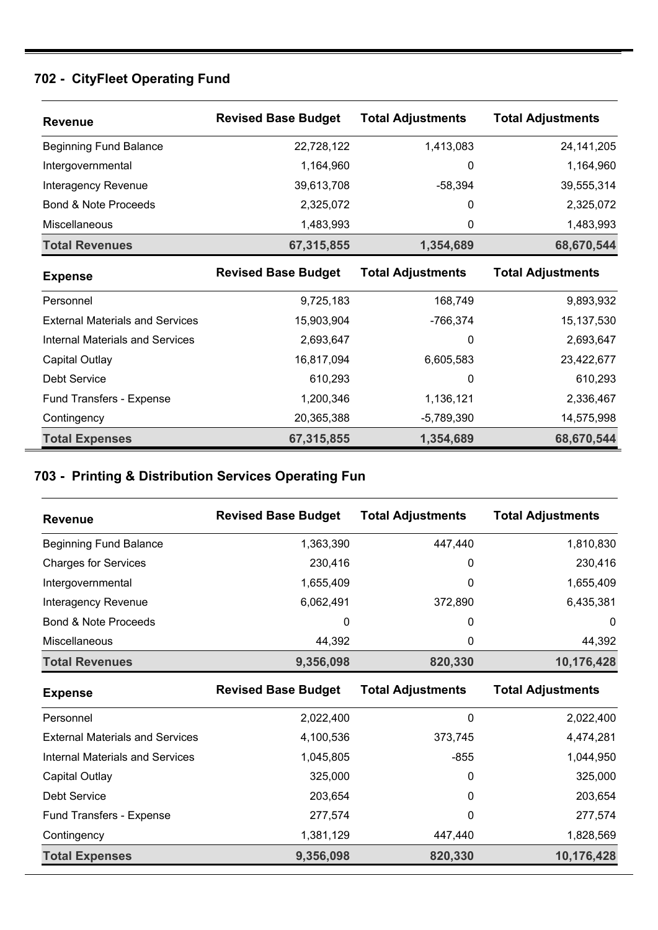## **702 - CityFleet Operating Fund**

| <b>Revenue</b>                         | <b>Revised Base Budget</b> | <b>Total Adjustments</b> | <b>Total Adjustments</b> |
|----------------------------------------|----------------------------|--------------------------|--------------------------|
| <b>Beginning Fund Balance</b>          | 22,728,122                 | 1,413,083                | 24, 141, 205             |
| Intergovernmental                      | 1,164,960                  | 0                        | 1,164,960                |
| Interagency Revenue                    | 39,613,708                 | $-58,394$                | 39,555,314               |
| Bond & Note Proceeds                   | 2,325,072                  | 0                        | 2,325,072                |
| <b>Miscellaneous</b>                   | 1,483,993                  | 0                        | 1,483,993                |
| <b>Total Revenues</b>                  | 67,315,855                 | 1,354,689                | 68,670,544               |
| <b>Expense</b>                         | <b>Revised Base Budget</b> | <b>Total Adjustments</b> | <b>Total Adjustments</b> |
| Personnel                              | 9,725,183                  | 168,749                  | 9,893,932                |
| <b>External Materials and Services</b> | 15,903,904                 | -766,374                 | 15, 137, 530             |
| Internal Materials and Services        | 2,693,647                  | $\Omega$                 | 2,693,647                |
| Capital Outlay                         | 16,817,094                 | 6,605,583                | 23,422,677               |
| <b>Debt Service</b>                    | 610,293                    | 0                        | 610,293                  |
| Fund Transfers - Expense               | 1,200,346                  | 1,136,121                | 2,336,467                |
| Contingency                            | 20,365,388                 | $-5,789,390$             | 14,575,998               |
| <b>Total Expenses</b>                  | 67,315,855                 | 1,354,689                | 68,670,544               |

### **703 - Printing & Distribution Services Operating Fun**

| <b>Revenue</b>                         | <b>Revised Base Budget</b> | <b>Total Adjustments</b> | <b>Total Adjustments</b> |
|----------------------------------------|----------------------------|--------------------------|--------------------------|
| <b>Beginning Fund Balance</b>          | 1,363,390                  | 447,440                  | 1,810,830                |
| <b>Charges for Services</b>            | 230,416                    | 0                        | 230,416                  |
| Intergovernmental                      | 1,655,409                  | 0                        | 1,655,409                |
| Interagency Revenue                    | 6,062,491                  | 372,890                  | 6,435,381                |
| Bond & Note Proceeds                   | 0                          | 0                        | 0                        |
| Miscellaneous                          | 44,392                     | 0                        | 44,392                   |
| <b>Total Revenues</b>                  | 9,356,098                  | 820,330                  | 10,176,428               |
|                                        |                            |                          |                          |
| <b>Expense</b>                         | <b>Revised Base Budget</b> | <b>Total Adjustments</b> | <b>Total Adjustments</b> |
| Personnel                              | 2,022,400                  | 0                        | 2,022,400                |
| <b>External Materials and Services</b> | 4,100,536                  | 373,745                  | 4,474,281                |
| <b>Internal Materials and Services</b> | 1,045,805                  | $-855$                   | 1,044,950                |
| Capital Outlay                         | 325,000                    | 0                        | 325,000                  |
| <b>Debt Service</b>                    | 203,654                    | 0                        | 203,654                  |
| Fund Transfers - Expense               | 277,574                    | 0                        | 277,574                  |
| Contingency                            | 1,381,129                  | 447,440                  | 1,828,569                |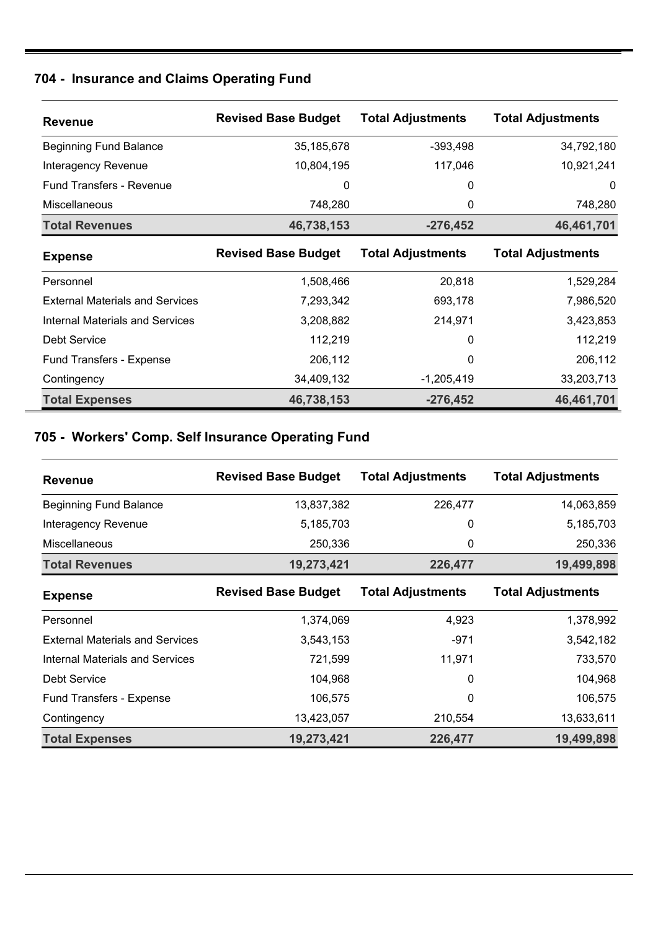### **704 - Insurance and Claims Operating Fund**

| <b>Revenue</b>                         | <b>Revised Base Budget</b> | <b>Total Adjustments</b> | <b>Total Adjustments</b> |
|----------------------------------------|----------------------------|--------------------------|--------------------------|
| <b>Beginning Fund Balance</b>          | 35,185,678                 | $-393,498$               | 34,792,180               |
| Interagency Revenue                    | 10,804,195                 | 117,046                  | 10,921,241               |
| <b>Fund Transfers - Revenue</b>        | 0                          | 0                        | 0                        |
| <b>Miscellaneous</b>                   | 748,280                    | 0                        | 748,280                  |
| <b>Total Revenues</b>                  | 46,738,153                 | $-276,452$               | 46,461,701               |
| <b>Expense</b>                         | <b>Revised Base Budget</b> | <b>Total Adjustments</b> | <b>Total Adjustments</b> |
| Personnel                              | 1,508,466                  | 20,818                   | 1,529,284                |
| <b>External Materials and Services</b> | 7,293,342                  | 693,178                  | 7,986,520                |
| <b>Internal Materials and Services</b> | 3,208,882                  | 214,971                  | 3,423,853                |
| Debt Service                           | 112,219                    | 0                        | 112,219                  |
| <b>Fund Transfers - Expense</b>        | 206,112                    | 0                        | 206,112                  |
| Contingency                            | 34,409,132                 | $-1,205,419$             | 33,203,713               |
| <b>Total Expenses</b>                  | 46,738,153                 | $-276,452$               | 46,461,701               |

## **705 - Workers' Comp. Self Insurance Operating Fund**

| <b>Revenue</b>                         | <b>Revised Base Budget</b> | <b>Total Adjustments</b> | <b>Total Adjustments</b> |
|----------------------------------------|----------------------------|--------------------------|--------------------------|
| <b>Beginning Fund Balance</b>          | 13,837,382                 | 226,477                  | 14,063,859               |
| Interagency Revenue                    | 5,185,703                  | 0                        | 5,185,703                |
| <b>Miscellaneous</b>                   | 250,336                    | 0                        | 250,336                  |
| <b>Total Revenues</b>                  | 19,273,421                 | 226,477                  | 19,499,898               |
| <b>Expense</b>                         | <b>Revised Base Budget</b> | <b>Total Adjustments</b> | <b>Total Adjustments</b> |
| Personnel                              | 1,374,069                  | 4,923                    | 1,378,992                |
| <b>External Materials and Services</b> | 3,543,153                  | -971                     | 3,542,182                |
| <b>Internal Materials and Services</b> | 721,599                    | 11,971                   | 733,570                  |
| Debt Service                           | 104,968                    | 0                        | 104,968                  |
| Fund Transfers - Expense               | 106,575                    | 0                        | 106,575                  |
| Contingency                            | 13,423,057                 | 210,554                  | 13,633,611               |
| <b>Total Expenses</b>                  | 19,273,421                 | 226,477                  | 19,499,898               |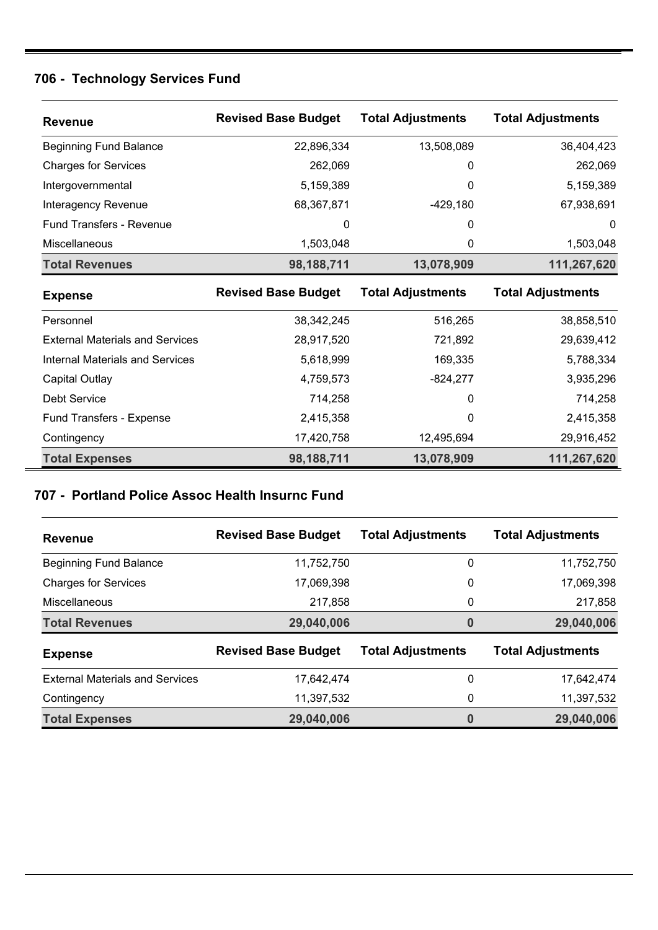## **706 - Technology Services Fund**

| <b>Revenue</b>                         | <b>Revised Base Budget</b> | <b>Total Adjustments</b> | <b>Total Adjustments</b> |
|----------------------------------------|----------------------------|--------------------------|--------------------------|
| <b>Beginning Fund Balance</b>          | 22,896,334                 | 13,508,089               | 36,404,423               |
| <b>Charges for Services</b>            | 262,069                    | 0                        | 262,069                  |
| Intergovernmental                      | 5,159,389                  | 0                        | 5,159,389                |
| Interagency Revenue                    | 68,367,871                 | $-429,180$               | 67,938,691               |
| <b>Fund Transfers - Revenue</b>        | 0                          | 0                        | 0                        |
| Miscellaneous                          | 1,503,048                  | 0                        | 1,503,048                |
| <b>Total Revenues</b>                  | 98,188,711                 | 13,078,909               | 111,267,620              |
| <b>Expense</b>                         | <b>Revised Base Budget</b> | <b>Total Adjustments</b> | <b>Total Adjustments</b> |
| Personnel                              | 38,342,245                 | 516,265                  | 38,858,510               |
| <b>External Materials and Services</b> | 28,917,520                 | 721,892                  | 29,639,412               |
| <b>Internal Materials and Services</b> | 5,618,999                  | 169,335                  | 5,788,334                |
| <b>Capital Outlay</b>                  | 4,759,573                  | $-824,277$               | 3,935,296                |
| <b>Debt Service</b>                    | 714,258                    | 0                        | 714,258                  |
| Fund Transfers - Expense               | 2,415,358                  | $\Omega$                 | 2,415,358                |
| Contingency                            | 17,420,758                 | 12,495,694               | 29,916,452               |
| <b>Total Expenses</b>                  | 98,188,711                 | 13,078,909               | 111,267,620              |

### **707 - Portland Police Assoc Health Insurnc Fund**

| <b>Revenue</b>                         | <b>Revised Base Budget</b> | <b>Total Adjustments</b> | <b>Total Adjustments</b> |
|----------------------------------------|----------------------------|--------------------------|--------------------------|
| <b>Beginning Fund Balance</b>          | 11,752,750                 | 0                        | 11,752,750               |
| <b>Charges for Services</b>            | 17,069,398                 | 0                        | 17,069,398               |
| <b>Miscellaneous</b>                   | 217,858                    | 0                        | 217,858                  |
| <b>Total Revenues</b>                  | 29,040,006                 | $\bf{0}$                 | 29,040,006               |
| <b>Expense</b>                         | <b>Revised Base Budget</b> | <b>Total Adjustments</b> | <b>Total Adjustments</b> |
| <b>External Materials and Services</b> | 17,642,474                 | 0                        | 17,642,474               |
| Contingency                            | 11,397,532                 | 0                        | 11,397,532               |
| <b>Total Expenses</b>                  | 29,040,006                 | 0                        | 29,040,006               |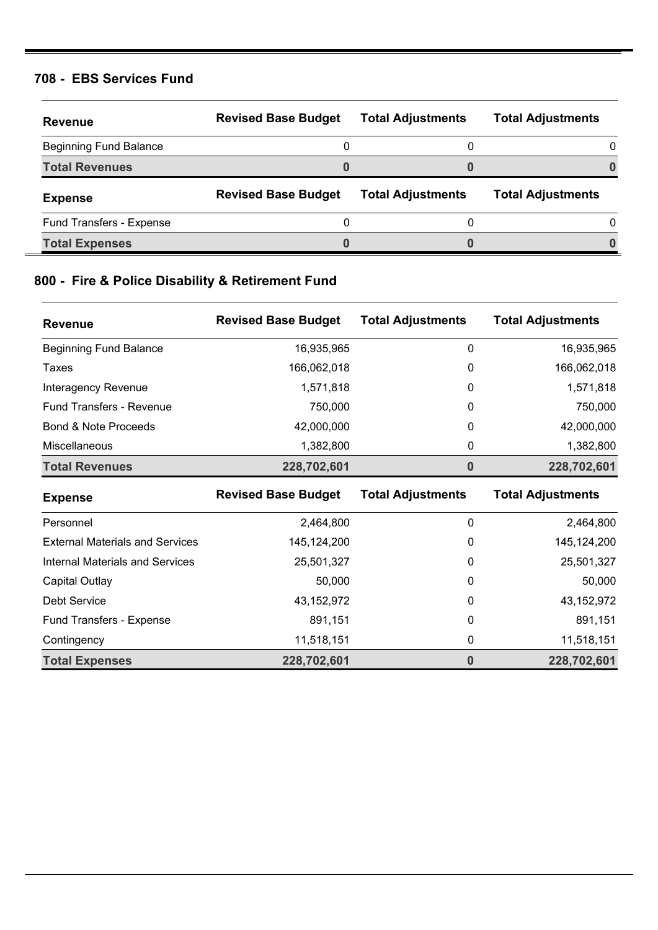#### **708 - EBS Services Fund**

| <b>Revenue</b>                | <b>Revised Base Budget</b> | <b>Total Adjustments</b> | <b>Total Adjustments</b> |
|-------------------------------|----------------------------|--------------------------|--------------------------|
| <b>Beginning Fund Balance</b> | 0                          |                          |                          |
| <b>Total Revenues</b>         |                            |                          |                          |
| <b>Expense</b>                | <b>Revised Base Budget</b> | <b>Total Adjustments</b> | <b>Total Adjustments</b> |
|                               |                            |                          |                          |
| Fund Transfers - Expense      | 0                          |                          |                          |

### **800 - Fire & Police Disability & Retirement Fund**

| <b>Revenue</b>                         | <b>Revised Base Budget</b> | <b>Total Adjustments</b> | <b>Total Adjustments</b> |
|----------------------------------------|----------------------------|--------------------------|--------------------------|
| <b>Beginning Fund Balance</b>          | 16,935,965                 | 0                        | 16,935,965               |
| Taxes                                  | 166,062,018                | 0                        | 166,062,018              |
| Interagency Revenue                    | 1,571,818                  | 0                        | 1,571,818                |
| <b>Fund Transfers - Revenue</b>        | 750,000                    | 0                        | 750,000                  |
| Bond & Note Proceeds                   | 42,000,000                 | 0                        | 42,000,000               |
| Miscellaneous                          | 1,382,800                  | 0                        | 1,382,800                |
| <b>Total Revenues</b>                  | 228,702,601                | 0                        | 228,702,601              |
| <b>Expense</b>                         | <b>Revised Base Budget</b> | <b>Total Adjustments</b> | <b>Total Adjustments</b> |
| Personnel                              | 2,464,800                  | 0                        | 2,464,800                |
| <b>External Materials and Services</b> | 145,124,200                | 0                        | 145, 124, 200            |
| <b>Internal Materials and Services</b> | 25,501,327                 | 0                        | 25,501,327               |
| Capital Outlay                         | 50,000                     | 0                        | 50,000                   |

Debt Service 43,152,972 0 43,152,972 Fund Transfers - Expense **891,151** 891,151 **0** 891,151 Contingency 11,518,151 0 11,518,151 **Total Expenses 228,702,601 0 228,702,601**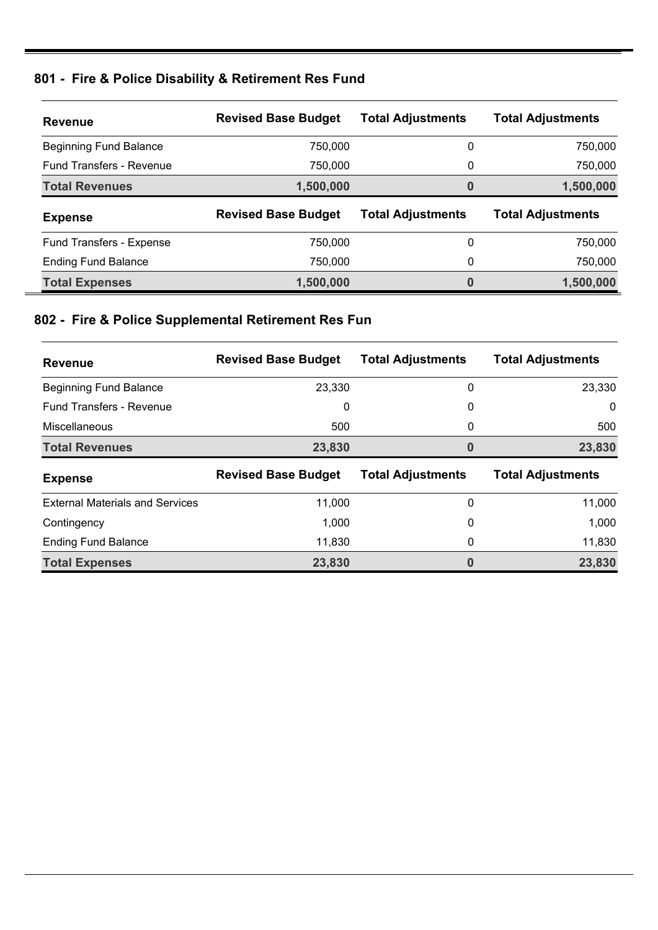# **801 - Fire & Police Disability & Retirement Res Fund**

| <b>Revenue</b>                  | <b>Revised Base Budget</b> | <b>Total Adjustments</b> | <b>Total Adjustments</b> |
|---------------------------------|----------------------------|--------------------------|--------------------------|
| <b>Beginning Fund Balance</b>   | 750,000                    | 0                        | 750,000                  |
| <b>Fund Transfers - Revenue</b> | 750,000                    | 0                        | 750,000                  |
| <b>Total Revenues</b>           | 1,500,000                  | 0                        | 1,500,000                |
|                                 |                            |                          |                          |
| <b>Expense</b>                  | <b>Revised Base Budget</b> | <b>Total Adjustments</b> | <b>Total Adjustments</b> |
| <b>Fund Transfers - Expense</b> | 750,000                    | 0                        | 750,000                  |
| <b>Ending Fund Balance</b>      | 750,000                    | 0                        | 750,000                  |

# **802 - Fire & Police Supplemental Retirement Res Fun**

| <b>Revenue</b>                         | <b>Revised Base Budget</b> | <b>Total Adjustments</b> | <b>Total Adjustments</b> |
|----------------------------------------|----------------------------|--------------------------|--------------------------|
| <b>Beginning Fund Balance</b>          | 23,330                     | 0                        | 23,330                   |
| <b>Fund Transfers - Revenue</b>        | 0                          | 0                        | 0                        |
| <b>Miscellaneous</b>                   | 500                        | 0                        | 500                      |
| <b>Total Revenues</b>                  | 23,830                     | 0                        | 23,830                   |
|                                        |                            |                          |                          |
| <b>Expense</b>                         | <b>Revised Base Budget</b> | <b>Total Adjustments</b> | <b>Total Adjustments</b> |
| <b>External Materials and Services</b> | 11,000                     | 0                        | 11,000                   |
| Contingency                            | 1,000                      | 0                        | 1,000                    |
| <b>Ending Fund Balance</b>             | 11,830                     | 0                        | 11,830                   |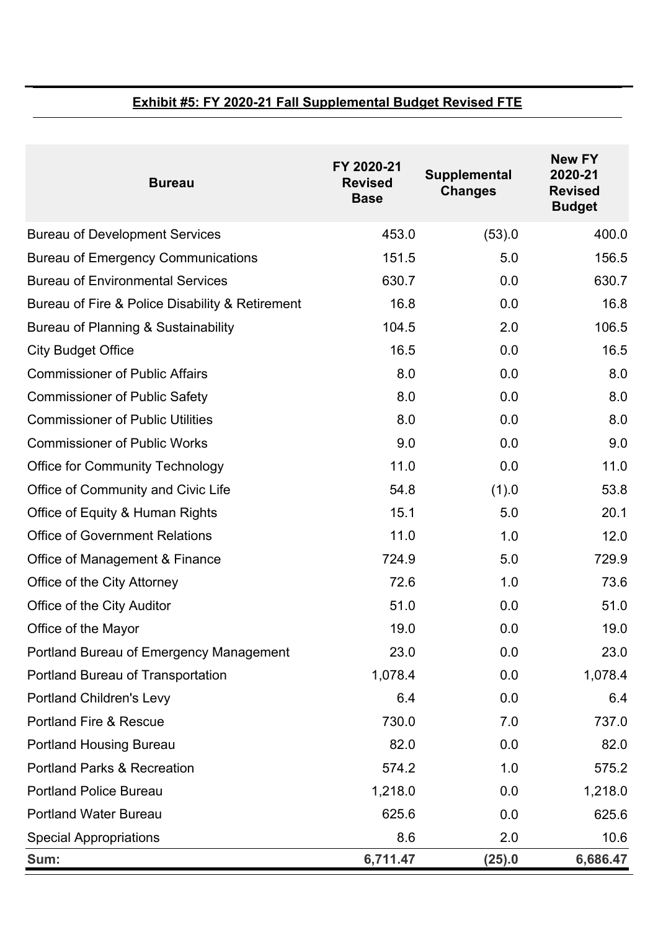### **Exhibit #5: FY 2020-21 Fall Supplemental Budget Revised FTE**

| <b>Bureau</b>                                   | FY 2020-21<br><b>Revised</b><br><b>Base</b> | <b>Supplemental</b><br><b>Changes</b> | <b>New FY</b><br>2020-21<br><b>Revised</b><br><b>Budget</b> |
|-------------------------------------------------|---------------------------------------------|---------------------------------------|-------------------------------------------------------------|
| <b>Bureau of Development Services</b>           | 453.0                                       | (53).0                                | 400.0                                                       |
| <b>Bureau of Emergency Communications</b>       | 151.5                                       | 5.0                                   | 156.5                                                       |
| <b>Bureau of Environmental Services</b>         | 630.7                                       | 0.0                                   | 630.7                                                       |
| Bureau of Fire & Police Disability & Retirement | 16.8                                        | 0.0                                   | 16.8                                                        |
| Bureau of Planning & Sustainability             | 104.5                                       | 2.0                                   | 106.5                                                       |
| <b>City Budget Office</b>                       | 16.5                                        | 0.0                                   | 16.5                                                        |
| <b>Commissioner of Public Affairs</b>           | 8.0                                         | 0.0                                   | 8.0                                                         |
| <b>Commissioner of Public Safety</b>            | 8.0                                         | 0.0                                   | 8.0                                                         |
| <b>Commissioner of Public Utilities</b>         | 8.0                                         | 0.0                                   | 8.0                                                         |
| <b>Commissioner of Public Works</b>             | 9.0                                         | 0.0                                   | 9.0                                                         |
| <b>Office for Community Technology</b>          | 11.0                                        | 0.0                                   | 11.0                                                        |
| Office of Community and Civic Life              | 54.8                                        | (1).0                                 | 53.8                                                        |
| Office of Equity & Human Rights                 | 15.1                                        | 5.0                                   | 20.1                                                        |
| <b>Office of Government Relations</b>           | 11.0                                        | 1.0                                   | 12.0                                                        |
| Office of Management & Finance                  | 724.9                                       | 5.0                                   | 729.9                                                       |
| Office of the City Attorney                     | 72.6                                        | 1.0                                   | 73.6                                                        |
| Office of the City Auditor                      | 51.0                                        | 0.0                                   | 51.0                                                        |
| Office of the Mayor                             | 19.0                                        | 0.0                                   | 19.0                                                        |
| Portland Bureau of Emergency Management         | 23.0                                        | 0.0                                   | 23.0                                                        |
| Portland Bureau of Transportation               | 1,078.4                                     | 0.0                                   | 1,078.4                                                     |
| <b>Portland Children's Levy</b>                 | 6.4                                         | 0.0                                   | 6.4                                                         |
| <b>Portland Fire &amp; Rescue</b>               | 730.0                                       | 7.0                                   | 737.0                                                       |
| <b>Portland Housing Bureau</b>                  | 82.0                                        | 0.0                                   | 82.0                                                        |
| <b>Portland Parks &amp; Recreation</b>          | 574.2                                       | 1.0                                   | 575.2                                                       |
| <b>Portland Police Bureau</b>                   | 1,218.0                                     | 0.0                                   | 1,218.0                                                     |
| <b>Portland Water Bureau</b>                    | 625.6                                       | 0.0                                   | 625.6                                                       |
| <b>Special Appropriations</b>                   | 8.6                                         | 2.0                                   | 10.6                                                        |
| Sum:                                            | 6,711.47                                    | (25).0                                | 6,686.47                                                    |